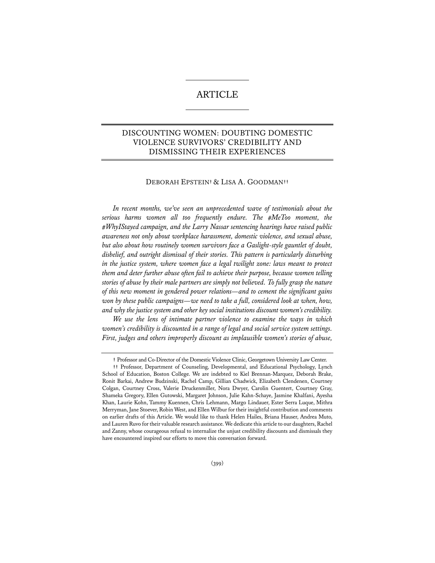# ARTICLE

# DISCOUNTING WOMEN: DOUBTING DOMESTIC VIOLENCE SURVIVORS' CREDIBILITY AND DISMISSING THEIR EXPERIENCES

## DEBORAH EPSTEIN**†** & LISA A. GOODMAN**††**

*In recent months, we've seen an unprecedented wave of testimonials about the serious harms women all too frequently endure. The #MeToo moment, the #WhyIStayed campaign, and the Larry Nassar sentencing hearings have raised public awareness not only about workplace harassment, domestic violence, and sexual abuse, but also about how routinely women survivors face a Gaslight-style gauntlet of doubt, disbelief, and outright dismissal of their stories. This pattern is particularly disturbing in the justice system, where women face a legal twilight zone: laws meant to protect them and deter further abuse often fail to achieve their purpose, because women telling stories of abuse by their male partners are simply not believed. To fully grasp the nature of this new moment in gendered power relations—and to cement the significant gains*  won by these public campaigns—we need to take a full, considered look at when, how, *and why the justice system and other key social institutions discount women's credibility.* 

 *We use the lens of intimate partner violence to examine the ways in which women's credibility is discounted in a range of legal and social service system settings. First, judges and others improperly discount as implausible women's stories of abuse,* 

**<sup>†</sup>** Professor and Co-Director of the Domestic Violence Clinic, Georgetown University Law Center.

**<sup>††</sup>** Professor, Department of Counseling, Developmental, and Educational Psychology, Lynch School of Education, Boston College. We are indebted to Kiel Brennan-Marquez, Deborah Brake, Ronit Barkai, Andrew Budzinski, Rachel Camp, Gillian Chadwick, Elizabeth Clendenen, Courtney Colgan, Courtney Cross, Valerie Druckenmiller, Nora Dwyer, Carolin Guentert, Courtney Gray, Shameka Gregory, Ellen Gutowski, Margaret Johnson, Julie Kahn-Schaye, Jasmine Khalfani, Ayesha Khan, Laurie Kohn, Tammy Kuennen, Chris Lehmann, Margo Lindauer, Ester Serra Luque, Mithra Merryman, Jane Stoever, Robin West, and Ellen Wilbur for their insightful contribution and comments on earlier drafts of this Article. We would like to thank Helen Hailes, Briana Hauser, Andrea Muto, and Lauren Ruvo for their valuable research assistance. We dedicate this article to our daughters, Rachel and Zanny, whose courageous refusal to internalize the unjust credibility discounts and dismissals they have encountered inspired our efforts to move this conversation forward.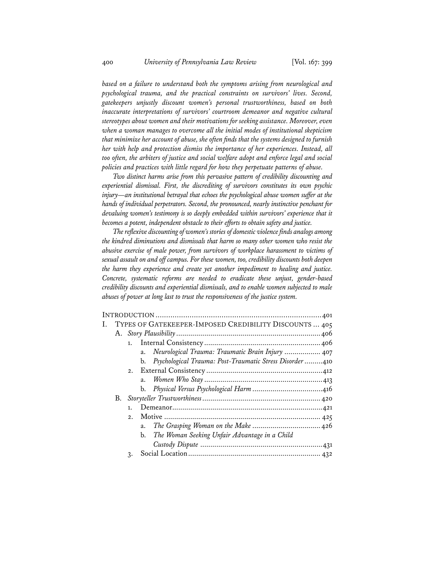*based on a failure to understand both the symptoms arising from neurological and psychological trauma, and the practical constraints on survivors' lives. Second, gatekeepers unjustly discount women's personal trustworthiness, based on both inaccurate interpretations of survivors' courtroom demeanor and negative cultural stereotypes about women and their motivations for seeking assistance. Moreover, even when a woman manages to overcome all the initial modes of institutional skepticism that minimize her account of abuse, she often finds that the systems designed to furnish her with help and protection dismiss the importance of her experiences. Instead, all too often, the arbiters of justice and social welfare adopt and enforce legal and social policies and practices with little regard for how they perpetuate patterns of abuse.* 

*Two distinct harms arise from this pervasive pattern of credibility discounting and experiential dismissal. First, the discrediting of survivors constitutes its own psychic injury—an institutional betrayal that echoes the psychological abuse women suffer at the hands of individual perpetrators. Second, the pronounced, nearly instinctive penchant for*  devaluing women's testimony is so deeply embedded within survivors' experience that it *becomes a potent, independent obstacle to their efforts to obtain safety and justice.* 

*The reflexive discounting of women's stories of domestic violence finds analogs among the kindred diminutions and dismissals that harm so many other women who resist the abusive exercise of male power, from survivors of workplace harassment to victims of sexual assault on and off campus. For these women, too, credibility discounts both deepen the harm they experience and create yet another impediment to healing and justice. Concrete, systematic reforms are needed to eradicate these unjust, gender-based credibility discounts and experiential dismissals, and to enable women subjected to male abuses of power at long last to trust the responsiveness of the justice system.* 

|  |                | I. TYPES OF GATEKEEPER-IMPOSED CREDIBILITY DISCOUNTS  405  |  |
|--|----------------|------------------------------------------------------------|--|
|  |                |                                                            |  |
|  |                |                                                            |  |
|  |                | a. Neurological Trauma: Traumatic Brain Injury  407        |  |
|  |                | b. Psychological Trauma: Post-Traumatic Stress Disorder410 |  |
|  |                |                                                            |  |
|  |                |                                                            |  |
|  |                |                                                            |  |
|  |                |                                                            |  |
|  | 1 <sub>1</sub> |                                                            |  |
|  | 2.             |                                                            |  |
|  |                | a.                                                         |  |
|  |                | b. The Woman Seeking Unfair Advantage in a Child           |  |
|  |                |                                                            |  |
|  | 3.             |                                                            |  |
|  |                |                                                            |  |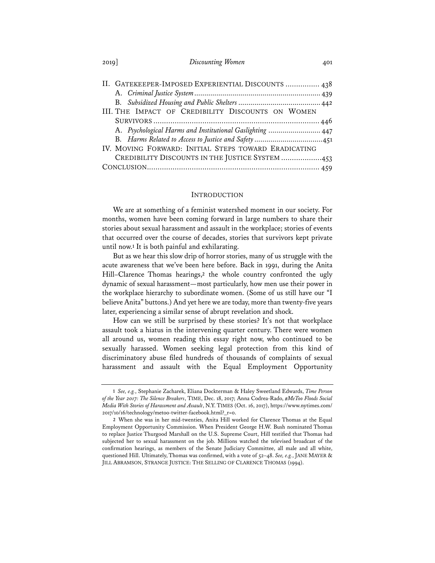| 2019 | Discounting Women | 401 |
|------|-------------------|-----|
|------|-------------------|-----|

| II. GATEKEEPER-IMPOSED EXPERIENTIAL DISCOUNTS  438        |  |  |  |  |
|-----------------------------------------------------------|--|--|--|--|
|                                                           |  |  |  |  |
|                                                           |  |  |  |  |
| III. THE IMPACT OF CREDIBILITY DISCOUNTS ON WOMEN         |  |  |  |  |
|                                                           |  |  |  |  |
| A. Psychological Harms and Institutional Gaslighting  447 |  |  |  |  |
|                                                           |  |  |  |  |
| IV. MOVING FORWARD: INITIAL STEPS TOWARD ERADICATING      |  |  |  |  |
| CREDIBILITY DISCOUNTS IN THE JUSTICE SYSTEM 453           |  |  |  |  |
|                                                           |  |  |  |  |

#### **INTRODUCTION**

We are at something of a feminist watershed moment in our society. For months, women have been coming forward in large numbers to share their stories about sexual harassment and assault in the workplace; stories of events that occurred over the course of decades, stories that survivors kept private until now.**<sup>1</sup>** It is both painful and exhilarating.

But as we hear this slow drip of horror stories, many of us struggle with the acute awareness that we've been here before. Back in 1991, during the Anita Hill–Clarence Thomas hearings,**<sup>2</sup>** the whole country confronted the ugly dynamic of sexual harassment—most particularly, how men use their power in the workplace hierarchy to subordinate women. (Some of us still have our "I believe Anita" buttons.) And yet here we are today, more than twenty-five years later, experiencing a similar sense of abrupt revelation and shock.

How can we still be surprised by these stories? It's not that workplace assault took a hiatus in the intervening quarter century. There were women all around us, women reading this essay right now, who continued to be sexually harassed. Women seeking legal protection from this kind of discriminatory abuse filed hundreds of thousands of complaints of sexual harassment and assault with the Equal Employment Opportunity

**<sup>1</sup>** *See, e.g.*, Stephanie Zacharek, Eliana Dockterman & Haley Sweetland Edwards, *Time Person of the Year 2017: The Silence Breakers*, TIME, Dec. 18, 2017; Anna Codrea-Rado, *#MeToo Floods Social Media With Stories of Harassment and Assault*, N.Y. TIMES (Oct. 16, 2017), https://www.nytimes.com/ 2017/10/16/technology/metoo-twitter-facebook.html?\_r=0.

**<sup>2</sup>** When she was in her mid-twenties, Anita Hill worked for Clarence Thomas at the Equal Employment Opportunity Commission. When President George H.W. Bush nominated Thomas to replace Justice Thurgood Marshall on the U.S. Supreme Court, Hill testified that Thomas had subjected her to sexual harassment on the job. Millions watched the televised broadcast of the confirmation hearings, as members of the Senate Judiciary Committee, all male and all white, questioned Hill. Ultimately, Thomas was confirmed, with a vote of 52–48. *See, e.g.*, JANE MAYER & JILL ABRAMSON, STRANGE JUSTICE: THE SELLING OF CLARENCE THOMAS (1994).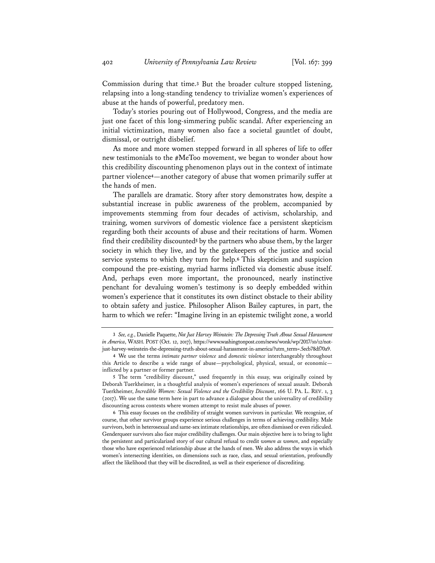Commission during that time.**<sup>3</sup>** But the broader culture stopped listening, relapsing into a long-standing tendency to trivialize women's experiences of abuse at the hands of powerful, predatory men.

Today's stories pouring out of Hollywood, Congress, and the media are just one facet of this long-simmering public scandal. After experiencing an initial victimization, many women also face a societal gauntlet of doubt, dismissal, or outright disbelief.

As more and more women stepped forward in all spheres of life to offer new testimonials to the #MeToo movement, we began to wonder about how this credibility discounting phenomenon plays out in the context of intimate partner violence**<sup>4</sup>**—another category of abuse that women primarily suffer at the hands of men.

The parallels are dramatic. Story after story demonstrates how, despite a substantial increase in public awareness of the problem, accompanied by improvements stemming from four decades of activism, scholarship, and training, women survivors of domestic violence face a persistent skepticism regarding both their accounts of abuse and their recitations of harm. Women find their credibility discounted**<sup>5</sup>** by the partners who abuse them, by the larger society in which they live, and by the gatekeepers of the justice and social service systems to which they turn for help.**<sup>6</sup>** This skepticism and suspicion compound the pre-existing, myriad harms inflicted via domestic abuse itself. And, perhaps even more important, the pronounced, nearly instinctive penchant for devaluing women's testimony is so deeply embedded within women's experience that it constitutes its own distinct obstacle to their ability to obtain safety and justice. Philosopher Alison Bailey captures, in part, the harm to which we refer: "Imagine living in an epistemic twilight zone, a world

**<sup>3</sup>** *See, e.g.*, Danielle Paquette, *Not Just Harvey Weinstein: The Depressing Truth About Sexual Harassment in America*, WASH. POST (Oct. 12, 2017), https://www.washingtonpost.com/news/wonk/wp/2017/10/12/notjust-harvey-weinstein-the-depressing-truth-about-sexual-harassment-in-america/?utm\_term=.5ecb78df70a9.

**<sup>4</sup>** We use the terms *intimate partner violence* and *domestic violence* interchangeably throughout this Article to describe a wide range of abuse—psychological, physical, sexual, or economic inflicted by a partner or former partner.

**<sup>5</sup>** The term "credibility discount," used frequently in this essay, was originally coined by Deborah Tuerkheimer, in a thoughtful analysis of women's experiences of sexual assault. Deborah Tuerkheimer, *Incredible Women: Sexual Violence and the Credibility Discount*, 166 U. PA. L. REV. 1, 3 (2017). We use the same term here in part to advance a dialogue about the universality of credibility discounting across contexts where women attempt to resist male abuses of power.

**<sup>6</sup>** This essay focuses on the credibility of straight women survivors in particular. We recognize, of course, that other survivor groups experience serious challenges in terms of achieving credibility. Male survivors, both in heterosexual and same-sex intimate relationships, are often dismissed or even ridiculed. Genderqueer survivors also face major credibility challenges. Our main objective here is to bring to light the persistent and particularized story of our cultural refusal to credit *women as women*, and especially those who have experienced relationship abuse at the hands of men. We also address the ways in which women's intersecting identities, on dimensions such as race, class, and sexual orientation, profoundly affect the likelihood that they will be discredited, as well as their experience of discrediting.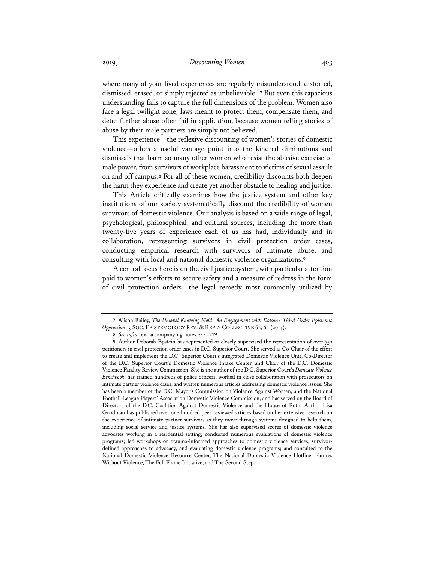where many of your lived experiences are regularly misunderstood, distorted, dismissed, erased, or simply rejected as unbelievable."**<sup>7</sup>** But even this capacious understanding fails to capture the full dimensions of the problem. Women also face a legal twilight zone; laws meant to protect them, compensate them, and deter further abuse often fail in application, because women telling stories of abuse by their male partners are simply not believed.

This experience—the reflexive discounting of women's stories of domestic violence—offers a useful vantage point into the kindred diminutions and dismissals that harm so many other women who resist the abusive exercise of male power, from survivors of workplace harassment to victims of sexual assault on and off campus.**<sup>8</sup>** For all of these women, credibility discounts both deepen the harm they experience and create yet another obstacle to healing and justice.

This Article critically examines how the justice system and other key institutions of our society systematically discount the credibility of women survivors of domestic violence. Our analysis is based on a wide range of legal, psychological, philosophical, and cultural sources, including the more than twenty-five years of experience each of us has had, individually and in collaboration, representing survivors in civil protection order cases, conducting empirical research with survivors of intimate abuse, and consulting with local and national domestic violence organizations.**<sup>9</sup>**

A central focus here is on the civil justice system, with particular attention paid to women's efforts to secure safety and a measure of redress in the form of civil protection orders—the legal remedy most commonly utilized by

**<sup>7</sup>** Alison Bailey, *The Unlevel Knowing Field: An Engagement with Dotson's Third-Order Epistemic Oppression*, 3 SOC. EPISTEMOLOGY REV. & REPLY COLLECTIVE 62, 62 (2014).

**<sup>8</sup>** *See infra* text accompanying notes 244–219.

**<sup>9</sup>** Author Deborah Epstein has represented or closely supervised the representation of over 750 petitioners in civil protection order cases in D.C. Superior Court. She served as Co-Chair of the effort to create and implement the D.C. Superior Court's integrated Domestic Violence Unit, Co-Director of the D.C. Superior Court's Domestic Violence Intake Center, and Chair of the D.C. Domestic Violence Fatality Review Commission. She is the author of the D.C. Superior Court's *Domestic Violence Benchbook*, has trained hundreds of police officers, worked in close collaboration with prosecutors on intimate partner violence cases, and written numerous articles addressing domestic violence issues. She has been a member of the D.C. Mayor's Commission on Violence Against Women, and the National Football League Players' Association Domestic Violence Commission, and has served on the Board of Directors of the D.C. Coalition Against Domestic Violence and the House of Ruth. Author Lisa Goodman has published over one hundred peer-reviewed articles based on her extensive research on the experience of intimate partner survivors as they move through systems designed to help them, including social service and justice systems. She has also supervised scores of domestic violence advocates working in a residential setting; conducted numerous evaluations of domestic violence programs; led workshops on trauma-informed approaches to domestic violence services, survivordefined approaches to advocacy, and evaluating domestic violence programs; and consulted to the National Domestic Violence Resource Center, The National Domestic Violence Hotline, Futures Without Violence, The Full Frame Initiative, and The Second Step.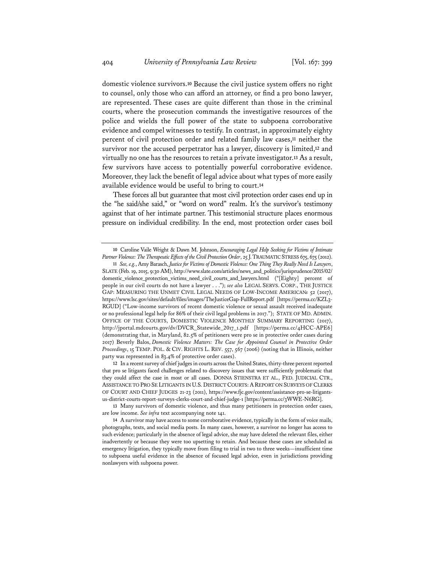domestic violence survivors.**<sup>10</sup>** Because the civil justice system offers no right to counsel, only those who can afford an attorney, or find a pro bono lawyer, are represented. These cases are quite different than those in the criminal courts, where the prosecution commands the investigative resources of the police and wields the full power of the state to subpoena corroborative evidence and compel witnesses to testify. In contrast, in approximately eighty percent of civil protection order and related family law cases,**<sup>11</sup>** neither the survivor nor the accused perpetrator has a lawyer, discovery is limited,**<sup>12</sup>** and virtually no one has the resources to retain a private investigator.**<sup>13</sup>** As a result, few survivors have access to potentially powerful corroborative evidence. Moreover, they lack the benefit of legal advice about what types of more easily available evidence would be useful to bring to court.**<sup>14</sup>**

These forces all but guarantee that most civil protection order cases end up in the "he said/she said," or "word on word" realm. It's the survivor's testimony against that of her intimate partner. This testimonial structure places enormous pressure on individual credibility. In the end, most protection order cases boil

**12** In a recent survey of chief judges in courts across the United States, thirty-three percent reported that pro se litigants faced challenges related to discovery issues that were sufficiently problematic that they could affect the case in most or all cases. DONNA STIENSTRA ET AL., FED. JUDICIAL CTR., ASSISTANCE TO PRO SE LITIGANTS IN U.S. DISTRICT COURTS: A REPORT ON SURVEYS OF CLERKS OF COURT AND CHIEF JUDGES 21-23 (2011), https://www.fjc.gov/content/assistance-pro-se-litigantsus-district-courts-report-surveys-clerks-court-and-chief-judge-1 [https://perma.cc/3WWE-N6RG].

**13** Many survivors of domestic violence, and thus many petitioners in protection order cases, are low income. *See infra* text accompanying note 141.

**<sup>10</sup>** Caroline Vaile Wright & Dawn M. Johnson, *Encouraging Legal Help Seeking for Victims of Intimate Partner Violence: The Therapeutic Effects of the Civil Protection Order*, 25 J.TRAUMATIC STRESS 675, 675 (2012).

**<sup>11</sup>** *See, e.g.*, Amy Barasch, *Justice for Victims of Domestic Violence: One Thing They Really Need Is Lawyers*, SLATE (Feb. 19, 2015, 9:30 AM), http://www.slate.com/articles/news\_and\_politics/jurisprudence/2015/02/ domestic\_violence\_protection\_victims\_need\_civil\_courts\_and\_lawyers.html ("[Eighty] percent of people in our civil courts do not have a lawyer . . ."); *see also* LEGAL SERVS. CORP., THE JUSTICE GAP: MEASURING THE UNMET CIVIL LEGAL NEEDS OF LOW-INCOME AMERICAN*s* 52 (2017), https://www.lsc.gov/sites/default/files/images/TheJusticeGap-FullReport.pdf [https://perma.cc/KZL3- RGUD] ("Low-income survivors of recent domestic violence or sexual assault received inadequate or no professional legal help for 86% of their civil legal problems in 2017."); STATE OF MD.ADMIN. OFFICE OF THE COURTS, DOMESTIC VIOLENCE MONTHLY SUMMARY REPORTING (2017), http://jportal.mdcourts.gov/dv/DVCR\_Statewide\_2017\_1.pdf [https://perma.cc/4HCC-APE6] (demonstrating that, in Maryland, 82.5% of petitioners were pro se in protective order cases during 2017) Beverly Balos, *Domestic Violence Matters: The Case for Appointed Counsel in Protective Order Proceedings*, 15 TEMP. POL. & CIV. RIGHTS L. REV. 557, 567 (2006) (noting that in Illinois, neither party was represented in 83.4% of protective order cases).

**<sup>14</sup>** A survivor may have access to some corroborative evidence, typically in the form of voice mails, photographs, texts, and social media posts. In many cases, however, a survivor no longer has access to such evidence; particularly in the absence of legal advice, she may have deleted the relevant files, either inadvertently or because they were too upsetting to retain. And because these cases are scheduled as emergency litigation, they typically move from filing to trial in two to three weeks—insufficient time to subpoena useful evidence in the absence of focused legal advice, even in jurisdictions providing nonlawyers with subpoena power.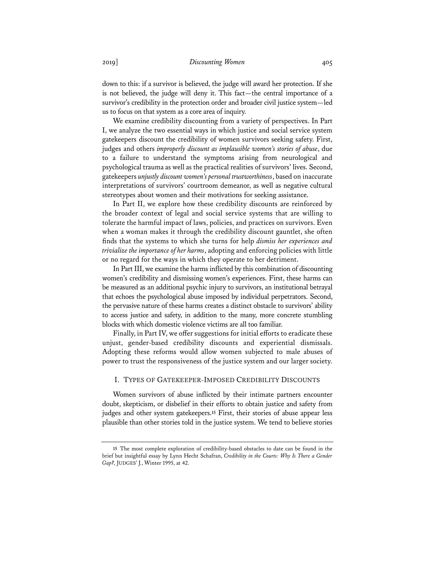down to this: if a survivor is believed, the judge will award her protection. If she is not believed, the judge will deny it. This fact—the central importance of a survivor's credibility in the protection order and broader civil justice system—led us to focus on that system as a core area of inquiry.

We examine credibility discounting from a variety of perspectives. In Part I, we analyze the two essential ways in which justice and social service system gatekeepers discount the credibility of women survivors seeking safety. First, judges and others *improperly discount as implausible women's stories of abuse*, due to a failure to understand the symptoms arising from neurological and psychological trauma as well as the practical realities of survivors' lives. Second, gatekeepers *unjustly discount women's personal trustworthiness*, based on inaccurate interpretations of survivors' courtroom demeanor, as well as negative cultural stereotypes about women and their motivations for seeking assistance.

In Part II, we explore how these credibility discounts are reinforced by the broader context of legal and social service systems that are willing to tolerate the harmful impact of laws, policies, and practices on survivors. Even when a woman makes it through the credibility discount gauntlet, she often finds that the systems to which she turns for help *dismiss her experiences and trivialize the importance of her harms*, adopting and enforcing policies with little or no regard for the ways in which they operate to her detriment.

In Part III, we examine the harms inflicted by this combination of discounting women's credibility and dismissing women's experiences. First, these harms can be measured as an additional psychic injury to survivors, an institutional betrayal that echoes the psychological abuse imposed by individual perpetrators. Second, the pervasive nature of these harms creates a distinct obstacle to survivors' ability to access justice and safety, in addition to the many, more concrete stumbling blocks with which domestic violence victims are all too familiar.

Finally, in Part IV, we offer suggestions for initial efforts to eradicate these unjust, gender-based credibility discounts and experiential dismissals. Adopting these reforms would allow women subjected to male abuses of power to trust the responsiveness of the justice system and our larger society.

# I. TYPES OF GATEKEEPER-IMPOSED CREDIBILITY DISCOUNTS

Women survivors of abuse inflicted by their intimate partners encounter doubt, skepticism, or disbelief in their efforts to obtain justice and safety from judges and other system gatekeepers.**<sup>15</sup>** First, their stories of abuse appear less plausible than other stories told in the justice system. We tend to believe stories

**<sup>15</sup>** The most complete exploration of credibility-based obstacles to date can be found in the brief but insightful essay by Lynn Hecht Schafran, *Credibility in the Courts: Why Is There a Gender Gap?*, JUDGES' J., Winter 1995, at 42.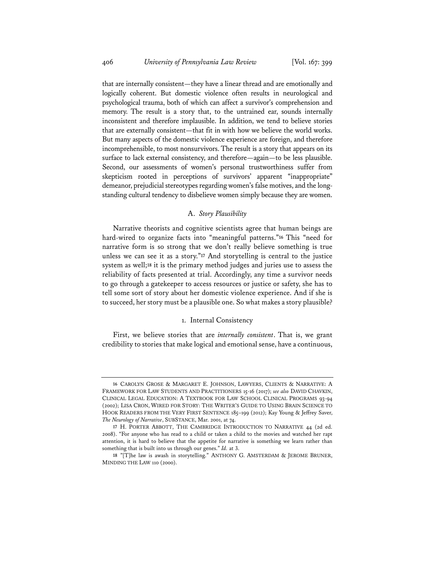that are internally consistent—they have a linear thread and are emotionally and logically coherent. But domestic violence often results in neurological and psychological trauma, both of which can affect a survivor's comprehension and memory. The result is a story that, to the untrained ear, sounds internally inconsistent and therefore implausible. In addition, we tend to believe stories that are externally consistent—that fit in with how we believe the world works. But many aspects of the domestic violence experience are foreign, and therefore incomprehensible, to most nonsurvivors. The result is a story that appears on its surface to lack external consistency, and therefore—again—to be less plausible. Second, our assessments of women's personal trustworthiness suffer from skepticism rooted in perceptions of survivors' apparent "inappropriate" demeanor, prejudicial stereotypes regarding women's false motives, and the longstanding cultural tendency to disbelieve women simply because they are women.

## A. *Story Plausibility*

Narrative theorists and cognitive scientists agree that human beings are hard-wired to organize facts into "meaningful patterns."**<sup>16</sup>** This "need for narrative form is so strong that we don't really believe something is true unless we can see it as a story."**<sup>17</sup>** And storytelling is central to the justice system as well;**<sup>18</sup>** it is the primary method judges and juries use to assess the reliability of facts presented at trial. Accordingly, any time a survivor needs to go through a gatekeeper to access resources or justice or safety, she has to tell some sort of story about her domestic violence experience. And if she is to succeed, her story must be a plausible one. So what makes a story plausible?

#### 1. Internal Consistency

First, we believe stories that are *internally consistent*. That is, we grant credibility to stories that make logical and emotional sense, have a continuous,

**<sup>16</sup>** CAROLYN GROSE & MARGARET E. JOHNSON, LAWYERS, CLIENTS & NARRATIVE: A FRAMEWORK FOR LAW STUDENTS AND PRACTITIONERS 15-16 (2017); *see also* DAVID CHAVKIN, CLINICAL LEGAL EDUCATION: A TEXTBOOK FOR LAW SCHOOL CLINICAL PROGRAMS 93-94 (2002); LISA CRON, WIRED FOR STORY: THE WRITER'S GUIDE TO USING BRAIN SCIENCE TO HOOK READERS FROM THE VERY FIRST SENTENCE 185–199 (2012); Kay Young & Jeffrey Saver, *The Neurology of Narrative*, SUBSTANCE, Mar. 2001, at 74.

**<sup>17</sup>** H. PORTER ABBOTT, THE CAMBRIDGE INTRODUCTION TO NARRATIVE 44 (2d ed. 2008). "For anyone who has read to a child or taken a child to the movies and watched her rapt attention, it is hard to believe that the appetite for narrative is something we learn rather than something that is built into us through our genes." *Id.* at 3.

**<sup>18</sup>** "[T]he law is awash in storytelling." ANTHONY G. AMSTERDAM & JEROME BRUNER, MINDING THE LAW 110 (2000).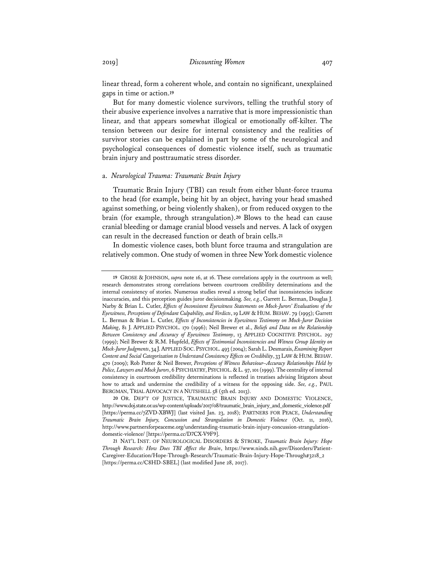linear thread, form a coherent whole, and contain no significant, unexplained gaps in time or action.**<sup>19</sup>**

But for many domestic violence survivors, telling the truthful story of their abusive experience involves a narrative that is more impressionistic than linear, and that appears somewhat illogical or emotionally off-kilter. The tension between our desire for internal consistency and the realities of survivor stories can be explained in part by some of the neurological and psychological consequences of domestic violence itself, such as traumatic brain injury and posttraumatic stress disorder.

#### a. *Neurological Trauma: Traumatic Brain Injury*

Traumatic Brain Injury (TBI) can result from either blunt-force trauma to the head (for example, being hit by an object, having your head smashed against something, or being violently shaken), or from reduced oxygen to the brain (for example, through strangulation).**<sup>20</sup>** Blows to the head can cause cranial bleeding or damage cranial blood vessels and nerves. A lack of oxygen can result in the decreased function or death of brain cells.**<sup>21</sup>**

In domestic violence cases, both blunt force trauma and strangulation are relatively common. One study of women in three New York domestic violence

**<sup>19</sup>** GROSE & JOHNSON, *supra* note 16, at 16. These correlations apply in the courtroom as well; research demonstrates strong correlations between courtroom credibility determinations and the internal consistency of stories. Numerous studies reveal a strong belief that inconsistencies indicate inaccuracies, and this perception guides juror decisionmaking. *See, e.g.*, Garrett L. Berman, Douglas J. Narby & Brian L. Cutler, *Effects of Inconsistent Eyewitness Statements on Mock-Jurors' Evaluations of the Eyewitness, Perceptions of Defendant Culpability, and Verdicts*, 19 LAW & HUM. BEHAV. 79 (1995); Garrett L. Berman & Brian L. Cutler, *Effects of Inconsistencies in Eyewitness Testimony on Mock-Juror Decision Making*, 81 J. APPLIED PSYCHOL. 170 (1996); Neil Brewer et al., *Beliefs and Data on the Relationship Between Consistency and Accuracy of Eyewitness Testimony*, 13 APPLIED COGNITIVE PSYCHOL. 297 (1999); Neil Brewer & R.M. Hupfeld, *Effects of Testimonial Inconsistencies and Witness Group Identity on Mock-Juror Judgments*, 34 J.APPLIED SOC.PSYCHOL. 493 (2004); Sarah L. Desmarais, *Examining Report Content and Social Categorization to Understand Consistency Effects on Credibility*, 33 LAW & HUM. BEHAV. 470 (2009); Rob Potter & Neil Brewer, *Perceptions of Witness Behaviour–Accuracy Relationships Held by*  Police, Lawyers and Mock Jurors, 6 PSYCHIATRY, PSYCHOL. & L. 97, 101 (1999). The centrality of internal consistency in courtroom credibility determinations is reflected in treatises advising litigators about how to attack and undermine the credibility of a witness for the opposing side. *See, e.g.*, PAUL BERGMAN, TRIAL ADVOCACY IN A NUTSHELL 58 (5th ed. 2013).

**<sup>20</sup>** OR. DEP'T OF JUSTICE, TRAUMATIC BRAIN INJURY AND DOMESTIC VIOLENCE, http://www.doj.state.or.us/wp-content/uploads/2017/08/traumatic\_brain\_injury\_and\_domestic\_violence.pdf [https://perma.cc/7ZVD-XBWJ] (last visited Jan. 23, 2018); PARTNERS FOR PEACE, *Understanding Traumatic Brain Injury, Concussion and Strangulation in Domestic Violence* (Oct. 11, 2016), http://www.partnersforpeaceme.org/understanding-traumatic-brain-injury-concussion-strangulationdomestic-violence/ [https://perma.cc/D7CX-V9F9].

**<sup>21</sup>** NAT'L INST. OF NEUROLOGICAL DISORDERS & STROKE, *Traumatic Brain Injury: Hope Through Research: How Does TBI Affect the Brain*, https://www.ninds.nih.gov/Disorders/Patient-Caregiver-Education/Hope-Through-Research/Traumatic-Brain-Injury-Hope-Through#3218\_2 [https://perma.cc/C8HD-SBEL] (last modified June 28, 2017).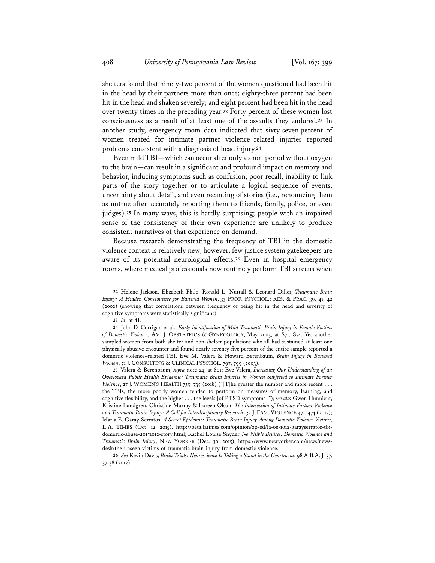shelters found that ninety-two percent of the women questioned had been hit in the head by their partners more than once; eighty-three percent had been hit in the head and shaken severely; and eight percent had been hit in the head over twenty times in the preceding year.**<sup>22</sup>** Forty percent of these women lost consciousness as a result of at least one of the assaults they endured.**<sup>23</sup>** In another study, emergency room data indicated that sixty-seven percent of women treated for intimate partner violence–related injuries reported problems consistent with a diagnosis of head injury.**<sup>24</sup>**

Even mild TBI—which can occur after only a short period without oxygen to the brain—can result in a significant and profound impact on memory and behavior, inducing symptoms such as confusion, poor recall, inability to link parts of the story together or to articulate a logical sequence of events, uncertainty about detail, and even recanting of stories (i.e., renouncing them as untrue after accurately reporting them to friends, family, police, or even judges).**<sup>25</sup>** In many ways, this is hardly surprising; people with an impaired sense of the consistency of their own experience are unlikely to produce consistent narratives of that experience on demand.

Because research demonstrating the frequency of TBI in the domestic violence context is relatively new, however, few justice system gatekeepers are aware of its potential neurological effects.**<sup>26</sup>** Even in hospital emergency rooms, where medical professionals now routinely perform TBI screens when

**<sup>22</sup>** Helene Jackson, Elizabeth Philp, Ronald L. Nuttall & Leonard Diller, *Traumatic Brain Injury: A Hidden Consequence for Battered Women*, 33 PROF. PSYCHOL.: RES. & PRAC. 39, 41, 42 (2002) (showing that correlations between frequency of being hit in the head and severity of cognitive symptoms were statistically significant).

**<sup>23</sup>** *Id.* at 41.

**<sup>24</sup>** John D. Corrigan et al., *Early Identification of Mild Traumatic Brain Injury in Female Victims of Domestic Violence*, AM. J. OBSTETRICS & GYNECOLOGY, May 2003, at S71, S74. Yet another sampled women from both shelter and non-shelter populations who all had sustained at least one physically abusive encounter and found nearly seventy-five percent of the entire sample reported a domestic violence–related TBI. Eve M. Valera & Howard Berenbaum, *Brain Injury in Battered Women*, 71 J. CONSULTING & CLINICAL PSYCHOL. 797, 799 (2003).

**<sup>25</sup>** Valera & Berenbaum, *supra* note 24, at 801; Eve Valera, *Increasing Our Understanding of an Overlooked Public Health Epidemic: Traumatic Brain Injuries in Women Subjected to Intimate Partner Violence*, 27 J. WOMEN'S HEALTH 735, 735 (2018) ("[T]he greater the number and more recent . . . the TBIs, the more poorly women tended to perform on measures of memory, learning, and cognitive flexibility, and the higher . . . the levels [of PTSD symptoms]."); *see also* Gwen Hunnicut, Kristine Lundgren, Christine Murray & Loreen Olson, *The Intersection of Intimate Partner Violence and Traumatic Brain Injury: A Call for Interdisciplinary Research*, 32 J. FAM. VIOLENCE 471, 474 (2017); Maria E. Garay-Serratos, *A Secret Epidemic: Traumatic Brain Injury Among Domestic Violence Victims*, L.A. TIMES (Oct. 12, 2015), http://beta.latimes.com/opinion/op-ed/la-oe-1012-garayserratos-tbidomestic-abuse-20151012-story.html; Rachel Louise Snyder, *No Visible Bruises: Domestic Violence and Traumatic Brain Injury*, NEW YORKER (Dec. 30, 2015), https://www.newyorker.com/news/newsdesk/the-unseen-victims-of-traumatic-brain-injury-from-domestic-violence.

**<sup>26</sup>** *See* Kevin Davis, *Brain Trials: Neuroscience Is Taking a Stand in the Courtroom*, 98 A.B.A. J. 37, 37-38 (2012).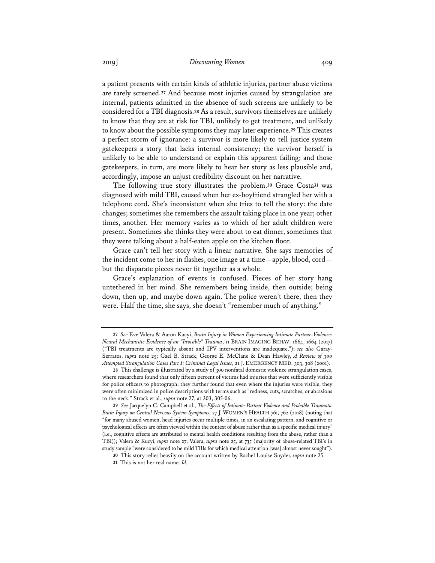a patient presents with certain kinds of athletic injuries, partner abuse victims are rarely screened.**<sup>27</sup>** And because most injuries caused by strangulation are internal, patients admitted in the absence of such screens are unlikely to be considered for a TBI diagnosis.**<sup>28</sup>** As a result, survivors themselves are unlikely to know that they are at risk for TBI, unlikely to get treatment, and unlikely to know about the possible symptoms they may later experience.**<sup>29</sup>** This creates a perfect storm of ignorance: a survivor is more likely to tell justice system gatekeepers a story that lacks internal consistency; the survivor herself is unlikely to be able to understand or explain this apparent failing; and those gatekeepers, in turn, are more likely to hear her story as less plausible and, accordingly, impose an unjust credibility discount on her narrative.

The following true story illustrates the problem.**<sup>30</sup>** Grace Costa**<sup>31</sup>** was diagnosed with mild TBI, caused when her ex-boyfriend strangled her with a telephone cord. She's inconsistent when she tries to tell the story: the date changes; sometimes she remembers the assault taking place in one year; other times, another. Her memory varies as to which of her adult children were present. Sometimes she thinks they were about to eat dinner, sometimes that they were talking about a half-eaten apple on the kitchen floor.

Grace can't tell her story with a linear narrative. She says memories of the incident come to her in flashes, one image at a time—apple, blood, cord but the disparate pieces never fit together as a whole.

Grace's explanation of events is confused. Pieces of her story hang untethered in her mind. She remembers being inside, then outside; being down, then up, and maybe down again. The police weren't there, then they were. Half the time, she says, she doesn't "remember much of anything."

**<sup>27</sup>** *See* Eve Valera & Aaron Kucyi, *Brain Injury in Women Experiencing Intimate Partner-Violence: Neural Mechanistic Evidence of an "Invisible" Trauma*, 11 BRAIN IMAGING BEHAV. 1664, 1664 (2017) ("TBI treatments are typically absent and IPV interventions are inadequate."); *see also* Garay-Serratos, *supra* note 25; Gael B. Strack, George E. McClane & Dean Hawley, *A Review of 300 Attempted Strangulation Cases Part I: Criminal Legal Issues*, 21 J. EMERGENCY MED. 303, 308 (2001).

**<sup>28</sup>** This challenge is illustrated by a study of 300 nonfatal domestic violence strangulation cases, where researchers found that only fifteen percent of victims had injuries that were sufficiently visible for police officers to photograph; they further found that even where the injuries were visible, they were often minimized in police descriptions with terms such as "redness, cuts, scratches, or abrasions to the neck." Strack et al., *supra* note 27, at 303, 305-06.

**<sup>29</sup>** *See* Jacquelyn C. Campbell et al., *The Effects of Intimate Partner Violence and Probable Traumatic Brain Injury on Central Nervous System Symptoms*, 27 J. WOMEN'S HEALTH 761, 762 (2018) (noting that "for many abused women, head injuries occur multiple times, in an escalating pattern, and cognitive or psychological effects are often viewed within the context of abuse rather than as a specific medical injury" (i.e., cognitive effects are attributed to mental health conditions resulting from the abuse, rather than a TBI)); Valera & Kucyi, *supra* note 27; Valera, *supra* note 25, at 735 (majority of abuse-related TBI's in study sample "were considered to be mild TBIs for which medical attention [was] almost never sought").

**<sup>30</sup>** This story relies heavily on the account written by Rachel Louise Snyder, *supra* note 25.

**<sup>31</sup>** This is not her real name. *Id.*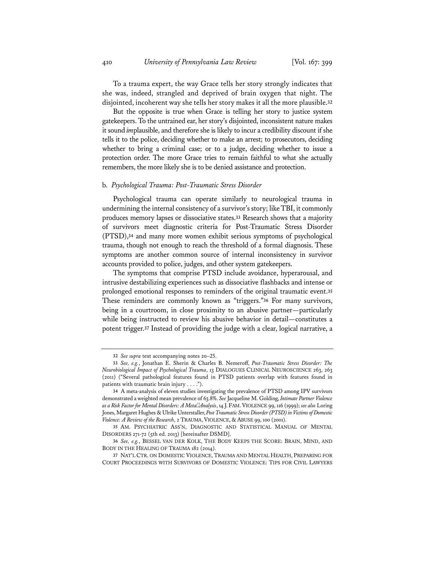To a trauma expert, the way Grace tells her story strongly indicates that she was, indeed, strangled and deprived of brain oxygen that night. The disjointed, incoherent way she tells her story makes it all the more plausible.**<sup>32</sup>**

But the opposite is true when Grace is telling her story to justice system gatekeepers. To the untrained ear, her story's disjointed, inconsistent nature makes it sound *im*plausible, and therefore she is likely to incur a credibility discount if she tells it to the police, deciding whether to make an arrest; to prosecutors, deciding whether to bring a criminal case; or to a judge, deciding whether to issue a protection order. The more Grace tries to remain faithful to what she actually remembers, the more likely she is to be denied assistance and protection.

#### b. *Psychological Trauma: Post-Traumatic Stress Disorder*

Psychological trauma can operate similarly to neurological trauma in undermining the internal consistency of a survivor's story; like TBI, it commonly produces memory lapses or dissociative states.**<sup>33</sup>** Research shows that a majority of survivors meet diagnostic criteria for Post-Traumatic Stress Disorder (PTSD),**<sup>34</sup>** and many more women exhibit serious symptoms of psychological trauma, though not enough to reach the threshold of a formal diagnosis. These symptoms are another common source of internal inconsistency in survivor accounts provided to police, judges, and other system gatekeepers.

The symptoms that comprise PTSD include avoidance, hyperarousal, and intrusive destabilizing experiences such as dissociative flashbacks and intense or prolonged emotional responses to reminders of the original traumatic event.**<sup>35</sup>** These reminders are commonly known as "triggers."**<sup>36</sup>** For many survivors, being in a courtroom, in close proximity to an abusive partner—particularly while being instructed to review his abusive behavior in detail—constitutes a potent trigger.**<sup>37</sup>** Instead of providing the judge with a clear, logical narrative, a

**<sup>32</sup>** *See supra* text accompanying notes 20–25.

**<sup>33</sup>** *See, e.g.*, Jonathan E. Sherin & Charles B. Nemeroff, *Post-Traumatic Stress Disorder: The Neurobiological Impact of Psychological Trauma*, 13 DIALOGUES CLINICAL NEUROSCIENCE 263, 263 (2011) ("Several pathological features found in PTSD patients overlap with features found in patients with traumatic brain injury . . . .").

**<sup>34</sup>** A meta-analysis of eleven studies investigating the prevalence of PTSD among IPV survivors demonstrated a weighted mean prevalence of 63.8%. *See* Jacqueline M. Golding, *Intimate Partner Violence as a Risk Factor for Mental Disorders: A MetaAnalysis*, 14 J. FAM.VIOLENCE 99, 116 (1999); *see also* Loring Jones, Margaret Hughes & Ulrike Unterstaller, *Post Traumatic Stress Disorder (PTSD) in Victims of Domestic Violence: A Review of the Research*, 2 TRAUMA, VIOLENCE, & ABUSE 99, 100 (2001).

**<sup>35</sup>** AM. PSYCHIATRIC ASS'N, DIAGNOSTIC AND STATISTICAL MANUAL OF MENTAL DISORDERS 271-72 (5th ed. 2013) [hereinafter DSMD].

**<sup>36</sup>** *See, e.g.*, BESSEL VAN DER KOLK, THE BODY KEEPS THE SCORE: BRAIN, MIND, AND BODY IN THE HEALING OF TRAUMA 182 (2014).

**<sup>37</sup>** NAT'L CTR. ON DOMESTIC VIOLENCE, TRAUMA AND MENTAL HEALTH, PREPARING FOR COURT PROCEEDINGS WITH SURVIVORS OF DOMESTIC VIOLENCE: TIPS FOR CIVIL LAWYERS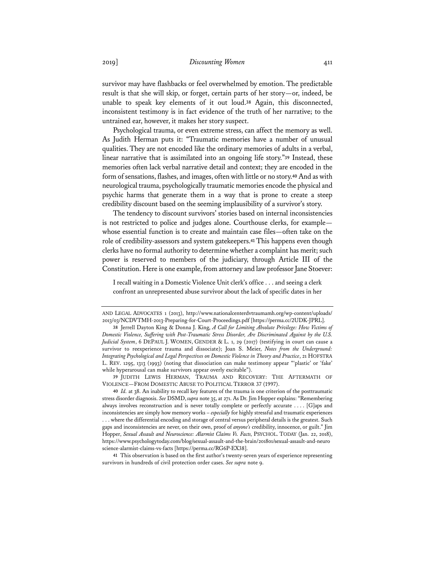survivor may have flashbacks or feel overwhelmed by emotion. The predictable result is that she will skip, or forget, certain parts of her story—or, indeed, be unable to speak key elements of it out loud.**<sup>38</sup>** Again, this disconnected, inconsistent testimony is in fact evidence of the truth of her narrative; to the untrained ear, however, it makes her story suspect.

Psychological trauma, or even extreme stress, can affect the memory as well. As Judith Herman puts it: "Traumatic memories have a number of unusual qualities. They are not encoded like the ordinary memories of adults in a verbal, linear narrative that is assimilated into an ongoing life story."**<sup>39</sup>** Instead, these memories often lack verbal narrative detail and context; they are encoded in the form of sensations, flashes, and images, often with little or no story.**<sup>40</sup>** And as with neurological trauma, psychologically traumatic memories encode the physical and psychic harms that generate them in a way that is prone to create a steep credibility discount based on the seeming implausibility of a survivor's story.

The tendency to discount survivors' stories based on internal inconsistencies is not restricted to police and judges alone. Courthouse clerks, for example whose essential function is to create and maintain case files—often take on the role of credibility-assessors and system gatekeepers.**<sup>41</sup>** This happens even though clerks have no formal authority to determine whether a complaint has merit; such power is reserved to members of the judiciary, through Article III of the Constitution. Here is one example, from attorney and law professor Jane Stoever:

I recall waiting in a Domestic Violence Unit clerk's office . . . and seeing a clerk confront an unrepresented abuse survivor about the lack of specific dates in her

**39** JUDITH LEWIS HERMAN, TRAUMA AND RECOVERY: THE AFTERMATH OF VIOLENCE—FROM DOMESTIC ABUSE TO POLITICAL TERROR 37 (1997).

**41** This observation is based on the first author's twenty-seven years of experience representing survivors in hundreds of civil protection order cases. *See supra* note 9.

AND LEGAL ADVOCATES 1 (2013), http://www.nationalcenterdvtraumamh.org/wp-content/uploads/ 2013/03/NCDVTMH-2013-Preparing-for-Court-Proceedings.pdf [https://perma.cc/2UDK-JPRL].

**<sup>38</sup>** Jerrell Dayton King & Donna J. King, *A Call for Limiting Absolute Privilege: How Victims of Domestic Violence, Suffering with Post-Traumatic Stress Disorder, Are Discriminated Against by the U.S. Judicial System*, 6 DEPAUL J. WOMEN, GENDER & L. 1, 29 (2017) (testifying in court can cause a survivor to reexperience trauma and dissociate); Joan S. Meier, *Notes from the Underground: Integrating Psychological and Legal Perspectives on Domestic Violence in Theory and Practice*, 21 HOFSTRA L. REV. 1295, 1313 (1993) (noting that dissociation can make testimony appear "'plastic' or 'fake' while hyperarousal can make survivors appear overly excitable").

**<sup>40</sup>** *Id.* at 38. An inability to recall key features of the trauma is one criterion of the posttraumatic stress disorder diagnosis. *See* DSMD, *supra* note 35, at 271. As Dr. Jim Hopper explains: "Remembering always involves reconstruction and is never totally complete or perfectly accurate . . . . [G]aps and inconsistencies are simply how memory works – *especially* for highly stressful and traumatic experiences . . . where the differential encoding and storage of central versus peripheral details is the greatest. Such gaps and inconsistencies are never, on their own, proof of *anyone's* credibility, innocence, or guilt." Jim Hopper, *Sexual Assault and Neuroscience: Alarmist Claims Vs. Facts,* PSYCHOL. TODAY (Jan. 22, 2018), https://www.psychologytoday.com/blog/sexual-assault-and-the-brain/201801/sexual-assault-and-neuro science-alarmist-claims-vs-facts [https://perma.cc/RG6P-EX38].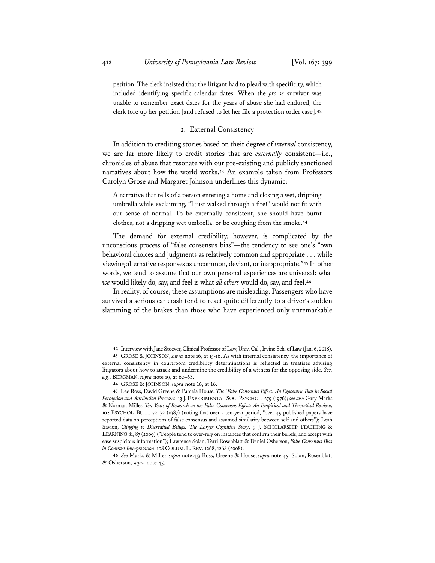petition. The clerk insisted that the litigant had to plead with specificity, which included identifying specific calendar dates. When the *pro se* survivor was unable to remember exact dates for the years of abuse she had endured, the clerk tore up her petition [and refused to let her file a protection order case].**<sup>42</sup>**

#### 2. External Consistency

In addition to crediting stories based on their degree of *internal* consistency, we are far more likely to credit stories that are *externally* consistent—i.e., chronicles of abuse that resonate with our pre-existing and publicly sanctioned narratives about how the world works.**<sup>43</sup>** An example taken from Professors Carolyn Grose and Margaret Johnson underlines this dynamic:

A narrative that tells of a person entering a home and closing a wet, dripping umbrella while exclaiming, "I just walked through a fire!" would not fit with our sense of normal. To be externally consistent, she should have burnt clothes, not a dripping wet umbrella, or be coughing from the smoke.**<sup>44</sup>**

The demand for external credibility, however, is complicated by the unconscious process of "false consensus bias"—the tendency to see one's "own behavioral choices and judgments as relatively common and appropriate . . . while viewing alternative responses as uncommon, deviant, or inappropriate."**<sup>45</sup>** In other words, we tend to assume that our own personal experiences are universal: what *we* would likely do, say, and feel is what *all others* would do, say, and feel.**<sup>46</sup>**

In reality, of course, these assumptions are misleading. Passengers who have survived a serious car crash tend to react quite differently to a driver's sudden slamming of the brakes than those who have experienced only unremarkable

**<sup>42</sup>** Interview with Jane Stoever, Clinical Professor of Law, Univ. Cal., Irvine Sch. of Law (Jan. 6, 2018). **43** GROSE & JOHNSON, *supra* note 16, at 15-16. As with internal consistency, the importance of

external consistency in courtroom credibility determinations is reflected in treatises advising litigators about how to attack and undermine the credibility of a witness for the opposing side. *See, e.g.*, BERGMAN, *supra* note 19, at 62–63.

**<sup>44</sup>** GROSE & JOHNSON, *supra* note 16, at 16.

**<sup>45</sup>** Lee Ross, David Greene & Pamela House, *The "False Consensus Effect: An Egocentric Bias in Social Perception and Attribution Processes*, 13 J. EXPERIMENTAL SOC. PSYCHOL. 279 (1976); *see also* Gary Marks & Norman Miller, *Ten Years of Research on the False-Consensus Effect: An Empirical and Theoretical Review*, 102 PSYCHOL. BULL. 72, 72 (1987) (noting that over a ten-year period, "over 45 published papers have reported data on perceptions of false consensus and assumed similarity between self and others"); Leah Savion, *Clinging to Discredited Beliefs: The Larger Cognitive Story*, 9 J. SCHOLARSHIP TEACHING & LEARNING 81, 87 (2009) ("People tend to over-rely on instances that confirm their beliefs, and accept with ease suspicious information"); Lawrence Solan, Terri Rosenblatt & Daniel Osherson, *False Consensus Bias in Contract Interpretation*, 108 COLUM. L. REV. 1268, 1268 (2008).

**<sup>46</sup>** *See* Marks & Miller, *supra* note 45; Ross, Greene & House, *supra* note 45; Solan, Rosenblatt & Osherson, *supra* note 45.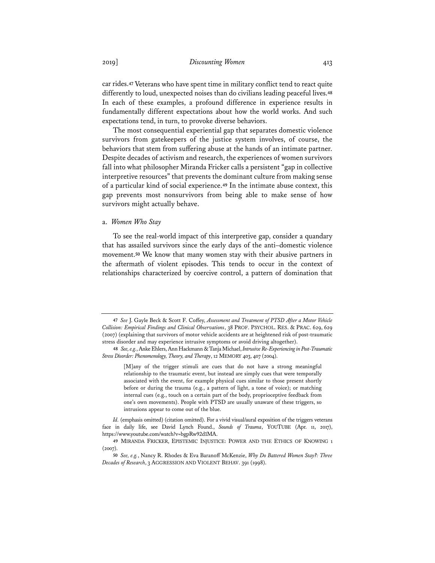car rides.**<sup>47</sup>** Veterans who have spent time in military conflict tend to react quite differently to loud, unexpected noises than do civilians leading peaceful lives.**<sup>48</sup>** In each of these examples, a profound difference in experience results in fundamentally different expectations about how the world works. And such expectations tend, in turn, to provoke diverse behaviors.

The most consequential experiential gap that separates domestic violence survivors from gatekeepers of the justice system involves, of course, the behaviors that stem from suffering abuse at the hands of an intimate partner. Despite decades of activism and research, the experiences of women survivors fall into what philosopher Miranda Fricker calls a persistent "gap in collective interpretive resources" that prevents the dominant culture from making sense of a particular kind of social experience.**<sup>49</sup>** In the intimate abuse context, this gap prevents most nonsurvivors from being able to make sense of how survivors might actually behave.

#### a. *Women Who Stay*

To see the real-world impact of this interpretive gap, consider a quandary that has assailed survivors since the early days of the anti–domestic violence movement.**<sup>50</sup>** We know that many women stay with their abusive partners in the aftermath of violent episodes. This tends to occur in the context of relationships characterized by coercive control, a pattern of domination that

**<sup>47</sup>** *See* J. Gayle Beck & Scott F. Coffey, *Assessment and Treatment of PTSD After a Motor Vehicle Collision: Empirical Findings and Clinical Observations*, 38 PROF. PSYCHOL. RES. & PRAC. 629, 629 (2007) (explaining that survivors of motor vehicle accidents are at heightened risk of post-traumatic stress disorder and may experience intrusive symptoms or avoid driving altogether).

**<sup>48</sup>** *See, e.g.*, Anke Ehlers, Ann Hackmann & Tanja Michael, *Intrusive Re-Experiencing in Post-Traumatic Stress Disorder: Phenomenology, Theory, and Therapy*, 12 MEMORY 403, 407 (2004).

<sup>[</sup>M]any of the trigger stimuli are cues that do not have a strong meaningful relationship to the traumatic event, but instead are simply cues that were temporally associated with the event, for example physical cues similar to those present shortly before or during the trauma (e.g., a pattern of light, a tone of voice); or matching internal cues (e.g., touch on a certain part of the body, proprioceptive feedback from one's own movements). People with PTSD are usually unaware of these triggers, so intrusions appear to come out of the blue.

*Id.* (emphasis omitted) (citation omitted). For a vivid visual/aural exposition of the triggers veterans face in daily life, see David Lynch Found., *Sounds of Trauma*, YOUTUBE (Apr. 11, 2017), https://www.youtube.com/watch?v=bgpRw92d1MA.

**<sup>49</sup>** MIRANDA FRICKER, EPISTEMIC INJUSTICE: POWER AND THE ETHICS OF KNOWING 1 (2007).

**<sup>50</sup>** *See, e.g.*, Nancy R. Rhodes & Eva Baranoff McKenzie, *Why Do Battered Women Stay?: Three Decades of Research*, 3 AGGRESSION AND VIOLENT BEHAV. 391 (1998).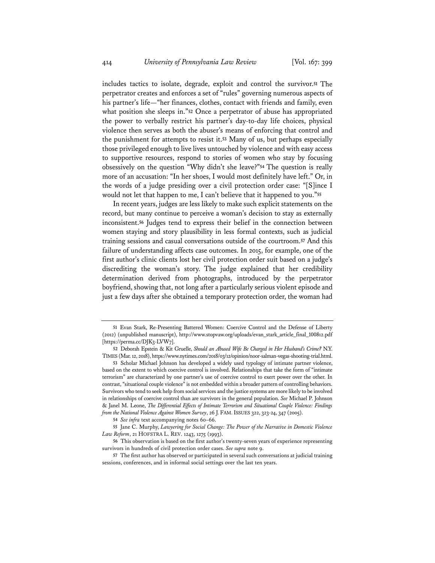includes tactics to isolate, degrade, exploit and control the survivor.**<sup>51</sup>** The perpetrator creates and enforces a set of "rules" governing numerous aspects of his partner's life—"her finances, clothes, contact with friends and family, even what position she sleeps in."**<sup>52</sup>** Once a perpetrator of abuse has appropriated the power to verbally restrict his partner's day-to-day life choices, physical violence then serves as both the abuser's means of enforcing that control and the punishment for attempts to resist it.**<sup>53</sup>** Many of us, but perhaps especially those privileged enough to live lives untouched by violence and with easy access to supportive resources, respond to stories of women who stay by focusing obsessively on the question "Why didn't she leave?"**<sup>54</sup>** The question is really more of an accusation: "In her shoes, I would most definitely have left." Or, in the words of a judge presiding over a civil protection order case: "[S]ince I would not let that happen to me, I can't believe that it happened to you."**<sup>55</sup>**

In recent years, judges are less likely to make such explicit statements on the record, but many continue to perceive a woman's decision to stay as externally inconsistent.**<sup>56</sup>** Judges tend to express their belief in the connection between women staying and story plausibility in less formal contexts, such as judicial training sessions and casual conversations outside of the courtroom.**<sup>57</sup>** And this failure of understanding affects case outcomes. In 2015, for example, one of the first author's clinic clients lost her civil protection order suit based on a judge's discrediting the woman's story. The judge explained that her credibility determination derived from photographs, introduced by the perpetrator boyfriend, showing that, not long after a particularly serious violent episode and just a few days after she obtained a temporary protection order, the woman had

**<sup>51</sup>** Evan Stark, Re-Presenting Battered Women: Coercive Control and the Defense of Liberty (2012) (unpublished manuscript), http://www.stopvaw.org/uploads/evan\_stark\_article\_final\_100812.pdf [https://perma.cc/DJK3-LVW7].

**<sup>52</sup>** Deborah Epstein & Kit Gruelle, *Should an Abused Wife Be Charged in Her Husband's Crime?* N.Y. TIMES (Mar. 12, 2018), https://www.nytimes.com/2018/03/12/opinion/noor-salman-vegas-shooting-trial.html.

**<sup>53</sup>** Scholar Michael Johnson has developed a widely used typology of intimate partner violence, based on the extent to which coercive control is involved. Relationships that take the form of "intimate terrorism" are characterized by one partner's use of coercive control to exert power over the other. In contrast, "situational couple violence" is not embedded within a broader pattern of controlling behaviors. Survivors who tend to seek help from social services and the justice systems are more likely to be involved in relationships of coercive control than are survivors in the general population. *See* Michael P. Johnson & Janel M. Leone, *The Differential Effects of Intimate Terrorism and Situational Couple Violence: Findings from the National Violence Against Women Survey*, 26 J. FAM.ISSUES 322, 323-24, 347 (2005).

**<sup>54</sup>** *See infra* text accompanying notes 60–66.

**<sup>55</sup>** Jane C. Murphy, *Lawyering for Social Change: The Power of the Narrative in Domestic Violence Law Reform*, 21 HOFSTRA L. REV. 1243, 1275 (1993).

**<sup>56</sup>** This observation is based on the first author's twenty-seven years of experience representing survivors in hundreds of civil protection order cases. *See supra* note 9.

**<sup>57</sup>** The first author has observed or participated in several such conversations at judicial training sessions, conferences, and in informal social settings over the last ten years.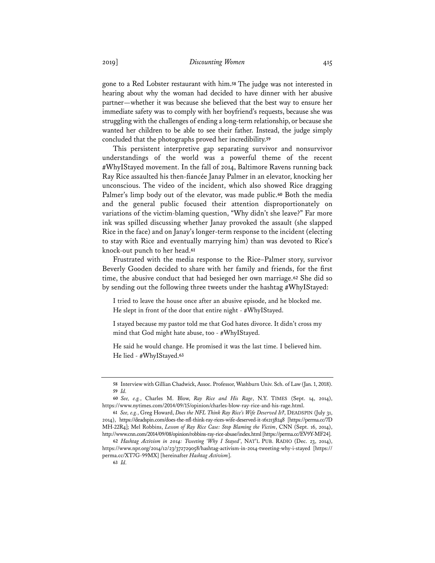gone to a Red Lobster restaurant with him.**<sup>58</sup>** The judge was not interested in hearing about why the woman had decided to have dinner with her abusive partner—whether it was because she believed that the best way to ensure her immediate safety was to comply with her boyfriend's requests, because she was struggling with the challenges of ending a long-term relationship, or because she wanted her children to be able to see their father. Instead, the judge simply concluded that the photographs proved her incredibility.**<sup>59</sup>**

This persistent interpretive gap separating survivor and nonsurvivor understandings of the world was a powerful theme of the recent #WhyIStayed movement. In the fall of 2014, Baltimore Ravens running back Ray Rice assaulted his then-fiancée Janay Palmer in an elevator, knocking her unconscious. The video of the incident, which also showed Rice dragging Palmer's limp body out of the elevator, was made public.**<sup>60</sup>** Both the media and the general public focused their attention disproportionately on variations of the victim-blaming question, "Why didn't she leave?" Far more ink was spilled discussing whether Janay provoked the assault (she slapped Rice in the face) and on Janay's longer-term response to the incident (electing to stay with Rice and eventually marrying him) than was devoted to Rice's knock-out punch to her head.**<sup>61</sup>**

Frustrated with the media response to the Rice–Palmer story, survivor Beverly Gooden decided to share with her family and friends, for the first time, the abusive conduct that had besieged her own marriage.**<sup>62</sup>** She did so by sending out the following three tweets under the hashtag #WhyIStayed:

I tried to leave the house once after an abusive episode, and he blocked me. He slept in front of the door that entire night - #WhyIStayed.

I stayed because my pastor told me that God hates divorce. It didn't cross my mind that God might hate abuse, too - #WhyIStayed.

He said he would change. He promised it was the last time. I believed him. He lied - #WhyIStayed.**<sup>63</sup>**

**<sup>58</sup>** Interview with Gillian Chadwick, Assoc. Professor, Washburn Univ. Sch. of Law (Jan. 1, 2018). **59** *Id.* 

**<sup>60</sup>** *See, e.g.*, Charles M. Blow, *Ray Rice and His Rage*, N.Y. TIMES (Sept. 14, 2014), https://www.nytimes.com/2014/09/15/opinion/charles-blow-ray-rice-and-his-rage.html.

**<sup>61</sup>** *See, e.g.*, Greg Howard, *Does the NFL Think Ray Rice's Wife Deserved It?*, DEADSPIN (July 31, 2014), https://deadspin.com/does-the-nfl-think-ray-rices-wife-deserved-it-1612138248 [https://perma.cc/7D MH-22R4]; Mel Robbins, *Lesson of Ray Rice Case: Stop Blaming the Victim*, CNN (Sept. 16, 2014), http://www.cnn.com/2014/09/08/opinion/robbins-ray-rice-abuse/index.html [https://perma.cc/EV9Y-MF24].

**<sup>62</sup>** *Hashtag Activism in 2014: Tweeting 'Why I Stayed'*, NAT'L PUB. RADIO (Dec. 23, 2014), https://www.npr.org/2014/12/23/372729058/hashtag-activism-in-2014-tweeting-why-i-stayed [https:// perma.cc/XT7G-99MX] [hereinafter *Hashtag Activism*].

**<sup>63</sup>** *Id.*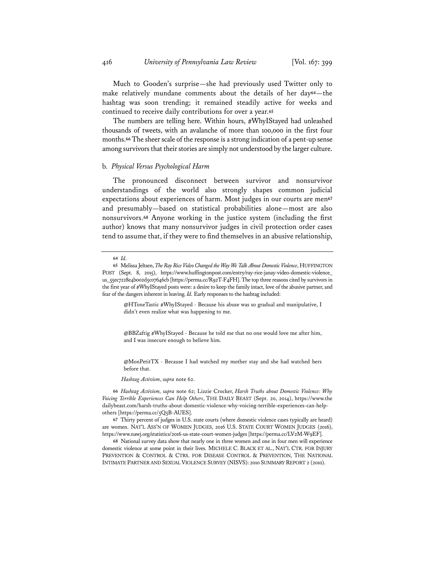Much to Gooden's surprise—she had previously used Twitter only to make relatively mundane comments about the details of her day**<sup>64</sup>**—the hashtag was soon trending; it remained steadily active for weeks and continued to receive daily contributions for over a year.**<sup>65</sup>**

The numbers are telling here. Within hours, #WhyIStayed had unleashed thousands of tweets, with an avalanche of more than 100,000 in the first four months.**<sup>66</sup>** The sheer scale of the response is a strong indication of a pent-up sense among survivors that their stories are simply not understood by the larger culture.

#### b. *Physical Versus Psychological Harm*

The pronounced disconnect between survivor and nonsurvivor understandings of the world also strongly shapes common judicial expectations about experiences of harm. Most judges in our courts are men**<sup>67</sup>** and presumably—based on statistical probabilities alone—most are also nonsurvivors.**<sup>68</sup>** Anyone working in the justice system (including the first author) knows that many nonsurvivor judges in civil protection order cases tend to assume that, if they were to find themselves in an abusive relationship,

@HToneTastic #WhyIStayed - Because his abuse was so gradual and manipulative, I didn't even realize what was happening to me.

@BBZaftig #WhyIStayed - Because he told me that no one would love me after him, and I was insecure enough to believe him.

@MonPetitTX - Because I had watched my mother stay and she had watched hers before that.

*Hashtag Activism*, *supra* note 62.

**66** *Hashtag Activism, supra* note 62; Lizzie Crocker, *Harsh Truths about Domestic Violence: Why Voicing Terrible Experiences Can Help Others*, THE DAILY BEAST (Sept. 20, 2014), https://www.the dailybeast.com/harsh-truths-about-domestic-violence-why-voicing-terrible-experiences-can-helpothers [https://perma.cc/5Q5B-AUES].

**67** Thirty percent of judges in U.S. state courts (where domestic violence cases typically are heard) are women. NAT'L ASS'N OF WOMEN JUDGES, 2016 U.S. STATE COURT WOMEN JUDGES (2016), https://www.nawj.org/statistics/2016-us-state-court-women-judges [https://perma.cc/LV2M-W9EF].

**68** National survey data show that nearly one in three women and one in four men will experience domestic violence at some point in their lives. MICHELE C. BLACK ET AL., NAT'L CTR. FOR INJURY PREVENTION & CONTROL & CTRS. FOR DISEASE CONTROL & PREVENTION, THE NATIONAL INTIMATE PARTNER AND SEXUAL VIOLENCE SURVEY (NISVS): 2010 SUMMARY REPORT 2 (2010).

**<sup>64</sup>** *Id.*

**<sup>65</sup>** Melissa Jeltsen, *The Ray Rice Video Changed the Way We Talk About Domestic Violence*, HUFFINGTON POST (Sept. 8, 2015), https://www.huffingtonpost.com/entry/ray-rice-janay-video-domestic-violence\_ us\_55ec7228e4b002d5c07646cb [https://perma.cc/R92T-F4FH]. The top three reasons cited by survivors in the first year of #WhyIStayed posts were: a desire to keep the family intact, love of the abusive partner, and fear of the dangers inherent in leaving. *Id.* Early responses to the hashtag included: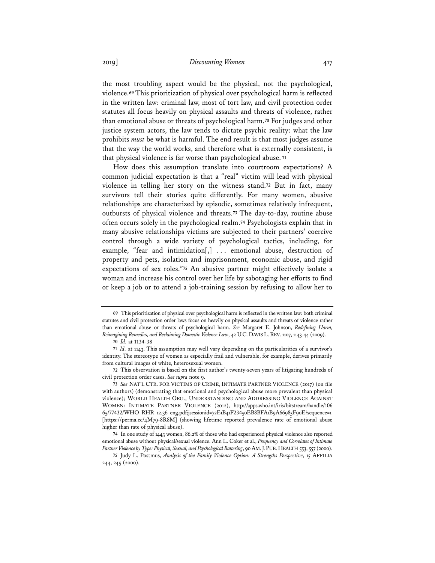the most troubling aspect would be the physical, not the psychological, violence.**<sup>69</sup>** This prioritization of physical over psychological harm is reflected in the written law: criminal law, most of tort law, and civil protection order statutes all focus heavily on physical assaults and threats of violence, rather than emotional abuse or threats of psychological harm.**<sup>70</sup>** For judges and other justice system actors, the law tends to dictate psychic reality: what the law prohibits *must* be what is harmful. The end result is that most judges assume that the way the world works, and therefore what is externally consistent, is that physical violence is far worse than psychological abuse. **<sup>71</sup>**

How does this assumption translate into courtroom expectations? A common judicial expectation is that a "real" victim will lead with physical violence in telling her story on the witness stand.**<sup>72</sup>** But in fact, many survivors tell their stories quite differently. For many women, abusive relationships are characterized by episodic, sometimes relatively infrequent, outbursts of physical violence and threats.**<sup>73</sup>** The day-to-day, routine abuse often occurs solely in the psychological realm.**<sup>74</sup>** Psychologists explain that in many abusive relationships victims are subjected to their partners' coercive control through a wide variety of psychological tactics, including, for example, "fear and intimidation[,] . . . emotional abuse, destruction of property and pets, isolation and imprisonment, economic abuse, and rigid expectations of sex roles."**<sup>75</sup>** An abusive partner might effectively isolate a woman and increase his control over her life by sabotaging her efforts to find or keep a job or to attend a job-training session by refusing to allow her to

**<sup>69</sup>** This prioritization of physical over psychological harm is reflected in the written law: both criminal statutes and civil protection order laws focus on heavily on physical assaults and threats of violence rather than emotional abuse or threats of psychological harm. *See* Margaret E. Johnson, *Redefining Harm, Reimagining Remedies, and Reclaiming Domestic Violence Law*, 42 U.C.DAVIS L.REV.1107, 1143-44 (2009).

**<sup>70</sup>** *Id.* at 1134-38

**<sup>71</sup>** *Id.* at 1143. This assumption may well vary depending on the particularities of a survivor's identity. The stereotype of women as especially frail and vulnerable, for example, derives primarily from cultural images of white, heterosexual women.

**<sup>72</sup>** This observation is based on the first author's twenty-seven years of litigating hundreds of civil protection order cases. *See supra* note 9.

**<sup>73</sup>** *See* NAT'L CTR. FOR VICTIMS OF CRIME, INTIMATE PARTNER VIOLENCE (2017) (on file with authors) (demonstrating that emotional and psychological abuse more prevalent than physical violence); WORLD HEALTH ORG., UNDERSTANDING AND ADDRESSING VIOLENCE AGAINST WOMEN: INTIMATE PARTNER VIOLENCE (2012), http://apps.who.int/iris/bitstream/handle/106 65/77432/WHO\_RHR\_12.36\_eng.pdf;jsessionid=72E1B41F23450EB8BFA1B9A66985F90E?sequence=1 [https://perma.cc/4M79-8R8M] (showing lifetime reported prevalence rate of emotional abuse higher than rate of physical abuse).

**<sup>74</sup>** In one study of 1443 women, 86.2% of those who had experienced physical violence also reported emotional abuse without physical/sexual violence. Ann L. Coker et al., *Frequency and Correlates of Intimate Partner Violence by Type: Physical, Sexual, and Psychological Battering*, 90 AM. J. PUB. HEALTH 553, 557 (2000).

**<sup>75</sup>** Judy L. Postmus, *Analysis of the Family Violence Option: A Strengths Perspective*, 15 AFFILIA 244, 245 (2000).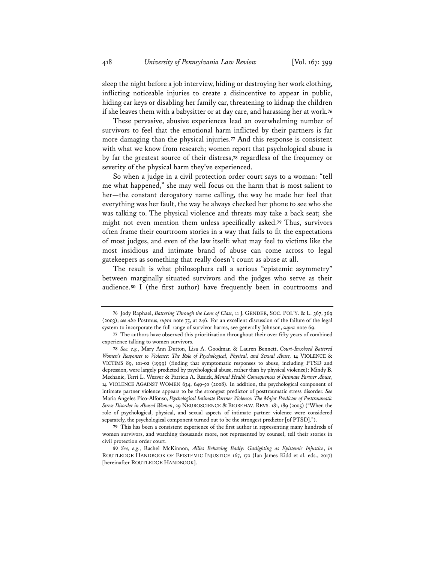sleep the night before a job interview, hiding or destroying her work clothing, inflicting noticeable injuries to create a disincentive to appear in public, hiding car keys or disabling her family car, threatening to kidnap the children if she leaves them with a babysitter or at day care, and harassing her at work.**<sup>76</sup>**

These pervasive, abusive experiences lead an overwhelming number of survivors to feel that the emotional harm inflicted by their partners is far more damaging than the physical injuries.**<sup>77</sup>** And this response is consistent with what we know from research; women report that psychological abuse is by far the greatest source of their distress,**<sup>78</sup>** regardless of the frequency or severity of the physical harm they've experienced.

So when a judge in a civil protection order court says to a woman: "tell me what happened," she may well focus on the harm that is most salient to her—the constant derogatory name calling, the way he made her feel that everything was her fault, the way he always checked her phone to see who she was talking to. The physical violence and threats may take a back seat; she might not even mention them unless specifically asked.**<sup>79</sup>** Thus, survivors often frame their courtroom stories in a way that fails to fit the expectations of most judges, and even of the law itself: what may feel to victims like the most insidious and intimate brand of abuse can come across to legal gatekeepers as something that really doesn't count as abuse at all.

The result is what philosophers call a serious "epistemic asymmetry" between marginally situated survivors and the judges who serve as their audience.**<sup>80</sup>** I (the first author) have frequently been in courtrooms and

**<sup>76</sup>** Jody Raphael, *Battering Through the Lens of Class*, 11 J. GENDER, SOC. POL'Y. & L. 367, 369 (2003); *see also* Postmus, *supra* note 75, at 246. For an excellent discussion of the failure of the legal system to incorporate the full range of survivor harms, see generally Johnson, *supra* note 69.

**<sup>77</sup>** The authors have observed this prioritization throughout their over fifty years of combined experience talking to women survivors.

**<sup>78</sup>** *See, e.g.*, Mary Ann Dutton, Lisa A. Goodman & Lauren Bennett, *Court-Involved Battered Women's Responses to Violence: The Role of Psychological, Physical, and Sexual Abuse,* 14 VIOLENCE & VICTIMS 89, 101-02 (1999) (finding that symptomatic responses to abuse, including PTSD and depression, were largely predicted by psychological abuse, rather than by physical violence); Mindy B. Mechanic, Terri L. Weaver & Patricia A. Resick, *Mental Health Consequences of Intimate Partner Abuse*, 14 VIOLENCE AGAINST WOMEN 634, 649-50 (2008). In addition, the psychological component of intimate partner violence appears to be the strongest predictor of posttraumatic stress disorder. *See* Maria Angeles Pico-Alfonso, *Psychological Intimate Partner Violence: The Major Predictor of Posttraumatic Stress Disorder in Abused Women*, 29 NEUROSCIENCE & BIOBEHAV. REVS. 181, 189 (2005) ("When the role of psychological, physical, and sexual aspects of intimate partner violence were considered separately, the psychological component turned out to be the strongest predictor [of PTSD].").

**<sup>79</sup>** This has been a consistent experience of the first author in representing many hundreds of women survivors, and watching thousands more, not represented by counsel, tell their stories in civil protection order court.

**<sup>80</sup>** *See, e.g.*, Rachel McKinnon, *Allies Behaving Badly: Gaslighting as Epistemic Injustice*, *in* ROUTLEDGE HANDBOOK OF EPISTEMIC INJUSTICE 167, 170 (Ian James Kidd et al. eds., 2017) [hereinafter ROUTLEDGE HANDBOOK].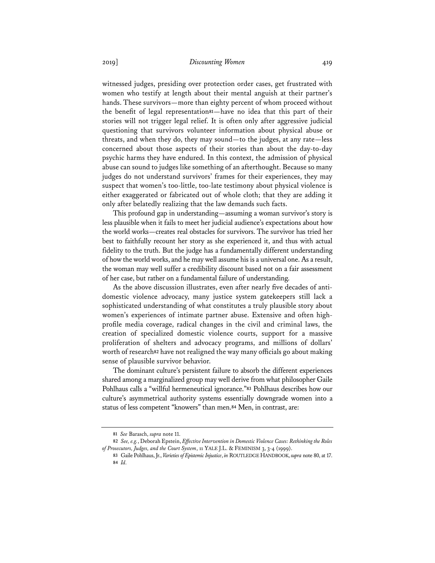witnessed judges, presiding over protection order cases, get frustrated with women who testify at length about their mental anguish at their partner's hands. These survivors—more than eighty percent of whom proceed without the benefit of legal representation**<sup>81</sup>**—have no idea that this part of their stories will not trigger legal relief. It is often only after aggressive judicial questioning that survivors volunteer information about physical abuse or threats, and when they do, they may sound—to the judges, at any rate—less concerned about those aspects of their stories than about the day-to-day psychic harms they have endured. In this context, the admission of physical abuse can sound to judges like something of an afterthought. Because so many judges do not understand survivors' frames for their experiences, they may suspect that women's too-little, too-late testimony about physical violence is either exaggerated or fabricated out of whole cloth; that they are adding it only after belatedly realizing that the law demands such facts.

This profound gap in understanding—assuming a woman survivor's story is less plausible when it fails to meet her judicial audience's expectations about how the world works—creates real obstacles for survivors. The survivor has tried her best to faithfully recount her story as she experienced it, and thus with actual fidelity to the truth. But the judge has a fundamentally different understanding of how the world works, and he may well assume his is a universal one. As a result, the woman may well suffer a credibility discount based not on a fair assessment of her case, but rather on a fundamental failure of understanding.

As the above discussion illustrates, even after nearly five decades of antidomestic violence advocacy, many justice system gatekeepers still lack a sophisticated understanding of what constitutes a truly plausible story about women's experiences of intimate partner abuse. Extensive and often highprofile media coverage, radical changes in the civil and criminal laws, the creation of specialized domestic violence courts, support for a massive proliferation of shelters and advocacy programs, and millions of dollars' worth of research**<sup>82</sup>** have not realigned the way many officials go about making sense of plausible survivor behavior.

The dominant culture's persistent failure to absorb the different experiences shared among a marginalized group may well derive from what philosopher Gaile Pohlhaus calls a "willful hermeneutical ignorance."**<sup>83</sup>** Pohlhaus describes how our culture's asymmetrical authority systems essentially downgrade women into a status of less competent "knowers" than men.**<sup>84</sup>** Men, in contrast, are:

**<sup>81</sup>** *See* Barasch, *supra* note 11.

**<sup>82</sup>** *See, e.g.*, Deborah Epstein, *Effective Intervention in Domestic Violence Cases: Rethinking the Roles of Prosecutors, Judges, and the Court System*, 11 YALE J.L. & FEMINISM 3, 3-4 (1999).

**<sup>83</sup>** Gaile Pohlhaus, Jr., *Varieties of Epistemic Injustice*, *in* ROUTLEDGE HANDBOOK, *supra* note 80, at 17. **84** *Id.*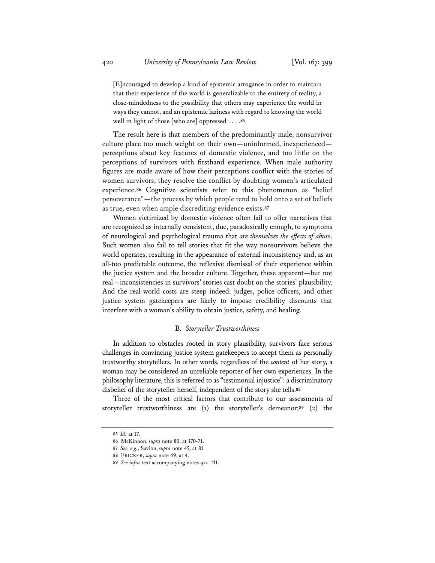[E]ncouraged to develop a kind of epistemic arrogance in order to maintain that their experience of the world is generalizable to the entirety of reality, a close-mindedness to the possibility that others may experience the world in ways they cannot, and an epistemic laziness with regard to knowing the world well in light of those [who are] oppressed . . . .**<sup>85</sup>**

The result here is that members of the predominantly male, nonsurvivor culture place too much weight on their own—uninformed, inexperienced perceptions about key features of domestic violence, and too little on the perceptions of survivors with firsthand experience. When male authority figures are made aware of how their perceptions conflict with the stories of women survivors, they resolve the conflict by doubting women's articulated experience.**<sup>86</sup>** Cognitive scientists refer to this phenomenon as "belief perseverance"—the process by which people tend to hold onto a set of beliefs as true, even when ample discrediting evidence exists.**<sup>87</sup>**

Women victimized by domestic violence often fail to offer narratives that are recognized as internally consistent, due, paradoxically enough, to symptoms of neurological and psychological trauma that *are themselves the effects of abuse*. Such women also fail to tell stories that fit the way nonsurvivors believe the world operates, resulting in the appearance of external inconsistency and, as an all-too predictable outcome, the reflexive dismissal of their experience within the justice system and the broader culture. Together, these apparent—but not real—inconsistencies in survivors' stories cast doubt on the stories' plausibility. And the real-world costs are steep indeed: judges, police officers, and other justice system gatekeepers are likely to impose credibility discounts that interfere with a woman's ability to obtain justice, safety, and healing.

#### B. *Storyteller Trustworthiness*

In addition to obstacles rooted in story plausibility, survivors face serious challenges in convincing justice system gatekeepers to accept them as personally trustworthy storytellers. In other words, regardless of the *content* of her story, a woman may be considered an unreliable reporter of her own experiences. In the philosophy literature, this is referred to as "testimonial injustice": a discriminatory disbelief of the storyteller herself, independent of the story she tells.**<sup>88</sup>**

Three of the most critical factors that contribute to our assessments of storyteller trustworthiness are (1) the storyteller's demeanor;**<sup>89</sup>** (2) the

**<sup>85</sup>** *Id.* at 17.

**<sup>86</sup>** McKinnon, *supra* note 80, at 170-71.

**<sup>87</sup>** *See, e.g.*, Savion, *supra* note 45, at 81.

**<sup>88</sup>** FRICKER, *supra* note 49, at 4.

**<sup>89</sup>** *See infra* text accompanying notes 912–111.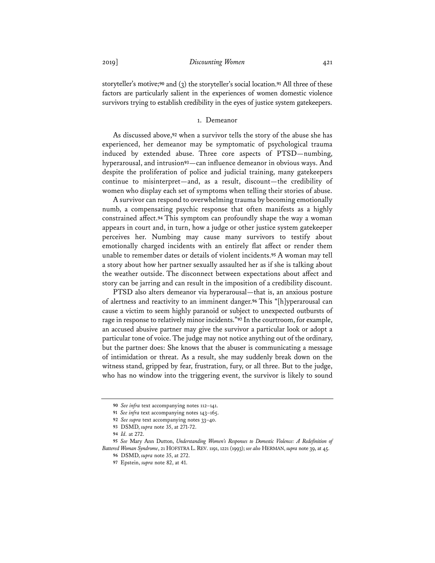storyteller's motive;**<sup>90</sup>** and (3) the storyteller's social location.**<sup>91</sup>** All three of these factors are particularly salient in the experiences of women domestic violence survivors trying to establish credibility in the eyes of justice system gatekeepers.

#### 1. Demeanor

As discussed above,**<sup>92</sup>** when a survivor tells the story of the abuse she has experienced, her demeanor may be symptomatic of psychological trauma induced by extended abuse. Three core aspects of PTSD—numbing, hyperarousal, and intrusion**<sup>93</sup>**—can influence demeanor in obvious ways. And despite the proliferation of police and judicial training, many gatekeepers continue to misinterpret—and, as a result, discount—the credibility of women who display each set of symptoms when telling their stories of abuse.

A survivor can respond to overwhelming trauma by becoming emotionally numb, a compensating psychic response that often manifests as a highly constrained affect.**<sup>94</sup>** This symptom can profoundly shape the way a woman appears in court and, in turn, how a judge or other justice system gatekeeper perceives her. Numbing may cause many survivors to testify about emotionally charged incidents with an entirely flat affect or render them unable to remember dates or details of violent incidents.**<sup>95</sup>** A woman may tell a story about how her partner sexually assaulted her as if she is talking about the weather outside. The disconnect between expectations about affect and story can be jarring and can result in the imposition of a credibility discount.

PTSD also alters demeanor via hyperarousal—that is, an anxious posture of alertness and reactivity to an imminent danger.**<sup>96</sup>** This "[h]yperarousal can cause a victim to seem highly paranoid or subject to unexpected outbursts of rage in response to relatively minor incidents."**<sup>97</sup>** In the courtroom, for example, an accused abusive partner may give the survivor a particular look or adopt a particular tone of voice. The judge may not notice anything out of the ordinary, but the partner does: She knows that the abuser is communicating a message of intimidation or threat. As a result, she may suddenly break down on the witness stand, gripped by fear, frustration, fury, or all three. But to the judge, who has no window into the triggering event, the survivor is likely to sound

**<sup>90</sup>** *See infra* text accompanying notes 112–141.

**<sup>91</sup>** *See infra* text accompanying notes 143–165.

**<sup>92</sup>** *See supra* text accompanying notes 33–40.

**<sup>93</sup>** DSMD, *supra* note 35, at 271-72.

**<sup>94</sup>** *Id.* at 272.

**<sup>95</sup>** *See* Mary Ann Dutton, *Understanding Women's Responses to Domestic Violence: A Redefinition of Battered Woman Syndrome*, 21 HOFSTRA L. REV. 1191, 1221 (1993); *see also* HERMAN, *supra* note 39, at 45.

**<sup>96</sup>** DSMD, *supra* note 35, at 272.

**<sup>97</sup>** Epstein, *supra* note 82, at 41.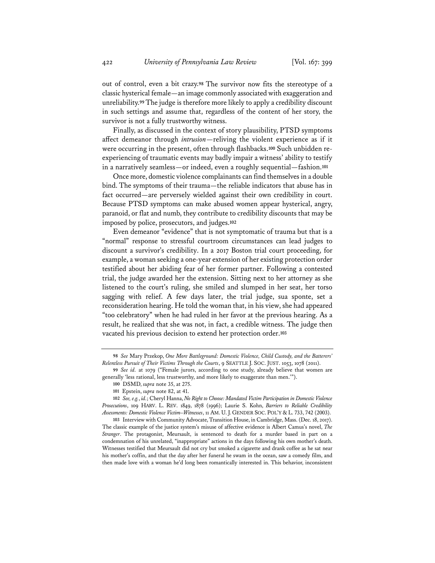out of control, even a bit crazy.**<sup>98</sup>** The survivor now fits the stereotype of a classic hysterical female—an image commonly associated with exaggeration and unreliability.**<sup>99</sup>** The judge is therefore more likely to apply a credibility discount in such settings and assume that, regardless of the content of her story, the survivor is not a fully trustworthy witness.

Finally, as discussed in the context of story plausibility, PTSD symptoms affect demeanor through *intrusion*—reliving the violent experience as if it were occurring in the present, often through flashbacks.**100** Such unbidden reexperiencing of traumatic events may badly impair a witness' ability to testify in a narratively seamless—or indeed, even a roughly sequential—fashion.**<sup>101</sup>**

Once more, domestic violence complainants can find themselves in a double bind. The symptoms of their trauma—the reliable indicators that abuse has in fact occurred—are perversely wielded against their own credibility in court. Because PTSD symptoms can make abused women appear hysterical, angry, paranoid, or flat and numb, they contribute to credibility discounts that may be imposed by police, prosecutors, and judges.**<sup>102</sup>**

Even demeanor "evidence" that is not symptomatic of trauma but that is a "normal" response to stressful courtroom circumstances can lead judges to discount a survivor's credibility. In a 2017 Boston trial court proceeding, for example, a woman seeking a one-year extension of her existing protection order testified about her abiding fear of her former partner. Following a contested trial, the judge awarded her the extension. Sitting next to her attorney as she listened to the court's ruling, she smiled and slumped in her seat, her torso sagging with relief. A few days later, the trial judge, sua sponte, set a reconsideration hearing. He told the woman that, in his view, she had appeared "too celebratory" when he had ruled in her favor at the previous hearing. As a result, he realized that she was not, in fact, a credible witness. The judge then vacated his previous decision to extend her protection order.**<sup>103</sup>**

**103** Interview with Community Advocate, Transition House, in Cambridge, Mass. (Dec. 18, 2017). The classic example of the justice system's misuse of affective evidence is Albert Camus's novel, *The Stranger*. The protagonist, Meursault, is sentenced to death for a murder based in part on a condemnation of his unrelated, "inappropriate" actions in the days following his own mother's death. Witnesses testified that Meursault did not cry but smoked a cigarette and drank coffee as he sat near his mother's coffin, and that the day after her funeral he swam in the ocean, saw a comedy film, and then made love with a woman he'd long been romantically interested in. This behavior, inconsistent

**<sup>98</sup>** *See* Mary Przekop, *One More Battleground: Domestic Violence, Child Custody, and the Batterers' Relentless Pursuit of Their Victims Through the Courts*, 9 SEATTLE J. SOC. JUST. 1053, 1078 (2011).

**<sup>99</sup>** *See id.* at 1079 ("Female jurors, according to one study, already believe that women are generally 'less rational, less trustworthy, and more likely to exaggerate than men.'").

**<sup>100</sup>** DSMD, *supra* note 35, at 275.

**<sup>101</sup>** Epstein, *supra* note 82, at 41.

**<sup>102</sup>** *See, e.g.*, *id.*; Cheryl Hanna, *No Right to Choose: Mandated Victim Participation in Domestic Violence Prosecutions*, 109 HARV. L. REV. 1849, 1878 (1996); Laurie S. Kohn, *Barriers to Reliable Credibility Assessments: Domestic Violence Victim–Witnesses*, 11 AM. U. J. GENDER SOC. POL'Y & L. 733, 742 (2003).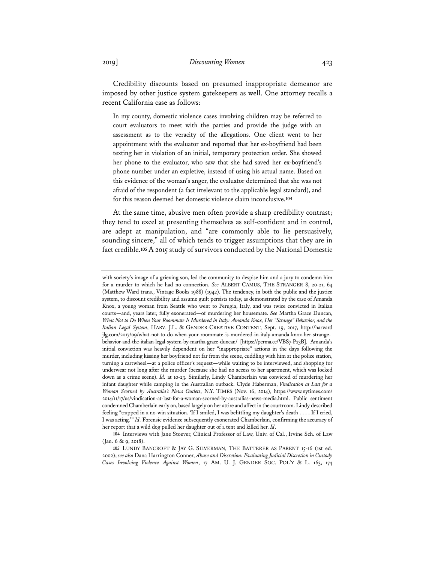Credibility discounts based on presumed inappropriate demeanor are imposed by other justice system gatekeepers as well. One attorney recalls a recent California case as follows:

In my county, domestic violence cases involving children may be referred to court evaluators to meet with the parties and provide the judge with an assessment as to the veracity of the allegations. One client went to her appointment with the evaluator and reported that her ex-boyfriend had been texting her in violation of an initial, temporary protection order. She showed her phone to the evaluator, who saw that she had saved her ex-boyfriend's phone number under an expletive, instead of using his actual name. Based on this evidence of the woman's anger, the evaluator determined that she was not afraid of the respondent (a fact irrelevant to the applicable legal standard), and for this reason deemed her domestic violence claim inconclusive.**<sup>104</sup>**

At the same time, abusive men often provide a sharp credibility contrast; they tend to excel at presenting themselves as self-confident and in control, are adept at manipulation, and "are commonly able to lie persuasively, sounding sincere," all of which tends to trigger assumptions that they are in fact credible.**<sup>105</sup>** A 2015 study of survivors conducted by the National Domestic

**104** Interviews with Jane Stoever, Clinical Professor of Law, Univ. of Cal., Irvine Sch. of Law (Jan. 6 & 9, 2018).

**105** LUNDY BANCROFT & JAY G. SILVERMAN, THE BATTERER AS PARENT 15-16 (1st ed. 2002); *see also* Dana Harrington Conner, *Abuse and Discretion: Evaluating Judicial Discretion in Custody Cases Involving Violence Against Women*, 17 AM. U. J. GENDER SOC. POL'Y & L. 163, 174

with society's image of a grieving son, led the community to despise him and a jury to condemn him for a murder to which he had no connection. *See* ALBERT CAMUS, THE STRANGER 8, 20-21, 64 (Matthew Ward trans., Vintage Books 1988) (1942). The tendency, in both the public and the justice system, to discount credibility and assume guilt persists today, as demonstrated by the case of Amanda Knox, a young woman from Seattle who went to Perugia, Italy, and was twice convicted in Italian courts—and, years later, fully exonerated—of murdering her housemate. *See* Martha Grace Duncan, *What Not to Do When Your Roommate Is Murdered in Italy: Amanda Knox, Her "Strange" Behavior, and the Italian Legal System*, HARV. J.L. & GENDER-CREATIVE CONTENT, Sept. 19, 2017, http://harvard jlg.com/2017/09/what-not-to-do-when-your-roommate-is-murdered-in-italy-amanda-knox-her-strangebehavior-and-the-italian-legal-system-by-martha-grace-duncan/ [https://perma.cc/VBS7-P23B]. Amanda's initial conviction was heavily dependent on her "inappropriate" actions in the days following the murder, including kissing her boyfriend not far from the scene, cuddling with him at the police station, turning a cartwheel—at a police officer's request—while waiting to be interviewed, and shopping for underwear not long after the murder (because she had no access to her apartment, which was locked down as a crime scene). *Id.* at 10-23. Similarly, Lindy Chamberlain was convicted of murdering her infant daughter while camping in the Australian outback. Clyde Haberman, *Vindication at Last for a Woman Scorned by Australia's News Outlets*, N.Y. TIMES (Nov. 16, 2014), https://www.nytimes.com/ 2014/11/17/us/vindication-at-last-for-a-woman-scorned-by-australias-news-media.html. Public sentiment condemned Chamberlain early on, based largely on her attire and affect in the courtroom. Lindy described feeling "trapped in a no-win situation. 'If I smiled, I was belittling my daughter's death . . . . If I cried, I was acting.'" *Id.* Forensic evidence subsequently exonerated Chamberlain, confirming the accuracy of her report that a wild dog pulled her daughter out of a tent and killed her. *Id*.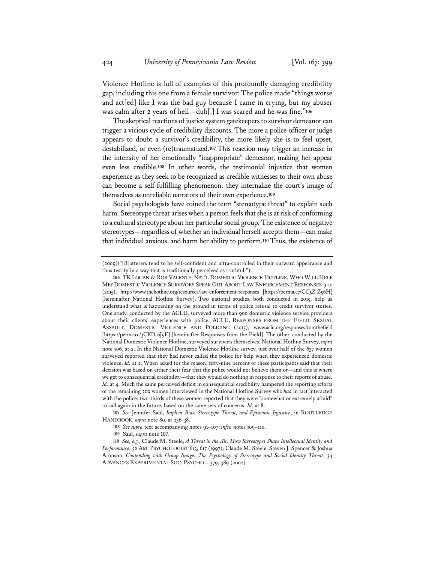Violence Hotline is full of examples of this profoundly damaging credibility gap, including this one from a female survivor: The police made "things worse and act [ed] like I was the bad guy because I came in crying, but my abuser was calm after 2 years of hell—duh[,] I was scared and he was fine."**<sup>106</sup>**

The skeptical reactions of justice system gatekeepers to survivor demeanor can trigger a vicious cycle of credibility discounts. The more a police officer or judge appears to doubt a survivor's credibility, the more likely she is to feel upset, destabilized, or even (re)traumatized.**<sup>107</sup>** This reaction may trigger an increase in the intensity of her emotionally "inappropriate" demeanor, making her appear even less credible.**<sup>108</sup>** In other words, the testimonial injustice that women experience as they seek to be recognized as credible witnesses to their own abuse can become a self-fulfilling phenomenon: they internalize the court's image of themselves as unreliable narrators of their own experience.**<sup>109</sup>**

Social psychologists have coined the term "stereotype threat" to explain such harm. Stereotype threat arises when a person feels that she is at risk of conforming to a cultural stereotype about her particular social group. The existence of negative stereotypes—regardless of whether an individual herself accepts them—can make that individual anxious, and harm her ability to perform.**<sup>110</sup>** Thus, the existence of

**107** *See* Jennifer Saul, *Implicit Bias, Stereotype Threat, and Epistemic Injustice*, in ROUTLEDGE HANDBOOK, *supra* note 80, at 236-38.

<sup>(2009)(&</sup>quot;[B]atterers tend to be self-confident and ultra-controlled in their outward appearance and thus testify in a way that is traditionally perceived as truthful.").

**<sup>106</sup>** TK LOGAN & ROB VALENTE, NAT'L DOMESTIC VIOLENCE HOTLINE, WHO WILL HELP ME? DOMESTIC VIOLENCE SURVIVORS SPEAK OUT ABOUT LAW ENFORCEMENT RESPONSES 9-10 (2015), http://www.thehotline.org/resources/law-enforcement-responses [https://perma.cc/CC5Z-Z56H] [hereinafter National Hotline Survey]. Two national studies, both conducted in 2015, help us understand what is happening on the ground in terms of police refusal to credit survivor stories. One study, conducted by the ACLU, surveyed more than 900 domestic violence service providers about their clients' experiences with police. ACLU, RESPONSES FROM THE FIELD: SEXUAL ASSAULT, DOMESTIC VIOLENCE AND POLICING (2015), www.aclu.org/responsesfromthefield [https://perma.cc/3CKD-6J9E] [hereinafter Responses from the Field]. The other, conducted by the National Domestic Violence Hotline, surveyed survivors themselves. National Hotline Survey, *supra* note 106, at 2. In the National Domestic Violence Hotline survey, just over half of the 637 women surveyed reported that they had never called the police for help when they experienced domestic violence. *Id.* at 2. When asked for the reason, fifty-nine percent of these participants said that their decision was based on either their fear that the police would not believe them or—and this is where we get to consequential credibility—that they would do nothing in response to their reports of abuse. *Id.* at 4. Much the same perceived deficit in consequential credibility hampered the reporting efforts of the remaining 309 women interviewed in the National Hotline Survey who *had* in fact interacted with the police: two-thirds of these women reported that they were "somewhat or extremely afraid" to call again in the future, based on the same sets of concerns. *Id.* at 8.

**<sup>108</sup>** *See supra* text accompanying notes 91–107; *infra* notes 109–110.

**<sup>109</sup>** Saul, *supra* note 107.

**<sup>110</sup>** *See, e.g.*, Claude M. Steele, *A Threat in the Air: How Stereotypes Shape Intellectual Identity and Performance*, 52 AM. PSYCHOLOGIST 613, 617 (1997); Claude M. Steele, Steven J. Spencer & Joshua Aronson, *Contending with Group Image: The Psychology of Stereotype and Social Identity Threat*, 34 ADVANCES EXPERIMENTAL SOC. PSYCHOL. 379, 389 (2002).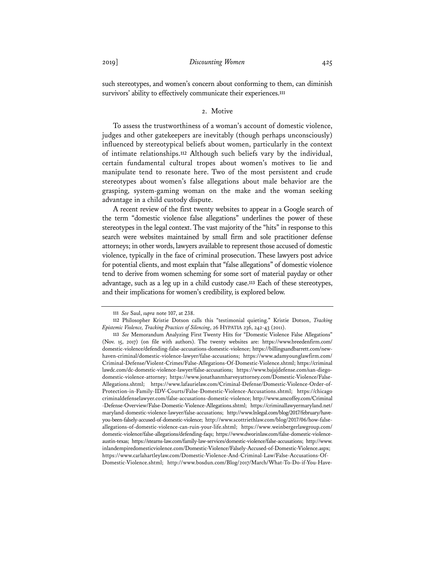such stereotypes, and women's concern about conforming to them, can diminish survivors' ability to effectively communicate their experiences.**<sup>111</sup>**

## 2. Motive

To assess the trustworthiness of a woman's account of domestic violence, judges and other gatekeepers are inevitably (though perhaps unconsciously) influenced by stereotypical beliefs about women, particularly in the context of intimate relationships.**<sup>112</sup>** Although such beliefs vary by the individual, certain fundamental cultural tropes about women's motives to lie and manipulate tend to resonate here. Two of the most persistent and crude stereotypes about women's false allegations about male behavior are the grasping, system-gaming woman on the make and the woman seeking advantage in a child custody dispute.

A recent review of the first twenty websites to appear in a Google search of the term "domestic violence false allegations" underlines the power of these stereotypes in the legal context. The vast majority of the "hits" in response to this search were websites maintained by small firm and sole practitioner defense attorneys; in other words, lawyers available to represent those accused of domestic violence, typically in the face of criminal prosecution. These lawyers post advice for potential clients, and most explain that "false allegations" of domestic violence tend to derive from women scheming for some sort of material payday or other advantage, such as a leg up in a child custody case.**<sup>113</sup>** Each of these stereotypes, and their implications for women's credibility, is explored below.

**<sup>111</sup>** *See* Saul, *supra* note 107, at 238.

**<sup>112</sup>** Philosopher Kristie Dotson calls this "testimonial quieting." Kristie Dotson, *Tracking Epistemic Violence, Tracking Practices of Silencing*, 26 HYPATIA 236, 242-43 (2011).

**<sup>113</sup>** *See* Memorandum Analyzing First Twenty Hits for "Domestic Violence False Allegations" (Nov. 15, 2017) (on file with authors). The twenty websites are: https://www.breedenfirm.com/ domestic-violence/defending-false-accusations-domestic-violence; https://billingsandbarrett.com/newhaven-criminal/domestic-violence-lawyer/false-accusations; https://www.adamyounglawfirm.com/ Criminal-Defense/Violent-Crimes/False-Allegations-Of-Domestic-Violence.shtml; https://criminal lawdc.com/dc-domestic-violence-lawyer/false-accusations; https://www.bajajdefense.com/san-diegodomestic-violence-attorney; https://www.jonathanmharveyattorney.com/Domestic-Violence/False-Allegations.shtml; https://www.lafaurielaw.com/Criminal-Defense/Domestic-Violence-Order-of-Protection-in-Family-IDV-Courts/False-Domestic-Violence-Accusations.shtml; https://chicago criminaldefenselawyer.com/false-accusations-domestic-violence; http://www.amcoffey.com/Criminal -Defense-Overview/False-Domestic-Violence-Allegations.shtml; https://criminallawyermaryland.net/ maryland-domestic-violence-lawyer/false-accusations; http://www.lnlegal.com/blog/2017/february/haveyou-been-falsely-accused-of-domestic-violence; http://www.scottriethlaw.com/blog/2017/06/how-falseallegations-of-domestic-violence-can-ruin-your-life.shtml; https://www.weinbergerlawgroup.com/ domestic-violence/false-allegations/defending-faqs; https://www.dworinlaw.com/false-domestic-violenceaustin-texas; https://stearns-law.com/family-law-services/domestic-violence/false-accusations; http://www. inlandempiredomesticviolence.com/Domestic-Violence/Falsely-Accused-of-Domestic-Violence.aspx; https://www.carlahartleylaw.com/Domestic-Violence-And-Criminal-Law/False-Accusations-Of-Domestic-Violence.shtml; http://www.bosdun.com/Blog/2017/March/What-To-Do-if-You-Have-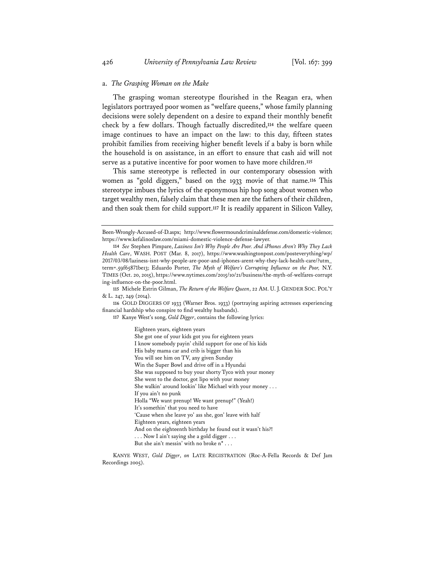#### a. *The Grasping Woman on the Make*

The grasping woman stereotype flourished in the Reagan era, when legislators portrayed poor women as "welfare queens," whose family planning decisions were solely dependent on a desire to expand their monthly benefit check by a few dollars. Though factually discredited,**<sup>114</sup>** the welfare queen image continues to have an impact on the law: to this day, fifteen states prohibit families from receiving higher benefit levels if a baby is born while the household is on assistance, in an effort to ensure that cash aid will not serve as a putative incentive for poor women to have more children.**<sup>115</sup>**

This same stereotype is reflected in our contemporary obsession with women as "gold diggers," based on the 1933 movie of that name.**<sup>116</sup>** This stereotype imbues the lyrics of the eponymous hip hop song about women who target wealthy men, falsely claim that these men are the fathers of their children, and then soak them for child support.**<sup>117</sup>** It is readily apparent in Silicon Valley,

Eighteen years, eighteen years She got one of your kids got you for eighteen years I know somebody payin' child support for one of his kids His baby mama car and crib is bigger than his You will see him on TV, any given Sunday Win the Super Bowl and drive off in a Hyundai She was supposed to buy your shorty Tyco with your money She went to the doctor, got lipo with your money She walkin' around lookin' like Michael with your money . . . If you ain't no punk Holla "We want prenup! We want prenup!" (Yeah!) It's somethin' that you need to have 'Cause when she leave yo' ass she, gon' leave with half Eighteen years, eighteen years And on the eighteenth birthday he found out it wasn't his?! . . . Now I ain't saying she a gold digger . . . But she ain't messin' with no broke n\* . . .

KANYE WEST, *Gold Digger*, *on* LATE REGISTRATION (Roc-A-Fella Records & Def Jam Recordings 2005).

Been-Wrongly-Accused-of-D.aspx; http://www.flowermoundcriminaldefense.com/domestic-violence; https://www.kefalinoslaw.com/miami-domestic-violence-defense-lawyer.

**<sup>114</sup>** *See* Stephen Pimpare, *Laziness Isn't Why People Are Poor. And iPhones Aren't Why They Lack Health Care*, WASH. POST (Mar. 8, 2017), https://www.washingtonpost.com/posteverything/wp/ 2017/03/08/laziness-isnt-why-people-are-poor-and-iphones-arent-why-they-lack-health-care/?utm\_ term=.59f65871be13; Eduardo Porter, *The Myth of Welfare's Corrupting Influence on the Poor,* N.Y. TIMES (Oct. 20, 2015), https://www.nytimes.com/2015/10/21/business/the-myth-of-welfares-corrupt ing-influence-on-the-poor.html.

**<sup>115</sup>** Michele Estrin Gilman, *The Return of the Welfare Queen*, 22 AM. U. J. GENDER SOC. POL'Y & L. 247, 249 (2014).

**<sup>116</sup>** GOLD DIGGERS OF 1933 (Warner Bros. 1933) (portraying aspiring actresses experiencing financial hardship who conspire to find wealthy husbands).

**<sup>117</sup>** Kanye West's song, *Gold Digger*, contains the following lyrics: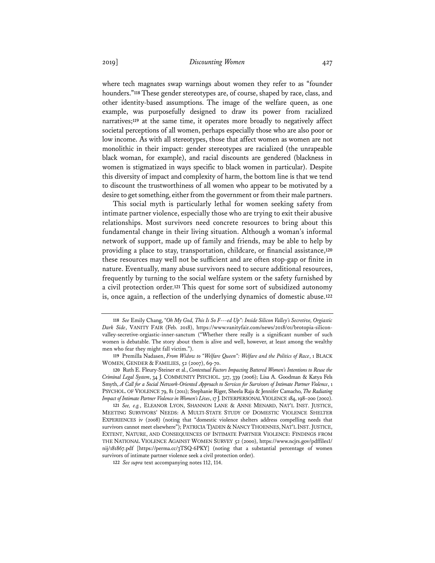where tech magnates swap warnings about women they refer to as "founder hounders."**<sup>118</sup>** These gender stereotypes are, of course, shaped by race, class, and other identity-based assumptions. The image of the welfare queen, as one example, was purposefully designed to draw its power from racialized narratives;**<sup>119</sup>** at the same time, it operates more broadly to negatively affect societal perceptions of all women, perhaps especially those who are also poor or low income. As with all stereotypes, those that affect women as women are not monolithic in their impact: gender stereotypes are racialized (the unrapeable black woman, for example), and racial discounts are gendered (blackness in women is stigmatized in ways specific to black women in particular). Despite this diversity of impact and complexity of harm, the bottom line is that we tend to discount the trustworthiness of all women who appear to be motivated by a desire to get something, either from the government or from their male partners.

This social myth is particularly lethal for women seeking safety from intimate partner violence, especially those who are trying to exit their abusive relationships. Most survivors need concrete resources to bring about this fundamental change in their living situation. Although a woman's informal network of support, made up of family and friends, may be able to help by providing a place to stay, transportation, childcare, or financial assistance,**<sup>120</sup>** these resources may well not be sufficient and are often stop-gap or finite in nature. Eventually, many abuse survivors need to secure additional resources, frequently by turning to the social welfare system or the safety furnished by a civil protection order.**<sup>121</sup>** This quest for some sort of subsidized autonomy is, once again, a reflection of the underlying dynamics of domestic abuse.**<sup>122</sup>**

**<sup>118</sup>** *See* Emily Chang, *"Oh My God, This Is So F---ed Up": Inside Silicon Valley's Secretive, Orgiastic Dark Side*, VANITY FAIR (Feb. 2018), https://www.vanityfair.com/news/2018/01/brotopia-siliconvalley-secretive-orgiastic-inner-sanctum ("Whether there really is a significant number of such women is debatable. The story about them is alive and well, however, at least among the wealthy men who fear they might fall victim.").

**<sup>119</sup>** Premilla Nadasen, *From Widow to "Welfare Queen": Welfare and the Politics of Race*, 1 BLACK WOMEN, GENDER & FAMILIES, 52 (2007), 69-70.

**<sup>120</sup>** Ruth E. Fleury-Steiner et al., *Contextual Factors Impacting Battered Women's Intentions to Reuse the Criminal Legal System*, 34 J. COMMUNITY PSYCHOL. 327, 339 (2006); Lisa A. Goodman & Katya Fels Smyth, *A Call for a Social Network-Oriented Approach to Services for Survivors of Intimate Partner Violence*, 1 PSYCHOL. OF VIOLENCE 79, 81 (2011); Stephanie Riger, Sheela Raja & Jennifer Camacho, *The Radiating Impact of Intimate Partner Violence in Women's Lives*, 17 J.INTERPERSONAL VIOLENCE 184, 198–200 (2002).

**<sup>121</sup>** *See, e.g.*, ELEANOR LYON, SHANNON LANE & ANNE MENARD, NAT'L INST. JUSTICE, MEETING SURVIVORS' NEEDS: A MULTI-STATE STUDY OF DOMESTIC VIOLENCE SHELTER EXPERIENCES iv (2008) (noting that "domestic violence shelters address compelling needs that survivors cannot meet elsewhere"); PATRICIA TJADEN & NANCY THOENNES, NAT'L INST. JUSTICE, EXTENT, NATURE, AND CONSEQUENCES OF INTIMATE PARTNER VIOLENCE: FINDINGS FROM THE NATIONAL VIOLENCE AGAINST WOMEN SURVEY 52 (2000), https://www.ncjrs.gov/pdffiles1/ nij/181867.pdf [https://perma.cc/3TSQ-6PKY] (noting that a substantial percentage of women survivors of intimate partner violence seek a civil protection order).

**<sup>122</sup>** *See supra* text accompanying notes 112, 114.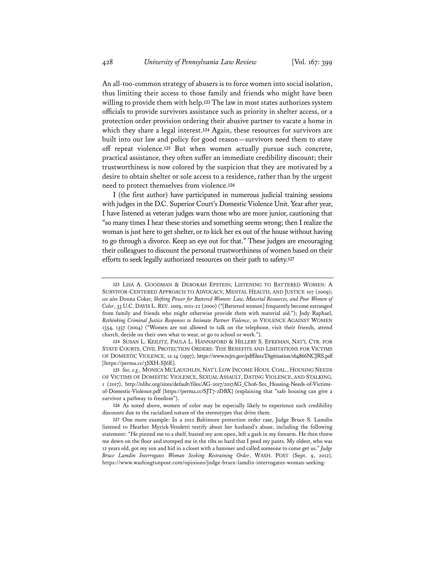An all-too-common strategy of abusers is to force women into social isolation, thus limiting their access to those family and friends who might have been willing to provide them with help.**<sup>123</sup>** The law in most states authorizes system officials to provide survivors assistance such as priority in shelter access, or a protection order provision ordering their abusive partner to vacate a home in which they share a legal interest.**<sup>124</sup>** Again, these resources for survivors are built into our law and policy for good reason—survivors need them to stave off repeat violence.**<sup>125</sup>** But when women actually pursue such concrete, practical assistance, they often suffer an immediate credibility discount; their trustworthiness is now colored by the suspicion that they are motivated by a desire to obtain shelter or sole access to a residence, rather than by the urgent need to protect themselves from violence.**<sup>126</sup>**

I (the first author) have participated in numerous judicial training sessions with judges in the D.C. Superior Court's Domestic Violence Unit. Year after year, I have listened as veteran judges warn those who are more junior, cautioning that "so many times I hear these stories and something seems wrong; then I realize the woman is just here to get shelter, or to kick her ex out of the house without having to go through a divorce. Keep an eye out for that." These judges are encouraging their colleagues to discount the personal trustworthiness of women based on their efforts to seek legally authorized resources on their path to safety.**<sup>127</sup>**

**126** As noted above, women of color may be especially likely to experience such credibility discounts due to the racialized nature of the stereotypes that drive them.

**<sup>123</sup>** LISA A. GOODMAN & DEBORAH EPSTEIN, LISTENING TO BATTERED WOMEN: A SURVIVOR-CENTERED APPROACH TO ADVOCACY, MENTAL HEALTH, AND JUSTICE 107 (2009); *see also* Donna Coker, *Shifting Power for Battered Women: Law, Material Resources, and Poor Women of Color*, 33 U.C. DAVIS L. REV. 1009, 1021-22 (2000) ("[Battered women] frequently become estranged from family and friends who might otherwise provide them with material aid."); Jody Raphael, *Rethinking Criminal Justice Responses to Intimate Partner Violence*, 10 VIOLENCE AGAINST WOMEN 1354, 1357 (2004) ("Women are not allowed to talk on the telephone, visit their friends, attend church, decide on their own what to wear, or go to school or work.").

**<sup>124</sup>** SUSAN L. KEILITZ, PAULA L. HANNAFORD & HILLERY S. EFKEMAN, NAT'L CTR. FOR STATE COURTS, CIVIL PROTECTION ORDERS: THE BENEFITS AND LIMITATIONS FOR VICTIMS OF DOMESTIC VIOLENCE, 12-14 (1997), https://www.ncjrs.gov/pdffiles1/Digitization/164866NCJRS.pdf [https://perma.cc/3SXH-SJ6E].

**<sup>125</sup>** *See, e.g.,* MONICA MCLAUGHLIN, NAT'L LOW INCOME HOUS. COAL., HOUSING NEEDS OF VICTIMS OF DOMESTIC VIOLENCE, SEXUAL ASSAULT, DATING VIOLENCE, AND STALKING*,* 1 (2017), http://nlihc.org/sites/default/files/AG-2017/2017AG\_Ch06-S01\_Housing-Needs-of-Victimsof-Domestic-Violence.pdf [https://perma.cc/SJT7-2DBX] (explaining that "safe housing can give a survivor a pathway to freedom").

**<sup>127</sup>** One more example: In a 2012 Baltimore protection order case, Judge Bruce S. Lamdin listened to Heather Myrick-Vendetti testify about her husband's abuse, including the following statement: "He pinned me to a shelf, busted my arm open, left a gash in my forearm. He then threw me down on the floor and stomped me in the ribs so hard that I peed my pants. My oldest, who was 12 years old, got my son and hid in a closet with a hammer and called someone to come get us." *Judge Bruce Lamdin Interrogates Woman Seeking Restraining Order*, WASH. POST (Sept. 9, 2012)*,*  https://www.washingtonpost.com/opinions/judge-bruce-lamdin-interrogates-woman-seeking-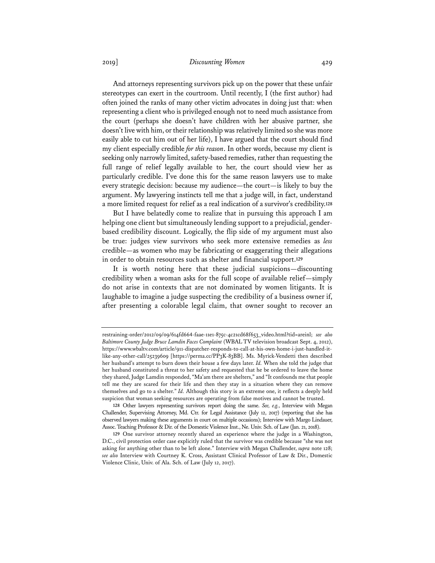## 2019] *Discounting Women* 429

And attorneys representing survivors pick up on the power that these unfair stereotypes can exert in the courtroom. Until recently, I (the first author) had often joined the ranks of many other victim advocates in doing just that: when representing a client who is privileged enough not to need much assistance from the court (perhaps she doesn't have children with her abusive partner, she doesn't live with him, or their relationship was relatively limited so she was more easily able to cut him out of her life), I have argued that the court should find my client especially credible *for this reason*. In other words, because my client is seeking only narrowly limited, safety-based remedies, rather than requesting the full range of relief legally available to her, the court should view her as particularly credible. I've done this for the same reason lawyers use to make every strategic decision: because my audience—the court—is likely to buy the argument. My lawyering instincts tell me that a judge will, in fact, understand a more limited request for relief as a real indication of a survivor's credibility.**<sup>128</sup>**

But I have belatedly come to realize that in pursuing this approach I am helping one client but simultaneously lending support to a prejudicial, genderbased credibility discount. Logically, the flip side of my argument must also be true: judges view survivors who seek more extensive remedies as *less* credible—as women who may be fabricating or exaggerating their allegations in order to obtain resources such as shelter and financial support.**<sup>129</sup>**

It is worth noting here that these judicial suspicions—discounting credibility when a woman asks for the full scope of available relief—simply do not arise in contexts that are not dominated by women litigants. It is laughable to imagine a judge suspecting the credibility of a business owner if, after presenting a colorable legal claim, that owner sought to recover an

restraining-order/2012/09/09/614fd664-faae-11e1-875c-4c21cd68f653\_video.html?tid=areinl; *see also Baltimore County Judge Bruce Lamdin Faces Complaint* (WBAL TV television broadcast Sept. 4, 2012), https://www.wbaltv.com/article/911-dispatcher-responds-to-call-at-his-own-home-i-just-handled-itlike-any-other-call/25239609 [https://perma.cc/PP3K-83BB]. Ms. Myrick-Vendetti then described her husband's attempt to burn down their house a few days later. *Id.* When she told the judge that her husband constituted a threat to her safety and requested that he be ordered to leave the home they shared, Judge Lamdin responded, "Ma'am there are shelters," and "It confounds me that people tell me they are scared for their life and then they stay in a situation where they can remove themselves and go to a shelter." *Id.* Although this story is an extreme one, it reflects a deeply held suspicion that woman seeking resources are operating from false motives and cannot be trusted.

**<sup>128</sup>** Other lawyers representing survivors report doing the same. *See, e.g.*, Interview with Megan Challender, Supervising Attorney, Md. Ctr. for Legal Assistance (July 12, 2017) (reporting that she has observed lawyers making these arguments in court on multiple occasions); Interview with Margo Lindauer, Assoc. Teaching Professor & Dir. of the Domestic Violence Inst., Ne. Univ. Sch. of Law (Jan. 21, 2018).

**<sup>129</sup>** One survivor attorney recently shared an experience where the judge in a Washington, D.C., civil protection order case explicitly ruled that the survivor was credible because "she was not asking for anything other than to be left alone." Interview with Megan Challender, *supra* note 128; *see also* Interview with Courtney K. Cross, Assistant Clinical Professor of Law & Dir., Domestic Violence Clinic, Univ. of Ala. Sch. of Law (July 12, 2017).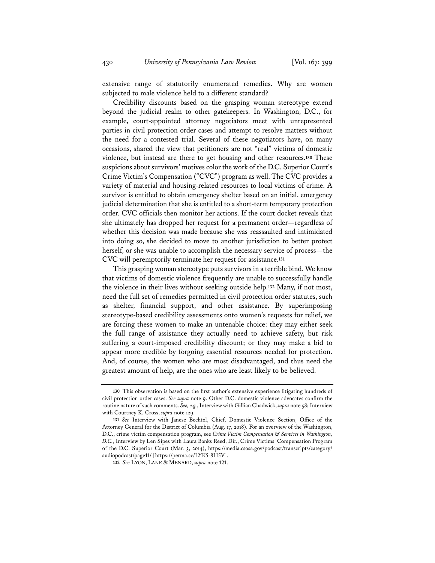extensive range of statutorily enumerated remedies. Why are women subjected to male violence held to a different standard?

Credibility discounts based on the grasping woman stereotype extend beyond the judicial realm to other gatekeepers. In Washington, D.C., for example, court-appointed attorney negotiators meet with unrepresented parties in civil protection order cases and attempt to resolve matters without the need for a contested trial. Several of these negotiators have, on many occasions, shared the view that petitioners are not "real" victims of domestic violence, but instead are there to get housing and other resources.**<sup>130</sup>** These suspicions about survivors' motives color the work of the D.C. Superior Court's Crime Victim's Compensation ("CVC") program as well. The CVC provides a variety of material and housing-related resources to local victims of crime. A survivor is entitled to obtain emergency shelter based on an initial, emergency judicial determination that she is entitled to a short-term temporary protection order. CVC officials then monitor her actions. If the court docket reveals that she ultimately has dropped her request for a permanent order—regardless of whether this decision was made because she was reassaulted and intimidated into doing so, she decided to move to another jurisdiction to better protect herself, or she was unable to accomplish the necessary service of process—the CVC will peremptorily terminate her request for assistance.**<sup>131</sup>**

This grasping woman stereotype puts survivors in a terrible bind. We know that victims of domestic violence frequently are unable to successfully handle the violence in their lives without seeking outside help.**<sup>132</sup>** Many, if not most, need the full set of remedies permitted in civil protection order statutes, such as shelter, financial support, and other assistance. By superimposing stereotype-based credibility assessments onto women's requests for relief, we are forcing these women to make an untenable choice: they may either seek the full range of assistance they actually need to achieve safety, but risk suffering a court-imposed credibility discount; or they may make a bid to appear more credible by forgoing essential resources needed for protection. And, of course, the women who are most disadvantaged, and thus need the greatest amount of help, are the ones who are least likely to be believed.

**<sup>130</sup>** This observation is based on the first author's extensive experience litigating hundreds of civil protection order cases. *See supra* note 9. Other D.C. domestic violence advocates confirm the routine nature of such comments. *See, e.g.*, Interview with Gillian Chadwick, *supra* note 58; Interview with Courtney K. Cross, *supra* note 129.

**<sup>131</sup>** *See* Interview with Janese Bechtol, Chief, Domestic Violence Section, Office of the Attorney General for the District of Columbia (Aug. 17, 2018). For an overview of the Washington, D.C., crime victim compensation program, see *Crime Victim Compensation & Services in Washington, D.C.*, Interview by Len Sipes with Laura Banks Reed, Dir., Crime Victims' Compensation Program of the D.C. Superior Court (Mar. 3, 2014), https://media.csosa.gov/podcast/transcripts/category/ audiopodcast/page11/ [https://perma.cc/LYK5-8H5V].

**<sup>132</sup>** *See* LYON, LANE & MENARD, *supra* note 121.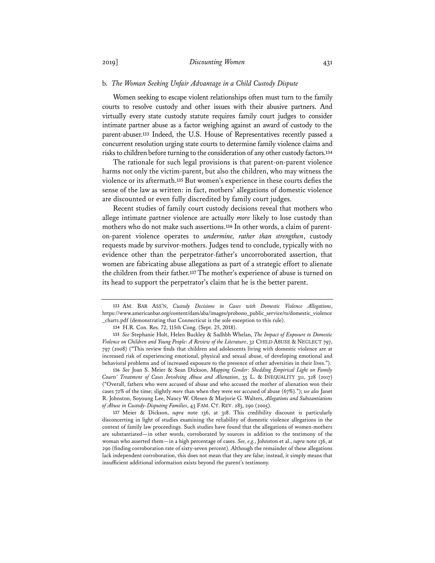#### b. *The Woman Seeking Unfair Advantage in a Child Custody Dispute*

Women seeking to escape violent relationships often must turn to the family courts to resolve custody and other issues with their abusive partners. And virtually every state custody statute requires family court judges to consider intimate partner abuse as a factor weighing against an award of custody to the parent-abuser.**<sup>133</sup>** Indeed, the U.S. House of Representatives recently passed a concurrent resolution urging state courts to determine family violence claims and risks to children before turning to the consideration of any other custody factors.**<sup>134</sup>**

The rationale for such legal provisions is that parent-on-parent violence harms not only the victim-parent, but also the children, who may witness the violence or its aftermath.**<sup>135</sup>** But women's experience in these courts defies the sense of the law as written: in fact, mothers' allegations of domestic violence are discounted or even fully discredited by family court judges.

Recent studies of family court custody decisions reveal that mothers who allege intimate partner violence are actually *more* likely to lose custody than mothers who do not make such assertions.**136** In other words, a claim of parenton-parent violence operates to *undermine, rather than strengthen*, custody requests made by survivor-mothers. Judges tend to conclude, typically with no evidence other than the perpetrator-father's uncorroborated assertion, that women are fabricating abuse allegations as part of a strategic effort to alienate the children from their father.**<sup>137</sup>** The mother's experience of abuse is turned on its head to support the perpetrator's claim that he is the better parent.

**<sup>133</sup>** AM. BAR ASS'N, *Custody Decisions in Cases with Domestic Violence Allegations*, https://www.americanbar.org/content/dam/aba/images/probono\_public\_service/ts/domestic\_violence \_chart1.pdf (demonstrating that Connecticut is the sole exception to this rule).

**<sup>134</sup>** H.R. Con. Res. 72, 115th Cong. (Sept. 25, 2018).

**<sup>135</sup>** *See* Stephanie Holt, Helen Buckley & Sadhbh Whelan, *The Impact of Exposure to Domestic Violence on Children and Young People: A Review of the Literature*, 32 CHILD ABUSE & NEGLECT 797, 797 (2008) ("This review finds that children and adolescents living with domestic violence are at increased risk of experiencing emotional, physical and sexual abuse, of developing emotional and behavioral problems and of increased exposure to the presence of other adversities in their lives.").

**<sup>136</sup>** *See* Joan S. Meier & Sean Dickson, *Mapping Gender: Shedding Empirical Light on Family Courts' Treatment of Cases Involving Abuse and Alienation*, 35 L. & INEQUALITY 311, 328 (2017) ("Overall, fathers who were accused of abuse and who accused the mother of alienation won their cases 72% of the time; slightly *more* than when they were *not* accused of abuse (67%)."); *see also* Janet R. Johnston, Soyoung Lee, Nancy W. Olesen & Marjorie G. Walters, *Allegations and Substantiations of Abuse in Custody-Disputing Families*, 43 FAM. CT. REV. 283, 290 (2005).

**<sup>137</sup>** Meier & Dickson, *supra* note 136, at 318. This credibility discount is particularly disconcerting in light of studies examining the reliability of domestic violence allegations in the context of family law proceedings. Such studies have found that the allegations of women-mothers are substantiated—in other words, corroborated by sources in addition to the testimony of the woman who asserted them—in a high percentage of cases. *See, e.g.*, Johnston et al., *supra* note 136, at 290 (finding corroboration rate of sixty-seven percent). Although the remainder of these allegations lack independent corroboration, this does not mean that they are false; instead, it simply means that insufficient additional information exists beyond the parent's testimony.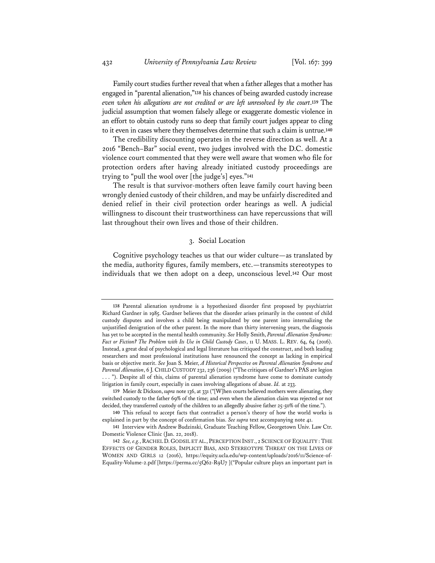Family court studies further reveal that when a father alleges that a mother has engaged in "parental alienation,"**<sup>138</sup>** his chances of being awarded custody increase *even when his allegations are not credited or are left unresolved by the court*.**<sup>139</sup>** The judicial assumption that women falsely allege or exaggerate domestic violence in an effort to obtain custody runs so deep that family court judges appear to cling to it even in cases where they themselves determine that such a claim is untrue.**<sup>140</sup>**

The credibility discounting operates in the reverse direction as well. At a 2016 "Bench–Bar" social event, two judges involved with the D.C. domestic violence court commented that they were well aware that women who file for protection orders after having already initiated custody proceedings are trying to "pull the wool over [the judge's] eyes."**<sup>141</sup>**

The result is that survivor-mothers often leave family court having been wrongly denied custody of their children, and may be unfairly discredited and denied relief in their civil protection order hearings as well. A judicial willingness to discount their trustworthiness can have repercussions that will last throughout their own lives and those of their children.

## 3. Social Location

Cognitive psychology teaches us that our wider culture—as translated by the media, authority figures, family members, etc.—transmits stereotypes to individuals that we then adopt on a deep, unconscious level.**<sup>142</sup>** Our most

**<sup>138</sup>** Parental alienation syndrome is a hypothesized disorder first proposed by psychiatrist Richard Gardner in 1985. Gardner believes that the disorder arises primarily in the context of child custody disputes and involves a child being manipulated by one parent into internalizing the unjustified denigration of the other parent. In the more than thirty intervening years, the diagnosis has yet to be accepted in the mental health community. *See* Holly Smith, *Parental Alienation Syndrome: Fact or Fiction? The Problem with Its Use in Child Custody Cases*, 11 U. MASS. L. REV. 64, 64 (2016). Instead, a great deal of psychological and legal literature has critiqued the construct, and both leading researchers and most professional institutions have renounced the concept as lacking in empirical basis or objective merit. *See* Joan S. Meier, *A Historical Perspective on Parental Alienation Syndrome and Parental Alienation*, 6 J.CHILD CUSTODY 232, 236 (2009) ("The critiques of Gardner's PAS are legion . . . "). Despite all of this, claims of parental alienation syndrome have come to dominate custody litigation in family court, especially in cases involving allegations of abuse. *Id.* at 233.

**<sup>139</sup>** Meier & Dickson, *supra* note 136, at 331 ("[W]hen courts believed mothers were alienating, they switched custody to the father 69% of the time; and even when the alienation claim was rejected or not decided, they transferred custody of the children to an allegedly abusive father 25-50% of the time.").

**<sup>140</sup>** This refusal to accept facts that contradict a person's theory of how the world works is explained in part by the concept of confirmation bias. *See supra* text accompanying note 41.

**<sup>141</sup>** Interview with Andrew Budzinski, Graduate Teaching Fellow, Georgetown Univ. Law Ctr. Domestic Violence Clinic (Jan. 22, 2018).

**<sup>142</sup>** *See, e.g.*, RACHEL D. GODSIL ET AL., PERCEPTION INST., 2 SCIENCE OF EQUALITY :THE EFFECTS OF GENDER ROLES, IMPLICIT BIAS, AND STEREOTYPE THREAT ON THE LIVES OF WOMEN AND GIRLS 12 (2016), https://equity.ucla.edu/wp-content/uploads/2016/11/Science-of-Equality-Volume-2.pdf [https://perma.cc/5Q62-R9U7] ("Popular culture plays an important part in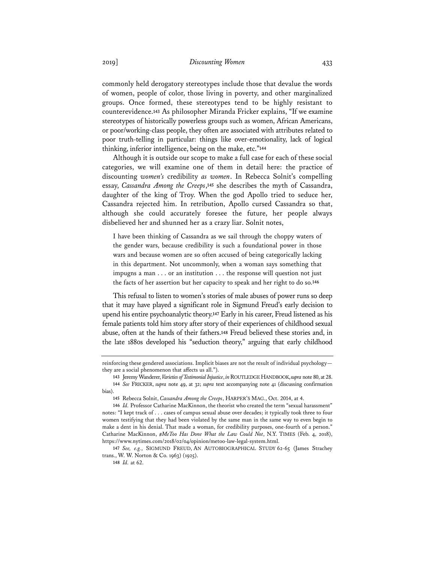commonly held derogatory stereotypes include those that devalue the words of women, people of color, those living in poverty, and other marginalized groups. Once formed, these stereotypes tend to be highly resistant to counterevidence.**<sup>143</sup>** As philosopher Miranda Fricker explains, "If we examine stereotypes of historically powerless groups such as women, African Americans, or poor/working-class people, they often are associated with attributes related to poor truth-telling in particular: things like over-emotionality, lack of logical thinking, inferior intelligence, being on the make, etc."**<sup>144</sup>**

Although it is outside our scope to make a full case for each of these social categories, we will examine one of them in detail here: the practice of discounting *women's* credibility *as women*. In Rebecca Solnit's compelling essay, *Cassandra Among the Creeps*,**<sup>145</sup>** she describes the myth of Cassandra, daughter of the king of Troy. When the god Apollo tried to seduce her, Cassandra rejected him. In retribution, Apollo cursed Cassandra so that, although she could accurately foresee the future, her people always disbelieved her and shunned her as a crazy liar. Solnit notes,

I have been thinking of Cassandra as we sail through the choppy waters of the gender wars, because credibility is such a foundational power in those wars and because women are so often accused of being categorically lacking in this department. Not uncommonly, when a woman says something that impugns a man . . . or an institution . . . the response will question not just the facts of her assertion but her capacity to speak and her right to do so.**<sup>146</sup>**

This refusal to listen to women's stories of male abuses of power runs so deep that it may have played a significant role in Sigmund Freud's early decision to upend his entire psychoanalytic theory.**<sup>147</sup>** Early in his career, Freud listened as his female patients told him story after story of their experiences of childhood sexual abuse, often at the hands of their fathers.**<sup>148</sup>** Freud believed these stories and, in the late 1880s developed his "seduction theory," arguing that early childhood

reinforcing these gendered associations. Implicit biases are not the result of individual psychology they are a social phenomenon that affects us all.").

**<sup>143</sup>** Jeremy Wanderer, *Varieties of Testimonial Injustice*, *in*ROUTLEDGE HANDBOOK,*supra* note 80, at 28. **144** *See* FRICKER, *supra* note 49, at 32; *supra* text accompanying note 41 (discussing confirmation bias).

**<sup>145</sup>** Rebecca Solnit, *Cassandra Among the Creeps*, HARPER'S MAG., Oct. 2014, at 4.

**<sup>146</sup>** *Id.* Professor Catharine MacKinnon, the theorist who created the term "sexual harassment" notes: "I kept track of . . . cases of campus sexual abuse over decades; it typically took three to four women testifying that they had been violated by the same man in the same way to even begin to make a dent in his denial. That made a woman, for credibility purposes, one-fourth of a person." Catharine MacKinnon, *#MeToo Has Done What the Law Could Not*, N.Y. TIMES (Feb. 4, 2018), https://www.nytimes.com/2018/02/04/opinion/metoo-law-legal-system.html.

**<sup>147</sup>** *See, e.g.*, SIGMUND FREUD, AN AUTOBIOGRAPHICAL STUDY 62-65 (James Strachey trans., W. W. Norton & Co. 1963) (1925).

**<sup>148</sup>** *Id.* at 62.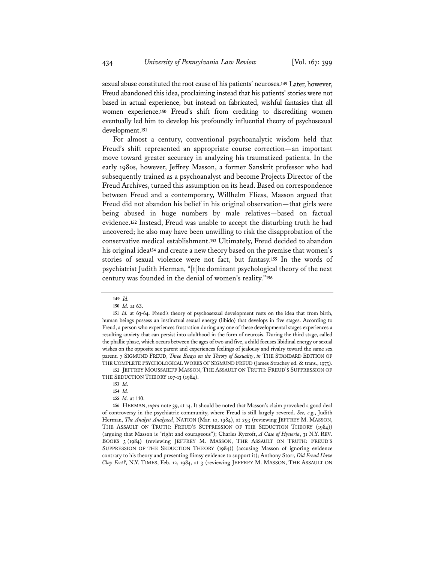sexual abuse constituted the root cause of his patients' neuroses.**<sup>149</sup>** Later, however, Freud abandoned this idea, proclaiming instead that his patients' stories were not based in actual experience, but instead on fabricated, wishful fantasies that all women experience.**<sup>150</sup>** Freud's shift from crediting to discrediting women eventually led him to develop his profoundly influential theory of psychosexual development.**<sup>151</sup>**

For almost a century, conventional psychoanalytic wisdom held that Freud's shift represented an appropriate course correction—an important move toward greater accuracy in analyzing his traumatized patients. In the early 1980s, however, Jeffrey Masson, a former Sanskrit professor who had subsequently trained as a psychoanalyst and become Projects Director of the Freud Archives, turned this assumption on its head. Based on correspondence between Freud and a contemporary, Willhelm Fliess, Masson argued that Freud did not abandon his belief in his original observation—that girls were being abused in huge numbers by male relatives—based on factual evidence.**<sup>152</sup>** Instead, Freud was unable to accept the disturbing truth he had uncovered; he also may have been unwilling to risk the disapprobation of the conservative medical establishment.**<sup>153</sup>** Ultimately, Freud decided to abandon his original idea**<sup>154</sup>** and create a new theory based on the premise that women's stories of sexual violence were not fact, but fantasy.**<sup>155</sup>** In the words of psychiatrist Judith Herman, "[t]he dominant psychological theory of the next century was founded in the denial of women's reality."**<sup>156</sup>**

**152** JEFFREY MOUSSAIEFF MASSON, THE ASSAULT ON TRUTH: FREUD'S SUPPRESSION OF THE SEDUCTION THEORY 107-13 (1984).

**156** HERMAN, *supra* note 39, at 14. It should be noted that Masson's claim provoked a good deal of controversy in the psychiatric community, where Freud is still largely revered. *See, e.g.*, Judith Herman, *The Analyst Analyzed*, NATION (Mar. 10, 1984), at 293 (reviewing JEFFREY M. MASSON, THE ASSAULT ON TRUTH: FREUD'S SUPPRESSION OF THE SEDUCTION THEORY (1984)) (arguing that Masson is "right and courageous"); Charles Rycroft, *A Case of Hysteria*, 31 N.Y. REV. BOOKS 3 (1984) (reviewing JEFFREY M. MASSON, THE ASSAULT ON TRUTH: FREUD'S SUPPRESSION OF THE SEDUCTION THEORY (1984)) (accusing Masson of ignoring evidence contrary to his theory and presenting flimsy evidence to support it); Anthony Storr, *Did Freud Have Clay Feet?*, N.Y. TIMES, Feb. 12, 1984, at 3 (reviewing JEFFREY M. MASSON, THE ASSAULT ON

**<sup>149</sup>** *Id.*

**<sup>150</sup>** *Id.* at 63.

**<sup>151</sup>** *Id.* at 63-64. Freud's theory of psychosexual development rests on the idea that from birth, human beings possess an instinctual sexual energy (libido) that develops in five stages. According to Freud, a person who experiences frustration during any one of these developmental stages experiences a resulting anxiety that can persist into adulthood in the form of neurosis. During the third stage, called the phallic phase, which occurs between the ages of two and five, a child focuses libidinal energy or sexual wishes on the opposite sex parent and experiences feelings of jealousy and rivalry toward the same sex parent. 7 SIGMUND FREUD, *Three Essays on the Theory of Sexuality*, *in* THE STANDARD EDITION OF THE COMPLETE PSYCHOLOGICAL WORKS OF SIGMUND FREUD (James Strachey ed. & trans., 1975).

**<sup>153</sup>** *Id.*

**<sup>154</sup>** *Id.*

**<sup>155</sup>** *Id.* at 110.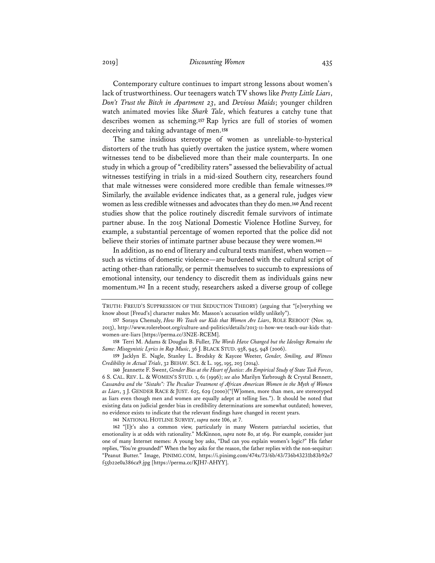2019] *Discounting Women* 435

Contemporary culture continues to impart strong lessons about women's lack of trustworthiness. Our teenagers watch TV shows like *Pretty Little Liars*, *Don't Trust the Bitch in Apartment 23*, and *Devious Maids*; younger children watch animated movies like *Shark Tale*, which features a catchy tune that describes women as scheming.**<sup>157</sup>** Rap lyrics are full of stories of women deceiving and taking advantage of men.**<sup>158</sup>**

The same insidious stereotype of women as unreliable-to-hysterical distorters of the truth has quietly overtaken the justice system, where women witnesses tend to be disbelieved more than their male counterparts. In one study in which a group of "credibility raters" assessed the believability of actual witnesses testifying in trials in a mid-sized Southern city, researchers found that male witnesses were considered more credible than female witnesses.**<sup>159</sup>** Similarly, the available evidence indicates that, as a general rule, judges view women as less credible witnesses and advocates than they do men.**<sup>160</sup>** And recent studies show that the police routinely discredit female survivors of intimate partner abuse. In the 2015 National Domestic Violence Hotline Survey, for example, a substantial percentage of women reported that the police did not believe their stories of intimate partner abuse because they were women.**<sup>161</sup>**

In addition, as no end of literary and cultural texts manifest, when women such as victims of domestic violence—are burdened with the cultural script of acting other-than rationally, or permit themselves to succumb to expressions of emotional intensity, our tendency to discredit them as individuals gains new momentum.**<sup>162</sup>** In a recent study, researchers asked a diverse group of college

**161** NATIONAL HOTLINE SURVEY, *supra* note 106, at 7.

TRUTH: FREUD'S SUPPRESSION OF THE SEDUCTION THEORY) (arguing that "[e]verything we know about [Freud's] character makes Mr. Masson's accusation wildly unlikely").

**<sup>157</sup>** Soraya Chemaly, *How We Teach our Kids that Women Are Liars*, ROLE REBOOT (Nov. 19, 2013), http://www.rolereboot.org/culture-and-politics/details/2013-11-how-we-teach-our-kids-thatwomen-are-liars [https://perma.cc/3N2E-RCEM].

**<sup>158</sup>** Terri M. Adams & Douglas B. Fuller, *The Words Have Changed but the Ideology Remains the Same: Misogynistic Lyrics in Rap Music*, 36 J. BLACK STUD. 938, 945, 948 (2006).

**<sup>159</sup>** Jacklyn E. Nagle, Stanley L. Brodsky & Kaycee Weeter, *Gender, Smiling, and Witness Credibility in Actual Trials*, 32 BEHAV. SCI. & L. 195, 195, 203 (2014).

**<sup>160</sup>** Jeannette F. Swent, *Gender Bias at the Heart of Justice: An Empirical Study of State Task Forces*, 6 S. CAL. REV. L. & WOMEN'S STUD. 1, 61 (1996); *see also* Marilyn Yarbrough & Crystal Bennett, *Cassandra and the "Sistahs": The Peculiar Treatment of African American Women in the Myth of Women as Liars*, 3 J. GENDER RACE & JUST. 625, 629 (2000)("[W]omen, more than men, are stereotyped as liars even though men and women are equally adept at telling lies."). It should be noted that existing data on judicial gender bias in credibility determinations are somewhat outdated; however, no evidence exists to indicate that the relevant findings have changed in recent years.

**<sup>162</sup>** "[I]t's also a common view, particularly in many Western patriarchal societies, that emotionality is at odds with rationality." McKinnon, *supra* note 80, at 169. For example, consider just one of many Internet memes: A young boy asks, "Dad can you explain women's logic?" His father replies, "You're grounded!" When the boy asks for the reason, the father replies with the non-sequitur: "Peanut Butter." Image, PINIMG.COM, https://i.pinimg.com/474x/73/6b/43/736b43231b83b92e7 f55b22e0a386ca9.jpg [https://perma.cc/KJH7-AHYY].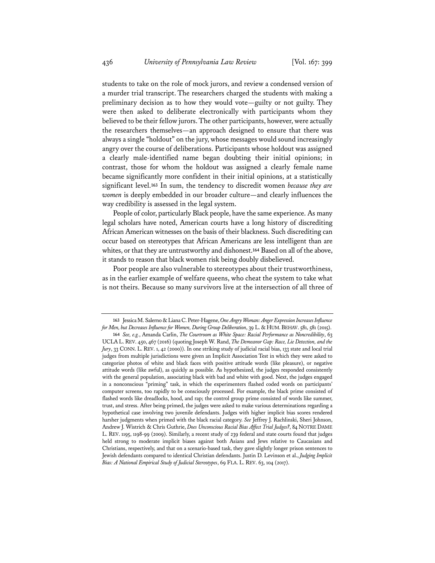students to take on the role of mock jurors, and review a condensed version of a murder trial transcript.The researchers charged the students with making a preliminary decision as to how they would vote—guilty or not guilty. They were then asked to deliberate electronically with participants whom they believed to be their fellow jurors. The other participants, however, were actually the researchers themselves—an approach designed to ensure that there was always a single "holdout" on the jury, whose messages would sound increasingly angry over the course of deliberations. Participants whose holdout was assigned a clearly male-identified name began doubting their initial opinions; in contrast, those for whom the holdout was assigned a clearly female name became significantly more confident in their initial opinions, at a statistically significant level.**<sup>163</sup>** In sum, the tendency to discredit women *because they are women* is deeply embedded in our broader culture—and clearly influences the way credibility is assessed in the legal system.

People of color, particularly Black people, have the same experience. As many legal scholars have noted, American courts have a long history of discrediting African American witnesses on the basis of their blackness. Such discrediting can occur based on stereotypes that African Americans are less intelligent than are whites, or that they are untrustworthy and dishonest.**<sup>164</sup>** Based on all of the above, it stands to reason that black women risk being doubly disbelieved.

Poor people are also vulnerable to stereotypes about their trustworthiness, as in the earlier example of welfare queens, who cheat the system to take what is not theirs. Because so many survivors live at the intersection of all three of

**<sup>163</sup>** Jessica M. Salerno & Liana C. Peter-Hagene, *One Angry Woman: Anger Expression Increases Influence for Men, but Decreases Influence for Women, During Group Deliberation*, 39 L.& HUM.BEHAV. 581, 581 (2015).

**<sup>164</sup>** *See, e.g.*, Amanda Carlin, *The Courtroom as White Space: Racial Performance as Noncredibility*, 63 UCLAL.REV. 450, 467 (2016) (quoting Joseph W. Rand, *The Demeanor Gap: Race, Lie Detection, and the Jury*, 33 CONN. L. REV. 1, 42 (2000)). In one striking study of judicial racial bias, 133 state and local trial judges from multiple jurisdictions were given an Implicit Association Test in which they were asked to categorize photos of white and black faces with positive attitude words (like pleasure), or negative attitude words (like awful), as quickly as possible. As hypothesized, the judges responded consistently with the general population, associating black with bad and white with good. Next, the judges engaged in a nonconscious "priming" task, in which the experimenters flashed coded words on participants' computer screens, too rapidly to be consciously processed. For example, the black prime consisted of flashed words like dreadlocks, hood, and rap; the control group prime consisted of words like summer, trust, and stress. After being primed, the judges were asked to make various determinations regarding a hypothetical case involving two juvenile defendants. Judges with higher implicit bias scores rendered harsher judgments when primed with the black racial category. *See* Jeffrey J. Rachlinski, Sheri Johnson, Andrew J. Wistrich & Chris Guthrie, *Does Unconscious Racial Bias Affect Trial Judges?*, 84 NOTRE DAME L. REV. 1195, 1198-99 (2009). Similarly, a recent study of 239 federal and state courts found that judges held strong to moderate implicit biases against both Asians and Jews relative to Caucasians and Christians, respectively, and that on a scenario-based task, they gave slightly longer prison sentences to Jewish defendants compared to identical Christian defendants. Justin D. Levinson et al., *Judging Implicit Bias: A National Empirical Study of Judicial Stereotypes*, 69 FLA. L. REV. 63, 104 (2017).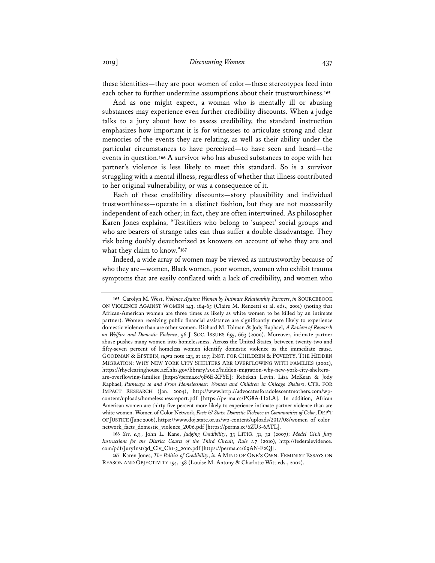these identities—they are poor women of color—these stereotypes feed into each other to further undermine assumptions about their trustworthiness.**<sup>165</sup>**

And as one might expect, a woman who is mentally ill or abusing substances may experience even further credibility discounts. When a judge talks to a jury about how to assess credibility, the standard instruction emphasizes how important it is for witnesses to articulate strong and clear memories of the events they are relating, as well as their ability under the particular circumstances to have perceived—to have seen and heard—the events in question.**<sup>166</sup>** A survivor who has abused substances to cope with her partner's violence is less likely to meet this standard. So is a survivor struggling with a mental illness, regardless of whether that illness contributed to her original vulnerability, or was a consequence of it.

Each of these credibility discounts—story plausibility and individual trustworthiness—operate in a distinct fashion, but they are not necessarily independent of each other; in fact, they are often intertwined. As philosopher Karen Jones explains, "Testifiers who belong to 'suspect' social groups and who are bearers of strange tales can thus suffer a double disadvantage. They risk being doubly deauthorized as knowers on account of who they are and what they claim to know."**<sup>167</sup>**

Indeed, a wide array of women may be viewed as untrustworthy because of who they are—women, Black women, poor women, women who exhibit trauma symptoms that are easily conflated with a lack of credibility, and women who

**<sup>165</sup>** Carolyn M. West, *Violence Against Women by Intimate Relationship Partners*, *in* SOURCEBOOK ON VIOLENCE AGAINST WOMEN 143, 164-65 (Claire M. Renzetti et al. eds., 2001) (noting that African-American women are three times as likely as white women to be killed by an intimate partner). Women receiving public financial assistance are significantly more likely to experience domestic violence than are other women. Richard M. Tolman & Jody Raphael, *A Review of Research on Welfare and Domestic Violence*, 56 J. SOC. ISSUES 655, 663 (2000). Moreover, intimate partner abuse pushes many women into homelessness. Across the United States, between twenty-two and fifty-seven percent of homeless women identify domestic violence as the immediate cause. GOODMAN & EPSTEIN, *supra* note 123, at 107; INST. FOR CHILDREN & POVERTY, THE HIDDEN MIGRATION: WHY NEW YORK CITY SHELTERS ARE OVERFLOWING WITH FAMILIES (2002), https://rhyclearinghouse.acf.hhs.gov/library/2002/hidden-migration-why-new-york-city-sheltersare-overflowing-families [https://perma.cc/9F6E-XPYE]; Rebekah Levin, Lisa McKean & Jody Raphael, *Pathways to and From Homelessness: Women and Children in Chicago Shelters*, CTR. FOR IMPACT RESEARCH (Jan. 2004), http://www.http://advocatesforadolescentmothers.com/wpcontent/uploads/homelessnessreport.pdf [https://perma.cc/PG8A-H2LA]. In addition, African American women are thirty-five percent more likely to experience intimate partner violence than are white women. Women of Color Network, *Facts & Stats: Domestic Violence in Communities of Color*, DEP'T OF JUSTICE (June 2006), https://www.doj.state.or.us/wp-content/uploads/2017/08/women\_of\_color\_ network\_facts\_domestic\_violence\_2006.pdf [https://perma.cc/6ZU3-6ATL].

**<sup>166</sup>** *See, e.g.*, John L. Kane, *Judging Credibility*, 33 LITIG. 31, 32 (2007); *Model Civil Jury Instructions for the District Courts of the Third Circuit, Rule 1.7* (2010), http://federalevidence. com/pdf/JuryInst/3d\_Civ\_Ch1-3\_2010.pdf [https://perma.cc/69AN-F2QJ].

**<sup>167</sup>** Karen Jones, *The Politics of Credibility*, *in* A MIND OF ONE'S OWN: FEMINIST ESSAYS ON REASON AND OBJECTIVITY 154, 158 (Louise M. Antony & Charlotte Witt eds., 2002).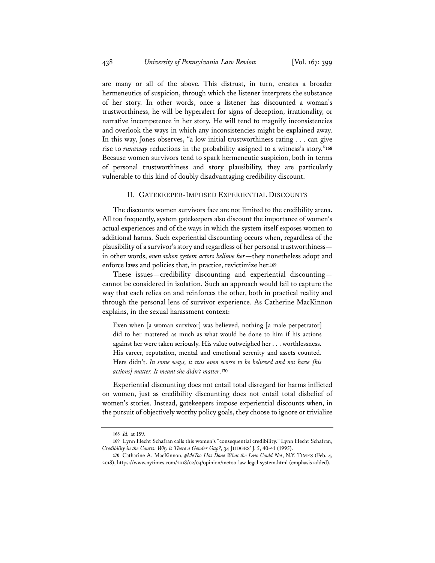are many or all of the above. This distrust, in turn, creates a broader hermeneutics of suspicion, through which the listener interprets the substance of her story. In other words, once a listener has discounted a woman's trustworthiness, he will be hyperalert for signs of deception, irrationality, or narrative incompetence in her story. He will tend to magnify inconsistencies and overlook the ways in which any inconsistencies might be explained away. In this way, Jones observes, "a low initial trustworthiness rating . . . can give rise to *runaway* reductions in the probability assigned to a witness's story."**<sup>168</sup>** Because women survivors tend to spark hermeneutic suspicion, both in terms of personal trustworthiness and story plausibility, they are particularly vulnerable to this kind of doubly disadvantaging credibility discount.

#### II. GATEKEEPER-IMPOSED EXPERIENTIAL DISCOUNTS

The discounts women survivors face are not limited to the credibility arena. All too frequently, system gatekeepers also discount the importance of women's actual experiences and of the ways in which the system itself exposes women to additional harms. Such experiential discounting occurs when, regardless of the plausibility of a survivor's story and regardless of her personal trustworthiness in other words, *even when system actors believe her*—they nonetheless adopt and enforce laws and policies that, in practice, revictimize her.**<sup>169</sup>**

These issues—credibility discounting and experiential discounting cannot be considered in isolation. Such an approach would fail to capture the way that each relies on and reinforces the other, both in practical reality and through the personal lens of survivor experience. As Catherine MacKinnon explains, in the sexual harassment context:

Even when [a woman survivor] was believed, nothing [a male perpetrator] did to her mattered as much as what would be done to him if his actions against her were taken seriously. His value outweighed her . . . worthlessness. His career, reputation, mental and emotional serenity and assets counted. Hers didn't. *In some ways, it was even worse to be believed and not have [his actions] matter. It meant she didn't matter*.**<sup>170</sup>**

Experiential discounting does not entail total disregard for harms inflicted on women, just as credibility discounting does not entail total disbelief of women's stories. Instead, gatekeepers impose experiential discounts when, in the pursuit of objectively worthy policy goals, they choose to ignore or trivialize

**<sup>168</sup>** *Id.* at 159.

**<sup>169</sup>** Lynn Hecht Schafran calls this women's "consequential credibility." Lynn Hecht Schafran, *Credibility in the Courts: Why is There a Gender Gap?*, 34 JUDGES' J. 5, 40-41 (1995).

**<sup>170</sup>** Catharine A. MacKinnon, *#MeToo Has Done What the Law Could Not*, N.Y. TIMES (Feb. 4, 2018), https://www.nytimes.com/2018/02/04/opinion/metoo-law-legal-system.html (emphasis added).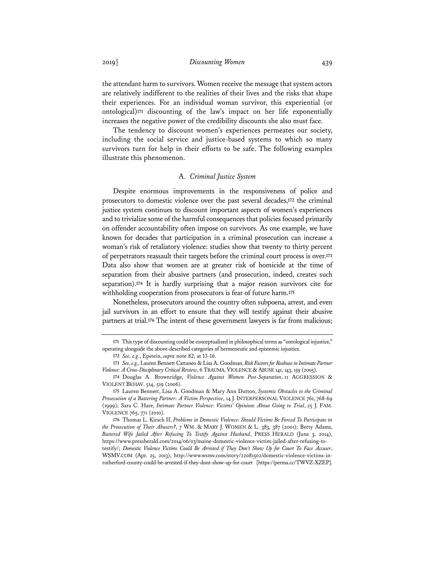## 2019] *Discounting Women* 439

the attendant harm to survivors. Women receive the message that system actors are relatively indifferent to the realities of their lives and the risks that shape their experiences. For an individual woman survivor, this experiential (or ontological)**<sup>171</sup>** discounting of the law's impact on her life exponentially increases the negative power of the credibility discounts she also must face.

The tendency to discount women's experiences permeates our society, including the social service and justice-based systems to which so many survivors turn for help in their efforts to be safe. The following examples illustrate this phenomenon.

## A. *Criminal Justice System*

Despite enormous improvements in the responsiveness of police and prosecutors to domestic violence over the past several decades,**<sup>172</sup>** the criminal justice system continues to discount important aspects of women's experiences and to trivialize some of the harmful consequences that policies focused primarily on offender accountability often impose on survivors. As one example, we have known for decades that participation in a criminal prosecution can increase a woman's risk of retaliatory violence: studies show that twenty to thirty percent of perpetrators reassault their targets before the criminal court process is over.**<sup>173</sup>** Data also show that women are at greater risk of homicide at the time of separation from their abusive partners (and prosecution, indeed, creates such separation).**<sup>174</sup>** It is hardly surprising that a major reason survivors cite for withholding cooperation from prosecutors is fear of future harm.**<sup>175</sup>**

Nonetheless, prosecutors around the country often subpoena, arrest, and even jail survivors in an effort to ensure that they will testify against their abusive partners at trial.**<sup>176</sup>** The intent of these government lawyers is far from malicious;

**<sup>171</sup>** This type of discounting could be conceptualized in philosophical terms as "ontological injustice," operating alongside the above-described categories of hermeneutic and epistemic injustice.

**<sup>172</sup>** *See, e.g.*, Epstein, *supra* note 82, at 13-16.

**<sup>173</sup>** *See, e.g.*, Lauren Bennett Cattaneo & Lisa A. Goodman, *Risk Factors for Reabuse in Intimate Partner Violence: A Cross-Disciplinary Critical Review*, 6 TRAUMA,VIOLENCE & ABUSE 141, 143, 159 (2005).

**<sup>174</sup>** Douglas A. Brownridge, *Violence Against Women Post-Separation*, 11 AGGRESSION & VIOLENT BEHAV. 514, 519 (2006).

**<sup>175</sup>** Lauren Bennett, Lisa A. Goodman & Mary Ann Dutton, *Systemic Obstacles to the Criminal Prosecution of a Battering Partner: A Victim Perspective*, 14 J. INTERPERSONAL VIOLENCE 761, 768-69 (1999); Sara C. Hare, *Intimate Partner Violence: Victims' Opinions About Going to Trial*, 25 J. FAM. VIOLENCE 765, 771 (2010).

**<sup>176</sup>** Thomas L. Kirsch II, *Problems in Domestic Violence: Should Victims Be Forced To Participate in the Prosecution of Their Abusers?*, 7 WM. & MARY J. WOMEN & L. 383, 387 (2001); Betty Adams, *Battered Wife Jailed After Refusing To Testify Against Husband*, PRESS HERALD (June 3, 2014), https://www.pressherald.com/2014/06/03/maine-domestic-violence-victim-jailed-after-refusing-totestify/; *Domestic Violence Victims Could Be Arrested if They Don't Show Up for Court To Face Accuser*, WSMV.COM (Apr. 25, 2013), http://www.wsmv.com/story/22081502/domestic-violence-victims-inrutherford-county-could-be-arrested-if-they-dont-show-up-for-court [https://perma.cc/TWVZ-XZEP].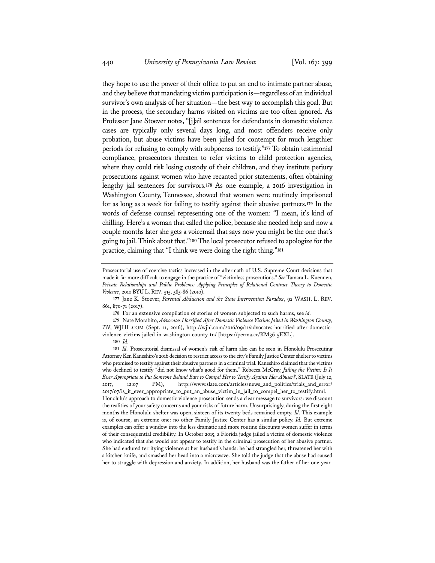they hope to use the power of their office to put an end to intimate partner abuse, and they believe that mandating victim participation is—regardless of an individual survivor's own analysis of her situation—the best way to accomplish this goal. But in the process, the secondary harms visited on victims are too often ignored. As Professor Jane Stoever notes, "[j]ail sentences for defendants in domestic violence cases are typically only several days long, and most offenders receive only probation, but abuse victims have been jailed for contempt for much lengthier periods for refusing to comply with subpoenas to testify."**<sup>177</sup>** To obtain testimonial compliance, prosecutors threaten to refer victims to child protection agencies, where they could risk losing custody of their children, and they institute perjury prosecutions against women who have recanted prior statements, often obtaining lengthy jail sentences for survivors.**<sup>178</sup>** As one example, a 2016 investigation in Washington County, Tennessee, showed that women were routinely imprisoned for as long as a week for failing to testify against their abusive partners.**<sup>179</sup>** In the words of defense counsel representing one of the women: "I mean, it's kind of chilling. Here's a woman that called the police, because she needed help and now a couple months later she gets a voicemail that says now you might be the one that's going to jail. Think about that."**<sup>180</sup>** The local prosecutor refused to apologize for the practice, claiming that "I think we were doing the right thing."**<sup>181</sup>**

**179** Nate Morabito, *Advocates Horrified After Domestic Violence Victims Jailed in Washington County, TN*, WJHL.COM (Sept. 11, 2016), http://wjhl.com/2016/09/11/advocates-horrified-after-domesticviolence-victims-jailed-in-washington-county-tn/ [https://perma.cc/KM36-5EXL].

**180** *Id.*

Prosecutorial use of coercive tactics increased in the aftermath of U.S. Supreme Court decisions that made it far more difficult to engage in the practice of "victimless prosecutions." *See* Tamara L. Kuennen, *Private Relationships and Public Problems: Applying Principles of Relational Contract Theory to Domestic Violence*, 2010 BYU L. REV. 515, 585-86 (2010).

**<sup>177</sup>** Jane K. Stoever, *Parental Abduction and the State Intervention Paradox*, 92 WASH. L. REV. 861, 870-71 (2017).

**<sup>178</sup>** For an extensive compilation of stories of women subjected to such harms, see *id.*

**<sup>181</sup>** *Id.* Prosecutorial dismissal of women's risk of harm also can be seen in Honolulu Prosecuting Attorney Ken Kaneshiro's 2016 decision to restrict access to the city's Family Justice Center shelter to victims who promised to testify against their abusive partners in a criminal trial. Kaneshiro claimed that the victims who declined to testify "did not know what's good for them." Rebecca McCray, *Jailing the Victim: Is It Ever Appropriate to Put Someone Behind Bars to Compel Her to Testify Against Her Abuser?*, SLATE (July 12, 2017, 12:07 PM), http://www.slate.com/articles/news\_and\_politics/trials\_and\_error/ 2017/07/is\_it\_ever\_appropriate\_to\_put\_an\_abuse\_victim\_in\_jail\_to\_compel\_her\_to\_testify.html. Honolulu's approach to domestic violence prosecution sends a clear message to survivors: we discount the realities of your safety concerns and your risks of future harm. Unsurprisingly, during the first eight months the Honolulu shelter was open, sixteen of its twenty beds remained empty. *Id.* This example is, of course, an extreme one: no other Family Justice Center has a similar policy. *Id.* But extreme examples can offer a window into the less dramatic and more routine discounts women suffer in terms of their consequential credibility. In October 2015, a Florida judge jailed a victim of domestic violence who indicated that she would not appear to testify in the criminal prosecution of her abusive partner. She had endured terrifying violence at her husband's hands: he had strangled her, threatened her with a kitchen knife, and smashed her head into a microwave. She told the judge that the abuse had caused her to struggle with depression and anxiety. In addition, her husband was the father of her one-year-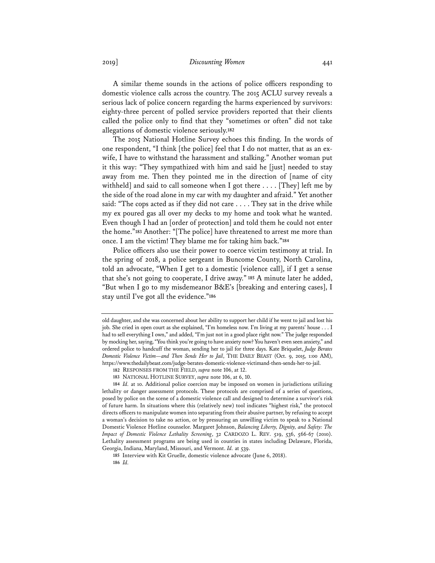2019] *Discounting Women* 441

A similar theme sounds in the actions of police officers responding to domestic violence calls across the country. The 2015 ACLU survey reveals a serious lack of police concern regarding the harms experienced by survivors: eighty-three percent of polled service providers reported that their clients called the police only to find that they "sometimes or often" did not take allegations of domestic violence seriously.**<sup>182</sup>**

The 2015 National Hotline Survey echoes this finding. In the words of one respondent, "I think [the police] feel that I do not matter, that as an exwife, I have to withstand the harassment and stalking." Another woman put it this way: "They sympathized with him and said he [just] needed to stay away from me. Then they pointed me in the direction of [name of city withheld] and said to call someone when I got there . . . . [They] left me by the side of the road alone in my car with my daughter and afraid." Yet another said: "The cops acted as if they did not care . . . . They sat in the drive while my ex poured gas all over my decks to my home and took what he wanted. Even though I had an [order of protection] and told them he could not enter the home."**<sup>183</sup>** Another: "[The police] have threatened to arrest me more than once. I am the victim! They blame me for taking him back."**<sup>184</sup>**

Police officers also use their power to coerce victim testimony at trial. In the spring of 2018, a police sergeant in Buncome County, North Carolina, told an advocate, "When I get to a domestic [violence call], if I get a sense that she's not going to cooperate, I drive away."**<sup>185</sup>** A minute later he added, "But when I go to my misdemeanor B&E's [breaking and entering cases], I stay until I've got all the evidence."**<sup>186</sup>**

old daughter, and she was concerned about her ability to support her child if he went to jail and lost his job. She cried in open court as she explained, "I'm homeless now. I'm living at my parents' house . . . I had to sell everything I own," and added, "I'm just not in a good place right now." The judge responded by mocking her, saying, "You think you're going to have anxiety now? You haven't even seen anxiety," and ordered police to handcuff the woman, sending her to jail for three days. Kate Briquelet, *Judge Berates Domestic Violence Victim—and Then Sends Her to Jail*, THE DAILY BEAST (Oct. 9, 2015, 1:00 AM), https://www.thedailybeast.com/judge-berates-domestic-violence-victimand-then-sends-her-to-jail.

**<sup>182</sup>** RESPONSES FROM THE FIELD, *supra* note 106, at 12.

**<sup>183</sup>** NATIONAL HOTLINE SURVEY, *supra* note 106, at 6, 10.

**<sup>184</sup>** *Id.* at 10. Additional police coercion may be imposed on women in jurisdictions utilizing lethality or danger assessment protocols. These protocols are comprised of a series of questions, posed by police on the scene of a domestic violence call and designed to determine a survivor's risk of future harm. In situations where this (relatively new) tool indicates "highest risk," the protocol directs officers to manipulate women into separating from their abusive partner, by refusing to accept a woman's decision to take no action, or by pressuring an unwilling victim to speak to a National Domestic Violence Hotline counselor. Margaret Johnson, *Balancing Liberty, Dignity, and Safety: The Impact of Domestic Violence Lethality Screening*, 32 CARDOZO L. REV. 519, 536, 566-67 (2010). Lethality assessment programs are being used in counties in states including Delaware, Florida, Georgia, Indiana, Maryland, Missouri, and Vermont. Id. at 539.

**<sup>185</sup>** Interview with Kit Gruelle, domestic violence advocate (June 6, 2018). **186** *Id.*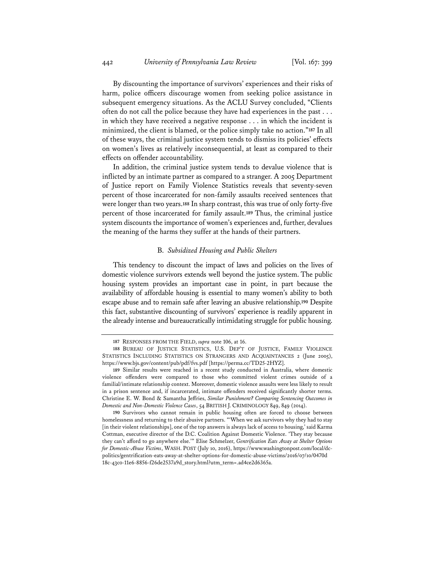By discounting the importance of survivors' experiences and their risks of harm, police officers discourage women from seeking police assistance in subsequent emergency situations. As the ACLU Survey concluded, "Clients often do not call the police because they have had experiences in the past . . . in which they have received a negative response . . . in which the incident is minimized, the client is blamed, or the police simply take no action."**<sup>187</sup>** In all of these ways, the criminal justice system tends to dismiss its policies' effects on women's lives as relatively inconsequential, at least as compared to their effects on offender accountability.

In addition, the criminal justice system tends to devalue violence that is inflicted by an intimate partner as compared to a stranger. A 2005 Department of Justice report on Family Violence Statistics reveals that seventy-seven percent of those incarcerated for non-family assaults received sentences that were longer than two years.**<sup>188</sup>** In sharp contrast, this was true of only forty-five percent of those incarcerated for family assault.**<sup>189</sup>** Thus, the criminal justice system discounts the importance of women's experiences and, further, devalues the meaning of the harms they suffer at the hands of their partners.

#### B. *Subsidized Housing and Public Shelters*

This tendency to discount the impact of laws and policies on the lives of domestic violence survivors extends well beyond the justice system. The public housing system provides an important case in point, in part because the availability of affordable housing is essential to many women's ability to both escape abuse and to remain safe after leaving an abusive relationship.**<sup>190</sup>** Despite this fact, substantive discounting of survivors' experience is readily apparent in the already intense and bureaucratically intimidating struggle for public housing.

**<sup>187</sup>** RESPONSES FROM THE FIELD, *supra* note 106, at 16.

**<sup>188</sup>** BUREAU OF JUSTICE STATISTICS, U.S. DEP'T OF JUSTICE, FAMILY VIOLENCE STATISTICS INCLUDING STATISTICS ON STRANGERS AND ACQUAINTANCES 2 (June 2005), https://www.bjs.gov/content/pub/pdf/fvs.pdf [https://perma.cc/TD25-2HYZ].

**<sup>189</sup>** Similar results were reached in a recent study conducted in Australia, where domestic violence offenders were compared to those who committed violent crimes outside of a familial/intimate relationship context. Moreover, domestic violence assaults were less likely to result in a prison sentence and, if incarcerated, intimate offenders received significantly shorter terms. Christine E. W. Bond & Samantha Jeffries, *Similar Punishment? Comparing Sentencing Outcomes in Domestic and Non-Domestic Violence Cases*, 54 BRITISH J. CRIMINOLOGY 849, 849 (2014).

**<sup>190</sup>** Survivors who cannot remain in public housing often are forced to choose between homelessness and returning to their abusive partners. "'When we ask survivors why they had to stay [in their violent relationships], one of the top answers is always lack of access to housing,' said Karma Cottman, executive director of the D.C. Coalition Against Domestic Violence. 'They stay because they can't afford to go anywhere else.'" Elise Schmelzer, *Gentrification Eats Away at Shelter Options for Domestic-Abuse Victims*, WASH. POST (July 10, 2016), https://www.washingtonpost.com/local/dcpolitics/gentrification-eats-away-at-shelter-options-for-domestic-abuse-victims/2016/07/10/0470d 18c-43c0-11e6-8856-f26de2537a9d\_story.html?utm\_term=.ad4ce2d6365a.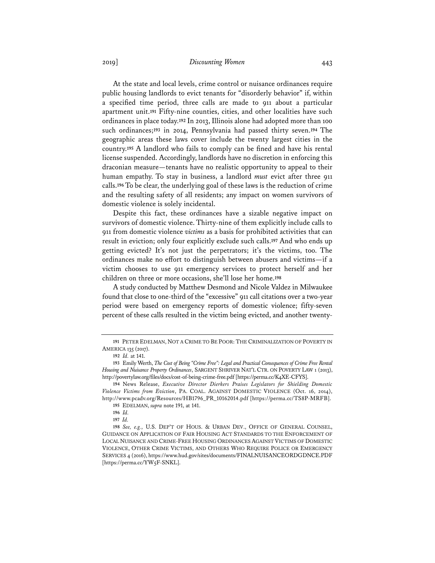## 2019] *Discounting Women* 443

At the state and local levels, crime control or nuisance ordinances require public housing landlords to evict tenants for "disorderly behavior" if, within a specified time period, three calls are made to 911 about a particular apartment unit.**<sup>191</sup>** Fifty-nine counties, cities, and other localities have such ordinances in place today.**<sup>192</sup>** In 2013, Illinois alone had adopted more than 100 such ordinances;**<sup>193</sup>** in 2014, Pennsylvania had passed thirty seven.**<sup>194</sup>** The geographic areas these laws cover include the twenty largest cities in the country.**<sup>195</sup>** A landlord who fails to comply can be fined and have his rental license suspended. Accordingly, landlords have no discretion in enforcing this draconian measure—tenants have no realistic opportunity to appeal to their human empathy. To stay in business, a landlord *must* evict after three 911 calls.**<sup>196</sup>** To be clear, the underlying goal of these laws is the reduction of crime and the resulting safety of all residents; any impact on women survivors of domestic violence is solely incidental.

Despite this fact, these ordinances have a sizable negative impact on survivors of domestic violence. Thirty-nine of them explicitly include calls to 911 from domestic violence *victims* as a basis for prohibited activities that can result in eviction; only four explicitly exclude such calls.**<sup>197</sup>** And who ends up getting evicted? It's not just the perpetrators; it's the victims, too. The ordinances make no effort to distinguish between abusers and victims—if a victim chooses to use 911 emergency services to protect herself and her children on three or more occasions, she'll lose her home.**<sup>198</sup>**

A study conducted by Matthew Desmond and Nicole Valdez in Milwaukee found that close to one-third of the "excessive" 911 call citations over a two-year period were based on emergency reports of domestic violence; fifty-seven percent of these calls resulted in the victim being evicted, and another twenty-

**<sup>191</sup>** PETER EDELMAN, NOT A CRIME TO BE POOR: THE CRIMINALIZATION OF POVERTY IN AMERICA 135 (2017).

**<sup>192</sup>** *Id.* at 141.

**<sup>193</sup>** Emily Werth, *The Cost of Being "Crime Free": Legal and Practical Consequences of Crime Free Rental Housing and Nuisance Property Ordinances*, SARGENT SHRIVER NAT'L CTR. ON POVERTY LAW 1 (2013), http://povertylaw.org/files/docs/cost-of-being-crime-free.pdf [https://perma.cc/K4XE-CFYS].

**<sup>194</sup>** News Release, *Executive Director Dierkers Praises Legislators for Shielding Domestic Violence Victims from Eviction*, PA. COAL. AGAINST DOMESTIC VIOLENCE (Oct. 16, 2014), http://www.pcadv.org/Resources/HB1796\_PR\_10162014.pdf [https://perma.cc/TS8P-MRFB]. **195** EDELMAN, *supra* note 191, at 141.

**<sup>196</sup>** *Id.*

**<sup>197</sup>** *Id.*

**<sup>198</sup>** *See, e.g.*, U.S. DEP'T OF HOUS. & URBAN DEV., OFFICE OF GENERAL COUNSEL, GUIDANCE ON APPLICATION OF FAIR HOUSING ACT STANDARDS TO THE ENFORCEMENT OF LOCAL NUISANCE AND CRIME-FREE HOUSING ORDINANCES AGAINST VICTIMS OF DOMESTIC VIOLENCE, OTHER CRIME VICTIMS, AND OTHERS WHO REQUIRE POLICE OR EMERGENCY SERVICES 4 (2016), https://www.hud.gov/sites/documents/FINALNUISANCEORDGDNCE.PDF [https://perma.cc/YW5F-SNKL].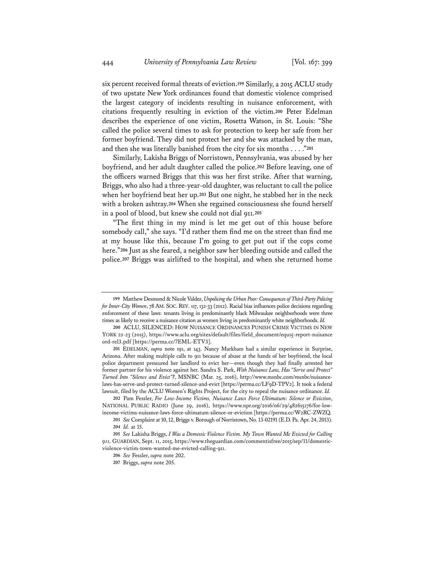six percent received formal threats of eviction.**<sup>199</sup>** Similarly, a 2015 ACLU study of two upstate New York ordinances found that domestic violence comprised the largest category of incidents resulting in nuisance enforcement, with citations frequently resulting in eviction of the victim.**<sup>200</sup>** Peter Edelman describes the experience of one victim, Rosetta Watson, in St. Louis: "She called the police several times to ask for protection to keep her safe from her former boyfriend. They did not protect her and she was attacked by the man, and then she was literally banished from the city for six months . . . ."**<sup>201</sup>**

Similarly, Lakisha Briggs of Norristown, Pennsylvania, was abused by her boyfriend, and her adult daughter called the police.**<sup>202</sup>** Before leaving, one of the officers warned Briggs that this was her first strike. After that warning, Briggs, who also had a three-year-old daughter, was reluctant to call the police when her boyfriend beat her up.**<sup>203</sup>** But one night, he stabbed her in the neck with a broken ashtray.**<sup>204</sup>** When she regained consciousness she found herself in a pool of blood, but knew she could not dial 911.**<sup>205</sup>**

"The first thing in my mind is let me get out of this house before somebody call," she says. "I'd rather them find me on the street than find me at my house like this, because I'm going to get put out if the cops come here."**<sup>206</sup>** Just as she feared, a neighbor saw her bleeding outside and called the police.**<sup>207</sup>** Briggs was airlifted to the hospital, and when she returned home

**<sup>199</sup>** Matthew Desmond & Nicole Valdez, *Unpolicing the Urban Poor: Consequences of Third-Party Policing for Inner-City Women*, 78 AM. SOC.REV. 117, 132-33 (2012). Racial bias influences police decisions regarding enforcement of these laws: tenants living in predominantly black Milwaukee neighborhoods were three times as likely to receive a nuisance citation as women living in predominantly white neighborhoods. *Id.*

**<sup>200</sup>** ACLU, SILENCED: HOW NUISANCE ORDINANCES PUNISH CRIME VICTIMS IN NEW YORK 22-23 (2015), https://www.aclu.org/sites/default/files/field\_document/equ15-report-nuisance ord-rel3.pdf [https://perma.cc/7EML-ETV3].

**<sup>201</sup>** EDELMAN, *supra* note 191, at 143. Nancy Markham had a similar experience in Surprise, Arizona. After making multiple calls to 911 because of abuse at the hands of her boyfriend, the local police department pressured her landlord to evict her—even though they had finally arrested her former partner for his violence against her. Sandra S. Park, *With Nuisance Law, Has "Serve and Protect" Turned Into "Silence and Evict"?*, MSNBC (Mar. 25, 2016), http://www.msnbc.com/msnbc/nuisancelaws-has-serve-and-protect-turned-silence-and-evict [https://perma.cc/LF9D-TPV2]. It took a federal lawsuit, filed by the ACLU Women's Rights Project, for the city to repeal the nuisance ordinance. *Id.*

**<sup>202</sup>** Pam Fessler, *For Low-Income Victims, Nuisance Laws Force Ultimatum: Silence or Eviction*, NATIONAL PUBLIC RADIO (June 29, 2016), https://www.npr.org/2016/06/29/482615176/for-lowincome-victims-nuisance-laws-force-ultimatum-silence-or-eviction [https://perma.cc/W2RC-ZWZQ.

**<sup>203</sup>** *See* Complaint at 10, 12, Briggs v. Borough of Norristown, No. 13-02191 (E.D. Pa. Apr. 24, 2013). **204** *Id.* at 15.

**<sup>205</sup>** *See* Lakisha Briggs, *I Was a Domestic Violence Victim. My Town Wanted Me Evicted for Calling 911,* GUARDIAN, Sept. 11, 2015, https://www.theguardian.com/commentisfree/2015/sep/11/domesticviolence-victim-town-wanted-me-evicted-calling-911.

**<sup>206</sup>** *See* Fessler, *supra* note 202.

**<sup>207</sup>** Briggs, *supra* note 205.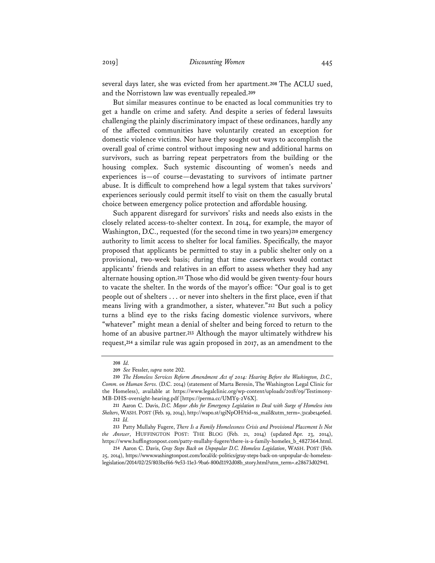several days later, she was evicted from her apartment.**<sup>208</sup>** The ACLU sued, and the Norristown law was eventually repealed.**<sup>209</sup>**

But similar measures continue to be enacted as local communities try to get a handle on crime and safety. And despite a series of federal lawsuits challenging the plainly discriminatory impact of these ordinances, hardly any of the affected communities have voluntarily created an exception for domestic violence victims. Nor have they sought out ways to accomplish the overall goal of crime control without imposing new and additional harms on survivors, such as barring repeat perpetrators from the building or the housing complex. Such systemic discounting of women's needs and experiences is—of course—devastating to survivors of intimate partner abuse. It is difficult to comprehend how a legal system that takes survivors' experiences seriously could permit itself to visit on them the casually brutal choice between emergency police protection and affordable housing.

Such apparent disregard for survivors' risks and needs also exists in the closely related access-to-shelter context. In 2014, for example, the mayor of Washington, D.C., requested (for the second time in two years)**<sup>210</sup>** emergency authority to limit access to shelter for local families. Specifically, the mayor proposed that applicants be permitted to stay in a public shelter only on a provisional, two-week basis; during that time caseworkers would contact applicants' friends and relatives in an effort to assess whether they had any alternate housing option.**<sup>211</sup>** Those who did would be given twenty-four hours to vacate the shelter. In the words of the mayor's office: "Our goal is to get people out of shelters . . . or never into shelters in the first place, even if that means living with a grandmother, a sister, whatever."**<sup>212</sup>** But such a policy turns a blind eye to the risks facing domestic violence survivors, where "whatever" might mean a denial of shelter and being forced to return to the home of an abusive partner.**<sup>213</sup>** Although the mayor ultimately withdrew his request,**<sup>214</sup>** a similar rule was again proposed in 2017, as an amendment to the

**<sup>208</sup>** *Id.*

**<sup>209</sup>** *See* Fessler, *supra* note 202.

**<sup>210</sup>** *The Homeless Services Reform Amendment Act of 2014: Hearing Before the Washington, D.C., Comm. on Human Servs.* (D.C. 2014) (statement of Marta Beresin, The Washington Legal Clinic for the Homeless), available at https://www.legalclinic.org/wp-content/uploads/2018/09/Testimony-MB-DHS-oversight-hearing.pdf [https://perma.cc/UMY9-2V6X].

**<sup>211</sup>** Aaron C. Davis, *D.C. Mayor Asks for Emergency Legislation to Deal with Surge of Homeless into Shelters*, WASH. POST (Feb. 19, 2014), http://wapo.st/1giNpOH?tid=ss\_mail&utm\_term=.31cabe14e6ed. **212** *Id.*

**<sup>213</sup>** Patty Mullahy Fugere, *There Is a Family Homelessness Crisis and Provisional Placement Is Not the Answer*, HUFFINGTON POST: THE BLOG (Feb. 21, 2014) (updated Apr. 23, 2014), https://www.huffingtonpost.com/patty-mullahy-fugere/there-is-a-family-homeles\_b\_4827364.html.

**<sup>214</sup>** Aaron C. Davis, *Gray Steps Back on Unpopular D.C. Homeless Legislation*, WASH. POST (Feb. 25, 2014), https://www.washingtonpost.com/local/dc-politics/gray-steps-back-on-unpopular-dc-homelesslegislation/2014/02/25/803bcf66-9e53-11e3-9ba6-800d1192d08b\_story.html?utm\_term=.e28673d02941.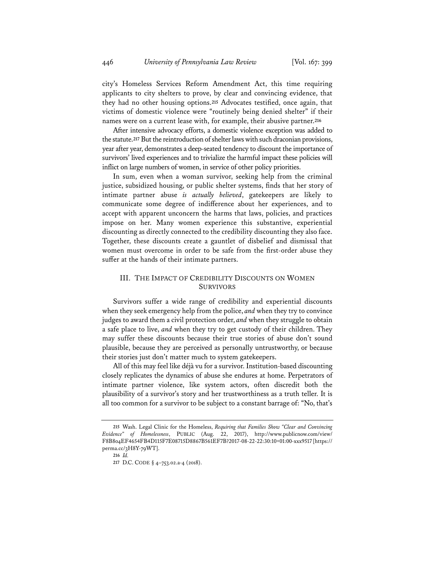city's Homeless Services Reform Amendment Act, this time requiring applicants to city shelters to prove, by clear and convincing evidence, that they had no other housing options.**<sup>215</sup>** Advocates testified, once again, that victims of domestic violence were "routinely being denied shelter" if their names were on a current lease with, for example, their abusive partner.**<sup>216</sup>**

After intensive advocacy efforts, a domestic violence exception was added to the statute.**<sup>217</sup>** But the reintroduction of shelter laws with such draconian provisions, year after year, demonstrates a deep-seated tendency to discount the importance of survivors' lived experiences and to trivialize the harmful impact these policies will inflict on large numbers of women, in service of other policy priorities.

In sum, even when a woman survivor, seeking help from the criminal justice, subsidized housing, or public shelter systems, finds that her story of intimate partner abuse *is actually believed*, gatekeepers are likely to communicate some degree of indifference about her experiences, and to accept with apparent unconcern the harms that laws, policies, and practices impose on her. Many women experience this substantive, experiential discounting as directly connected to the credibility discounting they also face. Together, these discounts create a gauntlet of disbelief and dismissal that women must overcome in order to be safe from the first-order abuse they suffer at the hands of their intimate partners.

# III. THE IMPACT OF CREDIBILITY DISCOUNTS ON WOMEN SURVIVORS

Survivors suffer a wide range of credibility and experiential discounts when they seek emergency help from the police, *and* when they try to convince judges to award them a civil protection order, *and* when they struggle to obtain a safe place to live, *and* when they try to get custody of their children. They may suffer these discounts because their true stories of abuse don't sound plausible, because they are perceived as personally untrustworthy, or because their stories just don't matter much to system gatekeepers.

All of this may feel like déjà vu for a survivor. Institution-based discounting closely replicates the dynamics of abuse she endures at home. Perpetrators of intimate partner violence, like system actors, often discredit both the plausibility of a survivor's story and her trustworthiness as a truth teller. It is all too common for a survivor to be subject to a constant barrage of: "No, that's

**<sup>215</sup>** Wash. Legal Clinic for the Homeless, *Requiring that Families Show "Clear and Convincing Evidence" of Homelessness*, PUBLIC (Aug. 22, 2017), http://www.publicnow.com/view/ F8B804EF4654FB4D115F7E08715D8867B561EF7B?2017-08-22-22:30:10+01:00-xxx9517 [https:// perma.cc/3H8Y-79WT].

**<sup>216</sup>** *Id.*

**<sup>217</sup>** D.C. CODE § 4–753.02.a-4 (2018).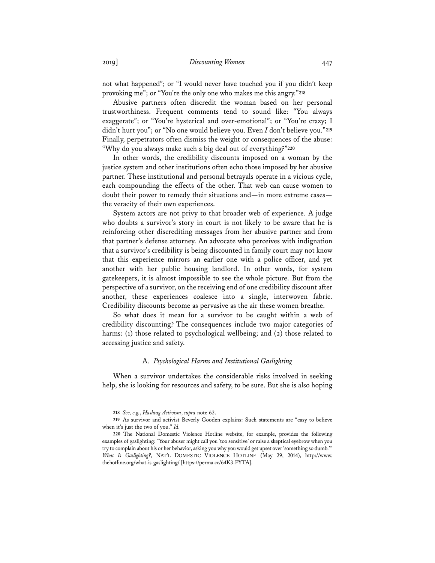not what happened"; or "I would never have touched you if you didn't keep provoking me"; or "You're the only one who makes me this angry."**<sup>218</sup>**

Abusive partners often discredit the woman based on her personal trustworthiness. Frequent comments tend to sound like: "You always exaggerate"; or "You're hysterical and over-emotional"; or "You're crazy; I didn't hurt you"; or "No one would believe you. Even *I* don't believe you."**<sup>219</sup>** Finally, perpetrators often dismiss the weight or consequences of the abuse: "Why do you always make such a big deal out of everything?"**<sup>220</sup>**

In other words, the credibility discounts imposed on a woman by the justice system and other institutions often echo those imposed by her abusive partner. These institutional and personal betrayals operate in a vicious cycle, each compounding the effects of the other. That web can cause women to doubt their power to remedy their situations and—in more extreme cases the veracity of their own experiences.

System actors are not privy to that broader web of experience. A judge who doubts a survivor's story in court is not likely to be aware that he is reinforcing other discrediting messages from her abusive partner and from that partner's defense attorney. An advocate who perceives with indignation that a survivor's credibility is being discounted in family court may not know that this experience mirrors an earlier one with a police officer, and yet another with her public housing landlord. In other words, for system gatekeepers, it is almost impossible to see the whole picture. But from the perspective of a survivor, on the receiving end of one credibility discount after another, these experiences coalesce into a single, interwoven fabric. Credibility discounts become as pervasive as the air these women breathe.

So what does it mean for a survivor to be caught within a web of credibility discounting? The consequences include two major categories of harms: (1) those related to psychological wellbeing; and (2) those related to accessing justice and safety.

#### A. *Psychological Harms and Institutional Gaslighting*

When a survivor undertakes the considerable risks involved in seeking help, she is looking for resources and safety, to be sure. But she is also hoping

**<sup>218</sup>** *See, e.g.*, *Hashtag Activism*, *supra* note 62.

**<sup>219</sup>** As survivor and activist Beverly Gooden explains: Such statements are "easy to believe when it's just the two of you." *Id.*

**<sup>220</sup>** The National Domestic Violence Hotline website, for example, provides the following examples of gaslighting: "Your abuser might call you 'too sensitive' or raise a skeptical eyebrow when you try to complain about his or her behavior, asking you why you would get upset over 'something so dumb.'" *What Is Gaslighting?*, NAT'L DOMESTIC VIOLENCE HOTLINE (May 29, 2014), http://www. thehotline.org/what-is-gaslighting/ [https://perma.cc/64K3-PYTA].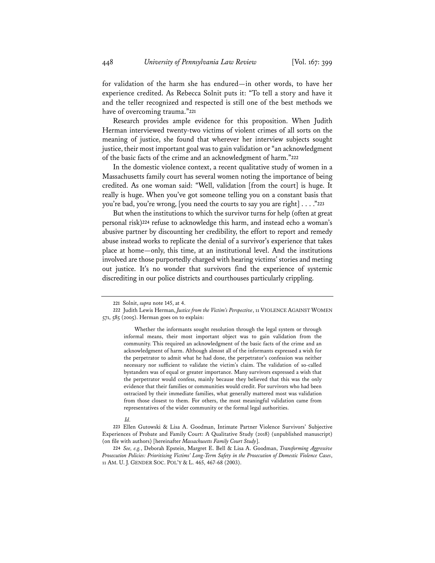for validation of the harm she has endured—in other words, to have her experience credited. As Rebecca Solnit puts it: "To tell a story and have it and the teller recognized and respected is still one of the best methods we have of overcoming trauma."**<sup>221</sup>**

Research provides ample evidence for this proposition. When Judith Herman interviewed twenty-two victims of violent crimes of all sorts on the meaning of justice, she found that wherever her interview subjects sought justice, their most important goal was to gain validation or "an acknowledgment of the basic facts of the crime and an acknowledgment of harm."**<sup>222</sup>**

In the domestic violence context, a recent qualitative study of women in a Massachusetts family court has several women noting the importance of being credited. As one woman said: "Well, validation [from the court] is huge. It really is huge. When you've got someone telling you on a constant basis that you're bad, you're wrong, [you need the courts to say you are right] . . . ."**<sup>223</sup>**

But when the institutions to which the survivor turns for help (often at great personal risk)**<sup>224</sup>** refuse to acknowledge this harm, and instead echo a woman's abusive partner by discounting her credibility, the effort to report and remedy abuse instead works to replicate the denial of a survivor's experience that takes place at home—only, this time, at an institutional level. And the institutions involved are those purportedly charged with hearing victims' stories and meting out justice. It's no wonder that survivors find the experience of systemic discrediting in our police districts and courthouses particularly crippling.

**<sup>221</sup>** Solnit, *supra* note 145, at 4.

**<sup>222</sup>** Judith Lewis Herman, *Justice from the Victim's Perspective*, 11 VIOLENCE AGAINST WOMEN 571, 585 (2005). Herman goes on to explain:

Whether the informants sought resolution through the legal system or through informal means, their most important object was to gain validation from the community. This required an acknowledgment of the basic facts of the crime and an acknowledgment of harm. Although almost all of the informants expressed a wish for the perpetrator to admit what he had done, the perpetrator's confession was neither necessary nor sufficient to validate the victim's claim. The validation of so-called bystanders was of equal or greater importance. Many survivors expressed a wish that the perpetrator would confess, mainly because they believed that this was the only evidence that their families or communities would credit. For survivors who had been ostracized by their immediate families, what generally mattered most was validation from those closest to them. For others, the most meaningful validation came from representatives of the wider community or the formal legal authorities.

*Id.*

**<sup>223</sup>** Ellen Gutowski & Lisa A. Goodman, Intimate Partner Violence Survivors' Subjective Experiences of Probate and Family Court: A Qualitative Study (2018) (unpublished manuscript) (on file with authors) [hereinafter *Massachusetts Family Court Study*].

**<sup>224</sup>** *See, e.g.*, Deborah Epstein, Margret E. Bell & Lisa A. Goodman, *Transforming Aggressive Prosecution Policies: Prioritizing Victims' Long-Term Safety in the Prosecution of Domestic Violence Cases*, 11 AM. U. J. GENDER SOC. POL'Y & L. 465, 467-68 (2003).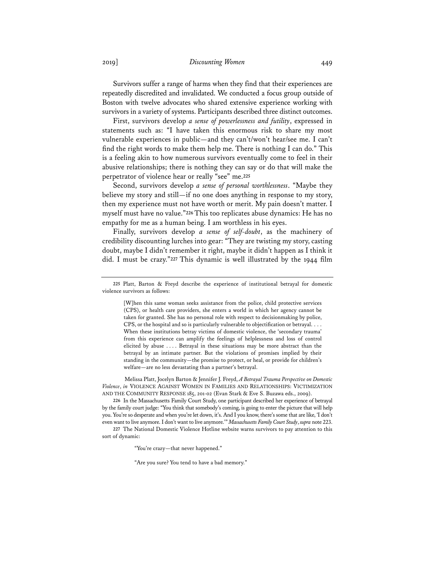2019] *Discounting Women* 449

Survivors suffer a range of harms when they find that their experiences are repeatedly discredited and invalidated. We conducted a focus group outside of Boston with twelve advocates who shared extensive experience working with survivors in a variety of systems. Participants described three distinct outcomes.

First, survivors develop *a sense of powerlessness and futility*, expressed in statements such as: "I have taken this enormous risk to share my most vulnerable experiences in public—and they can't/won't hear/see me. I can't find the right words to make them help me. There is nothing I can do." This is a feeling akin to how numerous survivors eventually come to feel in their abusive relationships; there is nothing they can say or do that will make the perpetrator of violence hear or really "see" me.**<sup>225</sup>**

Second, survivors develop *a sense of personal worthlessness*. "Maybe they believe my story and still—if no one does anything in response to my story, then my experience must not have worth or merit. My pain doesn't matter. I myself must have no value."**<sup>226</sup>** This too replicates abuse dynamics: He has no empathy for me as a human being. I am worthless in his eyes.

Finally, survivors develop *a sense of self-doubt*, as the machinery of credibility discounting lurches into gear: "They are twisting my story, casting doubt, maybe I didn't remember it right, maybe it didn't happen as I think it did. I must be crazy."**<sup>227</sup>** This dynamic is well illustrated by the 1944 film

[W]hen this same woman seeks assistance from the police, child protective services (CPS), or health care providers, she enters a world in which her agency cannot be taken for granted. She has no personal role with respect to decisionmaking by police, CPS, or the hospital and so is particularly vulnerable to objectification or betrayal. . . . When these institutions betray victims of domestic violence, the 'secondary trauma' from this experience can amplify the feelings of helplessness and loss of control elicited by abuse . . . . Betrayal in these situations may be more abstract than the betrayal by an intimate partner. But the violations of promises implied by their standing in the community—the promise to protect, or heal, or provide for children's welfare—are no less devastating than a partner's betrayal.

Melissa Platt, Jocelyn Barton & Jennifer J. Freyd, *A Betrayal Trauma Perspective on Domestic Violence*, *in* VIOLENCE AGAINST WOMEN IN FAMILIES AND RELATIONSHIPS: VICTIMIZATION AND THE COMMUNITY RESPONSE 185, 201-02 (Evan Stark & Eve S. Buzawa eds., 2009).

**226** In the Massachusetts Family Court Study, one participant described her experience of betrayal by the family court judge: "You think that somebody's coming, is going to enter the picture that will help you. You're so desperate and when you're let down, it's. And I you know, there's some that are like, 'I don't even want to live anymore. I don't want to live anymore.'" *Massachusetts Family Court Study*, *supra* note 223.

**227** The National Domestic Violence Hotline website warns survivors to pay attention to this sort of dynamic:

"You're crazy—that never happened."

"Are you sure? You tend to have a bad memory."

**<sup>225</sup>** Platt, Barton & Freyd describe the experience of institutional betrayal for domestic violence survivors as follows: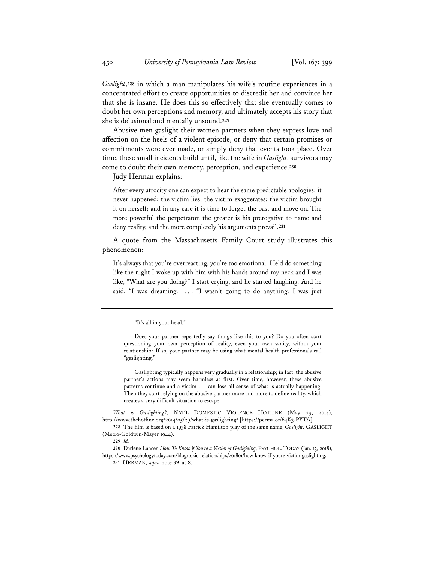*Gaslight*,**<sup>228</sup>** in which a man manipulates his wife's routine experiences in a concentrated effort to create opportunities to discredit her and convince her that she is insane. He does this so effectively that she eventually comes to doubt her own perceptions and memory, and ultimately accepts his story that she is delusional and mentally unsound.**<sup>229</sup>**

Abusive men gaslight their women partners when they express love and affection on the heels of a violent episode, or deny that certain promises or commitments were ever made, or simply deny that events took place. Over time, these small incidents build until, like the wife in *Gaslight*, survivors may come to doubt their own memory, perception, and experience.**<sup>230</sup>**

Judy Herman explains:

After every atrocity one can expect to hear the same predictable apologies: it never happened; the victim lies; the victim exaggerates; the victim brought it on herself; and in any case it is time to forget the past and move on. The more powerful the perpetrator, the greater is his prerogative to name and deny reality, and the more completely his arguments prevail.**<sup>231</sup>**

A quote from the Massachusetts Family Court study illustrates this phenomenon:

It's always that you're overreacting, you're too emotional. He'd do something like the night I woke up with him with his hands around my neck and I was like, "What are you doing?" I start crying, and he started laughing. And he said, "I was dreaming." . . . "I wasn't going to do anything. I was just

Gaslighting typically happens very gradually in a relationship; in fact, the abusive partner's actions may seem harmless at first. Over time, however, these abusive patterns continue and a victim . . . can lose all sense of what is actually happening. Then they start relying on the abusive partner more and more to define reality, which creates a very difficult situation to escape.

*What is Gaslighting?*, NAT'L DOMESTIC VIOLENCE HOTLINE (May 29, 2014), http://www.thehotline.org/2014/05/29/what-is-gaslighting/ [https://perma.cc/64K3-PYTA].

**228** The film is based on a 1938 Patrick Hamilton play of the same name, *Gaslight*. GASLIGHT (Metro-Goldwin-Mayer 1944).

**230** Darlene Lancer, *How To Know if You're a Victim of Gaslighting*, PSYCHOL. TODAY (Jan. 13, 2018), https://www.psychologytoday.com/blog/toxic-relationships/201801/how-know-if-youre-victim-gaslighting.

<sup>&</sup>quot;It's all in your head."

Does your partner repeatedly say things like this to you? Do you often start questioning your own perception of reality, even your own sanity, within your relationship? If so, your partner may be using what mental health professionals call "gaslighting."

**<sup>229</sup>** *Id.*

**<sup>231</sup>** HERMAN, *supra* note 39, at 8.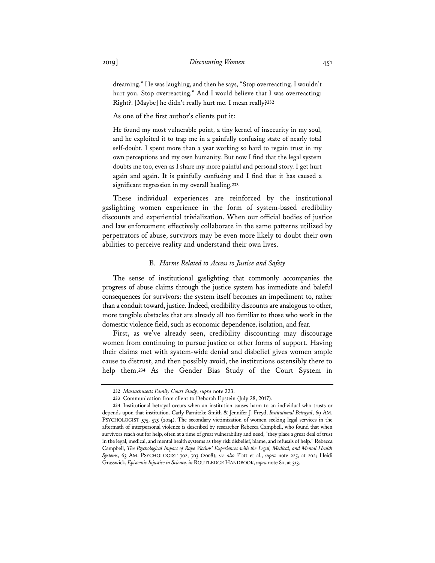dreaming." He was laughing, and then he says, "Stop overreacting. I wouldn't hurt you. Stop overreacting." And I would believe that I was overreacting: Right?. [Maybe] he didn't really hurt me. I mean really?**<sup>232</sup>**

As one of the first author's clients put it:

He found my most vulnerable point, a tiny kernel of insecurity in my soul, and he exploited it to trap me in a painfully confusing state of nearly total self-doubt. I spent more than a year working so hard to regain trust in my own perceptions and my own humanity. But now I find that the legal system doubts me too, even as I share my more painful and personal story. I get hurt again and again. It is painfully confusing and I find that it has caused a significant regression in my overall healing.**<sup>233</sup>**

These individual experiences are reinforced by the institutional gaslighting women experience in the form of system-based credibility discounts and experiential trivialization. When our official bodies of justice and law enforcement effectively collaborate in the same patterns utilized by perpetrators of abuse, survivors may be even more likely to doubt their own abilities to perceive reality and understand their own lives.

#### B. *Harms Related to Access to Justice and Safety*

The sense of institutional gaslighting that commonly accompanies the progress of abuse claims through the justice system has immediate and baleful consequences for survivors: the system itself becomes an impediment to, rather than a conduit toward, justice. Indeed, credibility discounts are analogous to other, more tangible obstacles that are already all too familiar to those who work in the domestic violence field, such as economic dependence, isolation, and fear.

First, as we've already seen, credibility discounting may discourage women from continuing to pursue justice or other forms of support. Having their claims met with system-wide denial and disbelief gives women ample cause to distrust, and then possibly avoid, the institutions ostensibly there to help them.**<sup>234</sup>** As the Gender Bias Study of the Court System in

**<sup>232</sup>** *Massachusetts Family Court Study*, *supra* note 223.

**<sup>233</sup>** Communication from client to Deborah Epstein (July 28, 2017).

**<sup>234</sup>** Institutional betrayal occurs when an institution causes harm to an individual who trusts or depends upon that institution. Carly Parnitzke Smith & Jennifer J. Freyd, *Institutional Betrayal*, 69 AM. PSYCHOLOGIST 575, 575 (2014). The secondary victimization of women seeking legal services in the aftermath of interpersonal violence is described by researcher Rebecca Campbell, who found that when survivors reach out for help, often at a time of great vulnerability and need, "they place a great deal of trust in the legal, medical, and mental health systems as they risk disbelief, blame, and refusals of help." Rebecca Campbell, *The Psychological Impact of Rape Victims' Experiences with the Legal, Medical, and Mental Health Systems*, 63 AM. PSYCHOLOGIST 702, 703 (2008); *see also* Platt et al., *supra* note 225, at 202; Heidi Grasswick, *Epistemic Injustice in Science*, *in*ROUTLEDGE HANDBOOK, *supra* note 80, at 313.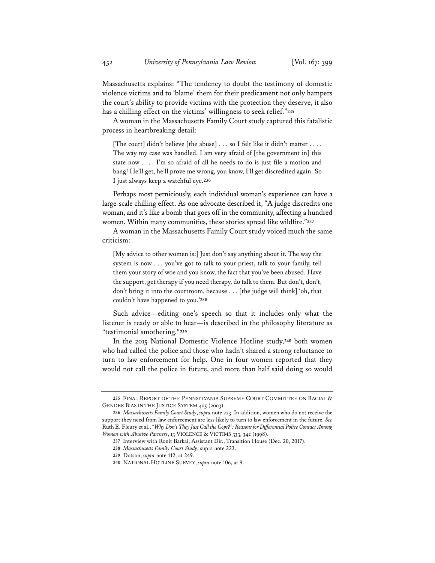Massachusetts explains: "The tendency to doubt the testimony of domestic violence victims and to 'blame' them for their predicament not only hampers the court's ability to provide victims with the protection they deserve, it also has a chilling effect on the victims' willingness to seek relief."**<sup>235</sup>**

A woman in the Massachusetts Family Court study captured this fatalistic process in heartbreaking detail:

[The court] didn't believe [the abuse] . . . so I felt like it didn't matter . . . . The way my case was handled, I am very afraid of [the government in] this state now . . . . I'm so afraid of all he needs to do is just file a motion and bang! He'll get, he'll prove me wrong, you know, I'll get discredited again. So I just always keep a watchful eye.**<sup>236</sup>**

Perhaps most perniciously, each individual woman's experience can have a large-scale chilling effect. As one advocate described it, "A judge discredits one woman, and it's like a bomb that goes off in the community, affecting a hundred women. Within many communities, these stories spread like wildfire."**<sup>237</sup>**

A woman in the Massachusetts Family Court study voiced much the same criticism:

[My advice to other women is:] Just don't say anything about it. The way the system is now . . . you've got to talk to your priest, talk to your family, tell them your story of woe and you know, the fact that you've been abused. Have the support, get therapy if you need therapy, do talk to them. But don't, don't, don't bring it into the courtroom, because . . . [the judge will think] 'oh, that couldn't have happened to you.'**<sup>238</sup>**

Such advice—editing one's speech so that it includes only what the listener is ready or able to hear—is described in the philosophy literature as "testimonial smothering."**<sup>239</sup>**

In the 2015 National Domestic Violence Hotline study,**<sup>240</sup>** both women who had called the police and those who hadn't shared a strong reluctance to turn to law enforcement for help. One in four women reported that they would not call the police in future, and more than half said doing so would

**<sup>235</sup>** FINAL REPORT OF THE PENNSYLVANIA SUPREME COURT COMMITTEE ON RACIAL & GENDER BIAS IN THE JUSTICE SYSTEM 405 (2003).

**<sup>236</sup>** *Massachusetts Family Court Study*, *supra* note 223. In addition, women who do not receive the support they need from law enforcement are less likely to turn to law enforcement in the future. *See* Ruth E. Fleury et al., "*Why Don't They Just Call the Cops?": Reasons for Differential Police Contact Among Women with Abusive Partners*, 13 VIOLENCE & VICTIMS 333, 342 (1998).

**<sup>237</sup>** Interview with Ronit Barkai, Assistant Dir., Transition House (Dec. 20, 2017).

**<sup>238</sup>** *Massachusetts Family Court Study*, supra note 223.

**<sup>239</sup>** Dotson, *supra* note 112, at 249.

**<sup>240</sup>** NATIONAL HOTLINE SURVEY, *supra* note 106, at 9.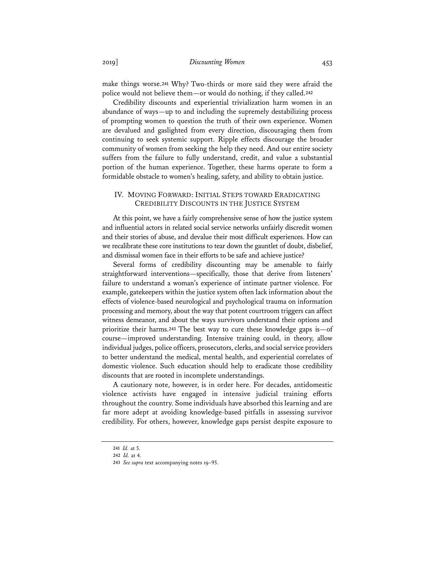make things worse.**<sup>241</sup>** Why? Two-thirds or more said they were afraid the police would not believe them—or would do nothing, if they called.**<sup>242</sup>**

Credibility discounts and experiential trivialization harm women in an abundance of ways—up to and including the supremely destabilizing process of prompting women to question the truth of their own experience. Women are devalued and gaslighted from every direction, discouraging them from continuing to seek systemic support. Ripple effects discourage the broader community of women from seeking the help they need. And our entire society suffers from the failure to fully understand, credit, and value a substantial portion of the human experience. Together, these harms operate to form a formidable obstacle to women's healing, safety, and ability to obtain justice.

## IV. MOVING FORWARD: INITIAL STEPS TOWARD ERADICATING CREDIBILITY DISCOUNTS IN THE JUSTICE SYSTEM

At this point, we have a fairly comprehensive sense of how the justice system and influential actors in related social service networks unfairly discredit women and their stories of abuse, and devalue their most difficult experiences. How can we recalibrate these core institutions to tear down the gauntlet of doubt, disbelief, and dismissal women face in their efforts to be safe and achieve justice?

Several forms of credibility discounting may be amenable to fairly straightforward interventions—specifically, those that derive from listeners' failure to understand a woman's experience of intimate partner violence. For example, gatekeepers within the justice system often lack information about the effects of violence-based neurological and psychological trauma on information processing and memory, about the way that potent courtroom triggers can affect witness demeanor, and about the ways survivors understand their options and prioritize their harms.**<sup>243</sup>** The best way to cure these knowledge gaps is—of course—improved understanding. Intensive training could, in theory, allow individual judges, police officers, prosecutors, clerks, and social service providers to better understand the medical, mental health, and experiential correlates of domestic violence. Such education should help to eradicate those credibility discounts that are rooted in incomplete understandings.

A cautionary note, however, is in order here. For decades, antidomestic violence activists have engaged in intensive judicial training efforts throughout the country. Some individuals have absorbed this learning and are far more adept at avoiding knowledge-based pitfalls in assessing survivor credibility. For others, however, knowledge gaps persist despite exposure to

**<sup>241</sup>** *Id.* at 5.

**<sup>242</sup>** *Id.* at 4.

**<sup>243</sup>** *See supra* text accompanying notes 19–95.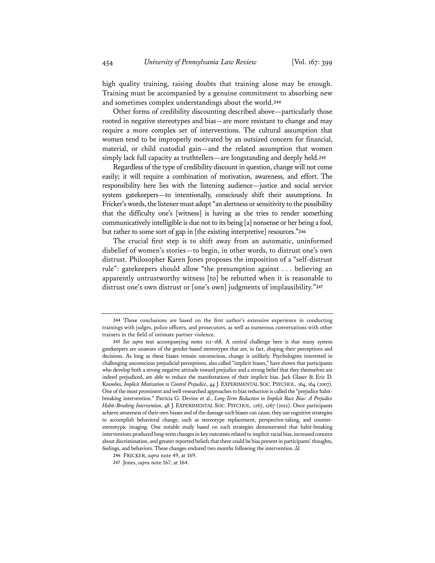high quality training, raising doubts that training alone may be enough. Training must be accompanied by a genuine commitment to absorbing new and sometimes complex understandings about the world.**<sup>244</sup>**

Other forms of credibility discounting described above—particularly those rooted in negative stereotypes and bias—are more resistant to change and may require a more complex set of interventions. The cultural assumption that women tend to be improperly motivated by an outsized concern for financial, material, or child custodial gain—and the related assumption that women simply lack full capacity as truthtellers—are longstanding and deeply held.**<sup>245</sup>**

Regardless of the type of credibility discount in question, change will not come easily; it will require a combination of motivation, awareness, and effort. The responsibility here lies with the listening audience—justice and social service system gatekeepers—to intentionally, consciously shift their assumptions. In Fricker's words, the listener must adopt "an alertness or sensitivity to the possibility that the difficulty one's [witness] is having as she tries to render something communicatively intelligible is due not to its being [a] nonsense or her being a fool, but rather to some sort of gap in [the existing interpretive] resources."**<sup>246</sup>**

The crucial first step is to shift away from an automatic, uninformed disbelief of women's stories—to begin, in other words, to distrust one's own distrust. Philosopher Karen Jones proposes the imposition of a "self-distrust rule": gatekeepers should allow "the presumption against . . . believing an apparently untrustworthy witness [to] be rebutted when it is reasonable to distrust one's own distrust or [one's own] judgments of implausibility."**<sup>247</sup>**

**<sup>244</sup>** These conclusions are based on the first author's extensive experience in conducting trainings with judges, police officers, and prosecutors, as well as numerous conversations with other trainers in the field of intimate partner violence.

**<sup>245</sup>** *See supra* text accompanying notes 112–168. A central challenge here is that many system gatekeepers are unaware of the gender-based stereotypes that are, in fact, shaping their perceptions and decisions. As long as these biases remain unconscious, change is unlikely. Psychologists interested in challenging unconscious prejudicial perceptions, also called "implicit biases," have shown that participants who develop both a strong negative attitude toward prejudice and a strong belief that they themselves are indeed prejudiced, are able to reduce the manifestations of their implicit bias. Jack Glaser & Eric D. Knowles, *Implicit Motivation to Control Prejudice*, 44 J. EXPERIMENTAL SOC. PSYCHOL. 164, 164 (2007). One of the most prominent and well-researched approaches to bias reduction is called the "prejudice habitbreaking intervention." Patricia G. Devine et al., *Long-Term Reduction in Implicit Race Bias: A Prejudice Habit-Breaking Intervention*, 48 J. EXPERIMENTAL SOC. PSYCHOL. 1267, 1267 (2012). Once participants achieve awareness of their own biases and of the damage such biases can cause, they use cognitive strategies to accomplish behavioral change, such as stereotype replacement, perspective-taking, and counterstereotypic imaging. One notable study based on such strategies demonstrated that habit-breaking interventions produced long-term changes in key outcomes related to implicit racial bias, increased concern about discrimination, and greater reported beliefs that there could be bias present in participants' thoughts, feelings, and behaviors. These changes endured two months following the intervention. *Id.*

**<sup>246</sup>** FRICKER, *supra* note 49, at 169.

**<sup>247</sup>** Jones, *supra* note 167, at 164.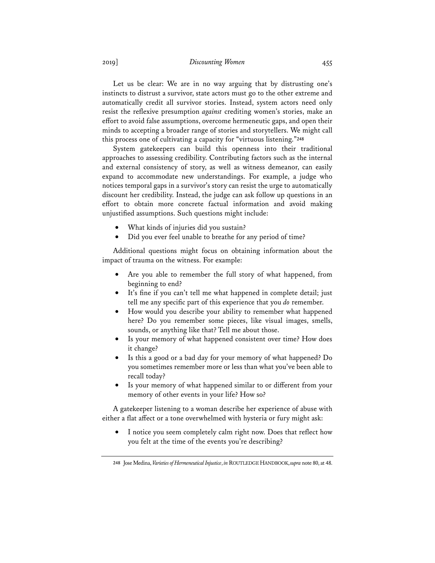## 2019] *Discounting Women* 455

Let us be clear: We are in no way arguing that by distrusting one's instincts to distrust a survivor, state actors must go to the other extreme and automatically credit all survivor stories. Instead, system actors need only resist the reflexive presumption *against* crediting women's stories, make an effort to avoid false assumptions, overcome hermeneutic gaps, and open their minds to accepting a broader range of stories and storytellers. We might call this process one of cultivating a capacity for "virtuous listening."**<sup>248</sup>**

System gatekeepers can build this openness into their traditional approaches to assessing credibility. Contributing factors such as the internal and external consistency of story, as well as witness demeanor, can easily expand to accommodate new understandings. For example, a judge who notices temporal gaps in a survivor's story can resist the urge to automatically discount her credibility. Instead, the judge can ask follow up questions in an effort to obtain more concrete factual information and avoid making unjustified assumptions. Such questions might include:

- What kinds of injuries did you sustain?
- Did you ever feel unable to breathe for any period of time?

Additional questions might focus on obtaining information about the impact of trauma on the witness. For example:

- Are you able to remember the full story of what happened, from beginning to end?
- It's fine if you can't tell me what happened in complete detail; just tell me any specific part of this experience that you *do* remember.
- How would you describe your ability to remember what happened here? Do you remember some pieces, like visual images, smells, sounds, or anything like that? Tell me about those.
- Is your memory of what happened consistent over time? How does it change?
- Is this a good or a bad day for your memory of what happened? Do you sometimes remember more or less than what you've been able to recall today?
- Is your memory of what happened similar to or different from your memory of other events in your life? How so?

A gatekeeper listening to a woman describe her experience of abuse with either a flat affect or a tone overwhelmed with hysteria or fury might ask:

• I notice you seem completely calm right now. Does that reflect how you felt at the time of the events you're describing?

**<sup>248</sup>** Jose Medina, *Varieties of Hermeneutical Injustice*, *in* ROUTLEDGE HANDBOOK,*supra* note 80, at 48.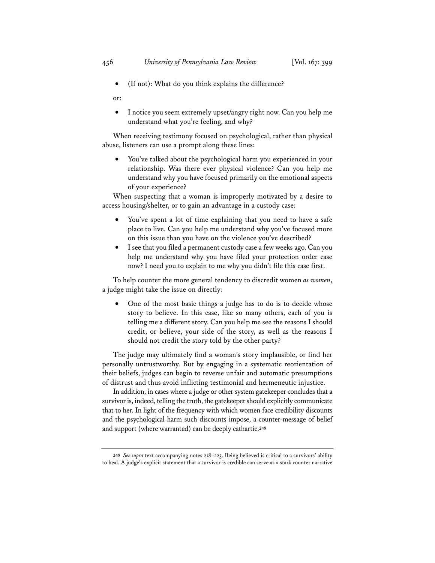• (If not): What do you think explains the difference?

or:

• I notice you seem extremely upset/angry right now. Can you help me understand what you're feeling, and why?

When receiving testimony focused on psychological, rather than physical abuse, listeners can use a prompt along these lines:

• You've talked about the psychological harm you experienced in your relationship. Was there ever physical violence? Can you help me understand why you have focused primarily on the emotional aspects of your experience?

When suspecting that a woman is improperly motivated by a desire to access housing/shelter, or to gain an advantage in a custody case:

- You've spent a lot of time explaining that you need to have a safe place to live. Can you help me understand why you've focused more on this issue than you have on the violence you've described?
- I see that you filed a permanent custody case a few weeks ago. Can you help me understand why you have filed your protection order case now? I need you to explain to me why you didn't file this case first.

To help counter the more general tendency to discredit women *as women*, a judge might take the issue on directly:

• One of the most basic things a judge has to do is to decide whose story to believe. In this case, like so many others, each of you is telling me a different story. Can you help me see the reasons I should credit, or believe, your side of the story, as well as the reasons I should not credit the story told by the other party?

The judge may ultimately find a woman's story implausible, or find her personally untrustworthy. But by engaging in a systematic reorientation of their beliefs, judges can begin to reverse unfair and automatic presumptions of distrust and thus avoid inflicting testimonial and hermeneutic injustice.

In addition, in cases where a judge or other system gatekeeper concludes that a survivor is, indeed, telling the truth, the gatekeeper should explicitly communicate that to her. In light of the frequency with which women face credibility discounts and the psychological harm such discounts impose, a counter-message of belief and support (where warranted) can be deeply cathartic.**<sup>249</sup>**

**<sup>249</sup>** *See supra* text accompanying notes 218–223. Being believed is critical to a survivors' ability to heal. A judge's explicit statement that a survivor is credible can serve as a stark counter narrative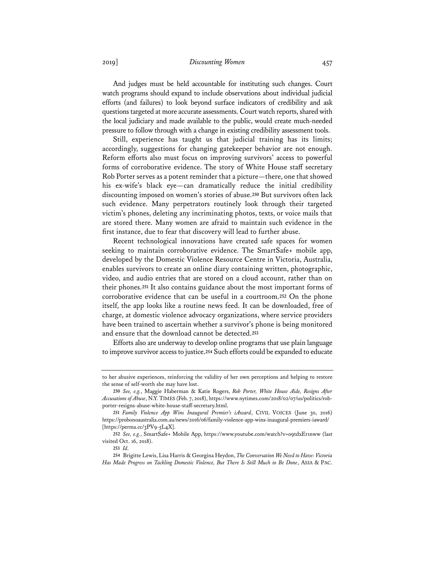2019] *Discounting Women* 457

And judges must be held accountable for instituting such changes. Court watch programs should expand to include observations about individual judicial efforts (and failures) to look beyond surface indicators of credibility and ask questions targeted at more accurate assessments. Court watch reports, shared with the local judiciary and made available to the public, would create much-needed pressure to follow through with a change in existing credibility assessment tools.

Still, experience has taught us that judicial training has its limits; accordingly, suggestions for changing gatekeeper behavior are not enough. Reform efforts also must focus on improving survivors' access to powerful forms of corroborative evidence. The story of White House staff secretary Rob Porter serves as a potent reminder that a picture—there, one that showed his ex-wife's black eye—can dramatically reduce the initial credibility discounting imposed on women's stories of abuse.**<sup>250</sup>** But survivors often lack such evidence. Many perpetrators routinely look through their targeted victim's phones, deleting any incriminating photos, texts, or voice mails that are stored there. Many women are afraid to maintain such evidence in the first instance, due to fear that discovery will lead to further abuse.

Recent technological innovations have created safe spaces for women seeking to maintain corroborative evidence. The SmartSafe+ mobile app, developed by the Domestic Violence Resource Centre in Victoria, Australia, enables survivors to create an online diary containing written, photographic, video, and audio entries that are stored on a cloud account, rather than on their phones.**<sup>251</sup>** It also contains guidance about the most important forms of corroborative evidence that can be useful in a courtroom.**<sup>252</sup>** On the phone itself, the app looks like a routine news feed. It can be downloaded, free of charge, at domestic violence advocacy organizations, where service providers have been trained to ascertain whether a survivor's phone is being monitored and ensure that the download cannot be detected.**<sup>253</sup>**

Efforts also are underway to develop online programs that use plain language to improve survivor access to justice.**<sup>254</sup>** Such efforts could be expanded to educate

to her abusive experiences, reinforcing the validity of her own perceptions and helping to restore the sense of self-worth she may have lost.

**<sup>250</sup>** *See, e.g.*, Maggie Haberman & Katie Rogers, *Rob Porter, White House Aide, Resigns After Accusations of Abuse*, N.Y.TIMES (Feb. 7, 2018), https://www.nytimes.com/2018/02/07/us/politics/robporter-resigns-abuse-white-house-staff-secretary.html.

**<sup>251</sup>** *Family Violence App Wins Inaugural Premier's iAward*, CIVIL VOICES (June 30, 2016) https://probonoaustralia.com.au/news/2016/06/family-violence-app-wins-inaugural-premiers-iaward/ [https://perma.cc/3PV9-5L4X].

**<sup>252</sup>** *See, e.g.*, SmartSafe+ Mobile App, https://www.youtube.com/watch?v=o9tdxEr1nww (last visited Oct. 16, 2018).

**<sup>253</sup>** *Id.*

**<sup>254</sup>** Brigitte Lewis, Lisa Harris & Georgina Heydon, *The Conversation We Need to Have: Victoria Has Made Progress on Tackling Domestic Violence, But There Is Still Much to Be Done*, ASIA & PAC.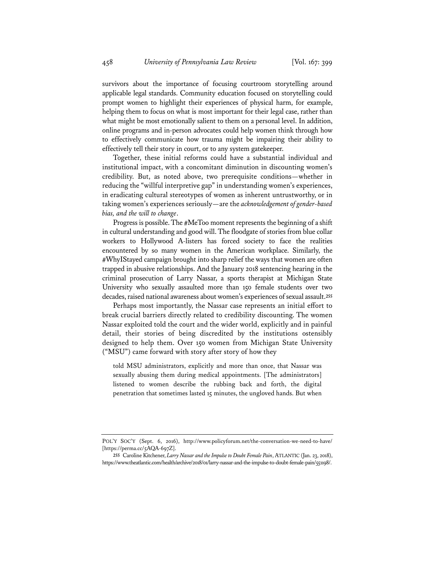survivors about the importance of focusing courtroom storytelling around applicable legal standards. Community education focused on storytelling could prompt women to highlight their experiences of physical harm, for example, helping them to focus on what is most important for their legal case, rather than what might be most emotionally salient to them on a personal level. In addition, online programs and in-person advocates could help women think through how to effectively communicate how trauma might be impairing their ability to effectively tell their story in court, or to any system gatekeeper.

Together, these initial reforms could have a substantial individual and institutional impact, with a concomitant diminution in discounting women's credibility. But, as noted above, two prerequisite conditions—whether in reducing the "willful interpretive gap" in understanding women's experiences, in eradicating cultural stereotypes of women as inherent untrustworthy, or in taking women's experiences seriously—are the *acknowledgement of gender-based bias, and the will to change*.

Progress is possible. The #MeToo moment represents the beginning of a shift in cultural understanding and good will. The floodgate of stories from blue collar workers to Hollywood A-listers has forced society to face the realities encountered by so many women in the American workplace. Similarly, the #WhyIStayed campaign brought into sharp relief the ways that women are often trapped in abusive relationships. And the January 2018 sentencing hearing in the criminal prosecution of Larry Nassar, a sports therapist at Michigan State University who sexually assaulted more than 150 female students over two decades, raised national awareness about women's experiences of sexual assault.**<sup>255</sup>**

Perhaps most importantly, the Nassar case represents an initial effort to break crucial barriers directly related to credibility discounting. The women Nassar exploited told the court and the wider world, explicitly and in painful detail, their stories of being discredited by the institutions ostensibly designed to help them. Over 150 women from Michigan State University ("MSU") came forward with story after story of how they

told MSU administrators, explicitly and more than once, that Nassar was sexually abusing them during medical appointments. [The administrators] listened to women describe the rubbing back and forth, the digital penetration that sometimes lasted 15 minutes, the ungloved hands. But when

POL'Y SOC'Y (Sept. 6, 2016), http://www.policyforum.net/the-conversation-we-need-to-have/ [https://perma.cc/5AQA-697Z].

**<sup>255</sup>** Caroline Kitchener, *Larry Nassar and the Impulse to Doubt Female Pain*, ATLANTIC (Jan. 23, 2018), https://www.theatlantic.com/health/archive/2018/01/larry-nassar-and-the-impulse-to-doubt-female-pain/551198/.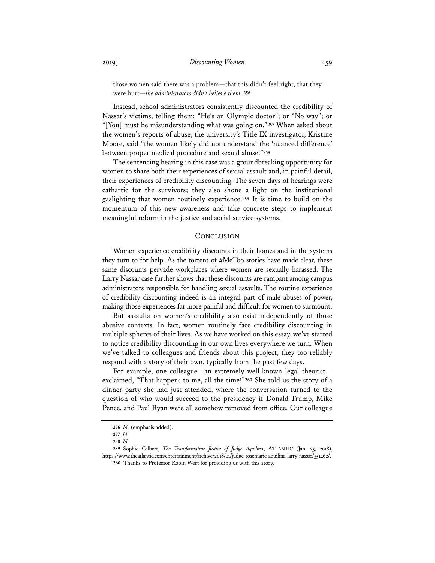those women said there was a problem—that this didn't feel right, that they were hurt—*the administrators didn't believe them*. **<sup>256</sup>**

Instead, school administrators consistently discounted the credibility of Nassar's victims, telling them: "He's an Olympic doctor"; or "No way"; or "[You] must be misunderstanding what was going on."**<sup>257</sup>** When asked about the women's reports of abuse, the university's Title IX investigator, Kristine Moore, said "the women likely did not understand the 'nuanced difference' between proper medical procedure and sexual abuse."**<sup>258</sup>**

The sentencing hearing in this case was a groundbreaking opportunity for women to share both their experiences of sexual assault and, in painful detail, their experiences of credibility discounting. The seven days of hearings were cathartic for the survivors; they also shone a light on the institutional gaslighting that women routinely experience.**<sup>259</sup>** It is time to build on the momentum of this new awareness and take concrete steps to implement meaningful reform in the justice and social service systems.

#### **CONCLUSION**

Women experience credibility discounts in their homes and in the systems they turn to for help. As the torrent of #MeToo stories have made clear, these same discounts pervade workplaces where women are sexually harassed. The Larry Nassar case further shows that these discounts are rampant among campus administrators responsible for handling sexual assaults. The routine experience of credibility discounting indeed is an integral part of male abuses of power, making those experiences far more painful and difficult for women to surmount.

But assaults on women's credibility also exist independently of those abusive contexts. In fact, women routinely face credibility discounting in multiple spheres of their lives. As we have worked on this essay, we've started to notice credibility discounting in our own lives everywhere we turn. When we've talked to colleagues and friends about this project, they too reliably respond with a story of their own, typically from the past few days.

For example, one colleague—an extremely well-known legal theorist exclaimed, "That happens to me, all the time!"**<sup>260</sup>** She told us the story of a dinner party she had just attended, where the conversation turned to the question of who would succeed to the presidency if Donald Trump, Mike Pence, and Paul Ryan were all somehow removed from office. Our colleague

**<sup>256</sup>** *Id.* (emphasis added).

**<sup>257</sup>** *Id.*

**<sup>258</sup>** *Id.*

**<sup>259</sup>** Sophie Gilbert, *The Transformative Justice of Judge Aquilina*, ATLANTIC (Jan. 25, 2018), https://www.theatlantic.com/entertainment/archive/2018/01/judge-rosemarie-aquilina-larry-nassar/551462/. **260** Thanks to Professor Robin West for providing us with this story.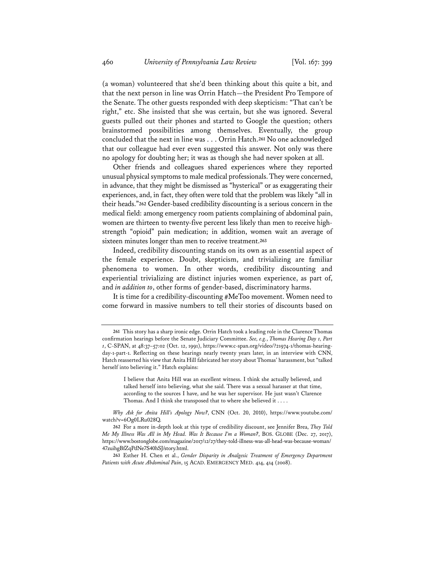(a woman) volunteered that she'd been thinking about this quite a bit, and that the next person in line was Orrin Hatch—the President Pro Tempore of the Senate. The other guests responded with deep skepticism: "That can't be right," etc. She insisted that she was certain, but she was ignored. Several guests pulled out their phones and started to Google the question; others brainstormed possibilities among themselves. Eventually, the group concluded that the next in line was . . . Orrin Hatch.**<sup>261</sup>** No one acknowledged that our colleague had ever even suggested this answer. Not only was there no apology for doubting her; it was as though she had never spoken at all.

Other friends and colleagues shared experiences where they reported unusual physical symptoms to male medical professionals. They were concerned, in advance, that they might be dismissed as "hysterical" or as exaggerating their experiences, and, in fact, they often were told that the problem was likely "all in their heads."**<sup>262</sup>** Gender-based credibility discounting is a serious concern in the medical field: among emergency room patients complaining of abdominal pain, women are thirteen to twenty-five percent less likely than men to receive highstrength "opioid" pain medication; in addition, women wait an average of sixteen minutes longer than men to receive treatment.**<sup>263</sup>**

Indeed, credibility discounting stands on its own as an essential aspect of the female experience. Doubt, skepticism, and trivializing are familiar phenomena to women. In other words, credibility discounting and experiential trivializing are distinct injuries women experience, as part of, and *in addition to*, other forms of gender-based, discriminatory harms.

It is time for a credibility-discounting #MeToo movement. Women need to come forward in massive numbers to tell their stories of discounts based on

**<sup>261</sup>** This story has a sharp ironic edge. Orrin Hatch took a leading role in the Clarence Thomas confirmation hearings before the Senate Judiciary Committee. *See, e.g.*, *Thomas Hearing Day 1, Part 1*, C-SPAN, at 48:37–57:02 (Oct. 12, 1991), https://www.c-span.org/video/?21974-1/thomas-hearingday-1-part-1. Reflecting on these hearings nearly twenty years later, in an interview with CNN, Hatch reasserted his view that Anita Hill fabricated her story about Thomas' harassment, but "talked herself into believing it." Hatch explains:

I believe that Anita Hill was an excellent witness. I think she actually believed, and talked herself into believing, what she said. There was a sexual harasser at that time, according to the sources I have, and he was her supervisor. He just wasn't Clarence Thomas. And I think she transposed that to where she believed it . . . .

*Why Ask for Anita Hill's Apology Now?*, CNN (Oct. 20, 2010), https://www.youtube.com/ watch?v=6Og0LRu028Q.

**<sup>262</sup>** For a more in-depth look at this type of credibility discount, see Jennifer Brea, *They Told Me My Illness Was All in My Head. Was It Because I'm a Woman?*, BOS. GLOBE (Dec. 27, 2017), https://www.bostonglobe.com/magazine/2017/12/27/they-told-illness-was-all-head-was-because-woman/ 47zuihgBfZqPdNe7S40hSJ/story.html.

**<sup>263</sup>** Esther H. Chen et al., *Gender Disparity in Analgesic Treatment of Emergency Department Patients with Acute Abdominal Pain*, 15 ACAD. EMERGENCY MED. 414, 414 (2008).